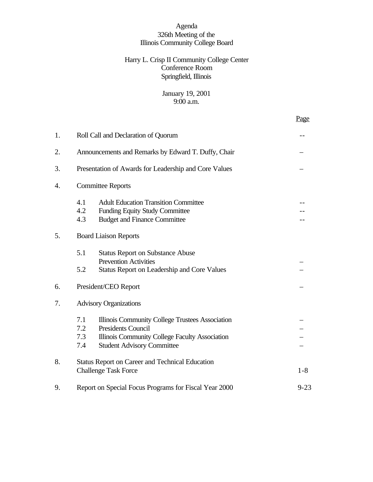# Agenda 326th Meeting of the Illinois Community College Board

# Harry L. Crisp II Community College Center Conference Room Springfield, Illinois

# January 19, 2001 9:00 a.m.

Page

| 1. |                                                                   | Roll Call and Declaration of Quorum                                                                                                                                 |         |  |  |  |  |
|----|-------------------------------------------------------------------|---------------------------------------------------------------------------------------------------------------------------------------------------------------------|---------|--|--|--|--|
| 2. | Announcements and Remarks by Edward T. Duffy, Chair               |                                                                                                                                                                     |         |  |  |  |  |
| 3. |                                                                   | Presentation of Awards for Leadership and Core Values                                                                                                               |         |  |  |  |  |
| 4. |                                                                   | <b>Committee Reports</b>                                                                                                                                            |         |  |  |  |  |
|    | 4.1<br>4.2<br>4.3                                                 | <b>Adult Education Transition Committee</b><br><b>Funding Equity Study Committee</b><br><b>Budget and Finance Committee</b>                                         |         |  |  |  |  |
| 5. | <b>Board Liaison Reports</b>                                      |                                                                                                                                                                     |         |  |  |  |  |
|    | 5.1<br>5.2                                                        | <b>Status Report on Substance Abuse</b><br><b>Prevention Activities</b><br><b>Status Report on Leadership and Core Values</b>                                       |         |  |  |  |  |
| 6. | President/CEO Report                                              |                                                                                                                                                                     |         |  |  |  |  |
| 7. | <b>Advisory Organizations</b>                                     |                                                                                                                                                                     |         |  |  |  |  |
|    | 7.1<br>7.2<br>7.3<br>7.4                                          | Illinois Community College Trustees Association<br><b>Presidents Council</b><br>Illinois Community College Faculty Association<br><b>Student Advisory Committee</b> |         |  |  |  |  |
| 8. |                                                                   | <b>Status Report on Career and Technical Education</b><br><b>Challenge Task Force</b>                                                                               | $1 - 8$ |  |  |  |  |
| 9. | $9 - 23$<br>Report on Special Focus Programs for Fiscal Year 2000 |                                                                                                                                                                     |         |  |  |  |  |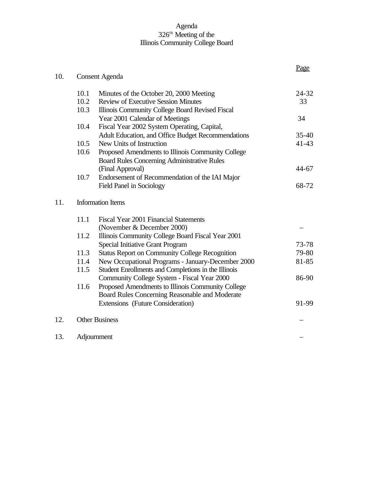# Agenda 326<sup>th</sup> Meeting of the Illinois Community College Board

| 10. |                          | <b>Consent Agenda</b>                                                      | Page      |  |  |  |  |
|-----|--------------------------|----------------------------------------------------------------------------|-----------|--|--|--|--|
|     | 10.1                     | Minutes of the October 20, 2000 Meeting                                    | 24-32     |  |  |  |  |
|     | 10.2                     | <b>Review of Executive Session Minutes</b>                                 | 33        |  |  |  |  |
|     | 10.3                     | Illinois Community College Board Revised Fiscal                            |           |  |  |  |  |
|     |                          | Year 2001 Calendar of Meetings                                             | 34        |  |  |  |  |
|     | 10.4                     | Fiscal Year 2002 System Operating, Capital,                                |           |  |  |  |  |
|     |                          | Adult Education, and Office Budget Recommendations                         | $35 - 40$ |  |  |  |  |
|     | 10.5                     | New Units of Instruction                                                   | $41 - 43$ |  |  |  |  |
|     | 10.6                     | Proposed Amendments to Illinois Community College                          |           |  |  |  |  |
|     |                          | <b>Board Rules Concerning Administrative Rules</b>                         |           |  |  |  |  |
|     |                          | (Final Approval)                                                           | 44-67     |  |  |  |  |
|     | 10.7                     | Endorsement of Recommendation of the IAI Major<br>Field Panel in Sociology | 68-72     |  |  |  |  |
| 11. | <b>Information Items</b> |                                                                            |           |  |  |  |  |
|     | 11.1                     | Fiscal Year 2001 Financial Statements                                      |           |  |  |  |  |
|     |                          | (November & December 2000)                                                 |           |  |  |  |  |
|     | 11.2                     | Illinois Community College Board Fiscal Year 2001                          |           |  |  |  |  |
|     |                          | <b>Special Initiative Grant Program</b>                                    | 73-78     |  |  |  |  |
|     | 11.3                     | <b>Status Report on Community College Recognition</b>                      | 79-80     |  |  |  |  |
|     | 11.4                     | New Occupational Programs - January-December 2000                          | 81-85     |  |  |  |  |
|     | 11.5                     | Student Enrollments and Completions in the Illinois                        |           |  |  |  |  |
|     |                          | Community College System - Fiscal Year 2000                                | 86-90     |  |  |  |  |
|     | 11.6                     | Proposed Amendments to Illinois Community College                          |           |  |  |  |  |
|     |                          | Board Rules Concerning Reasonable and Moderate                             |           |  |  |  |  |
|     |                          | <b>Extensions</b> (Future Consideration)                                   | 91-99     |  |  |  |  |
| 12. |                          | <b>Other Business</b>                                                      |           |  |  |  |  |
| 13. |                          | Adjournment                                                                |           |  |  |  |  |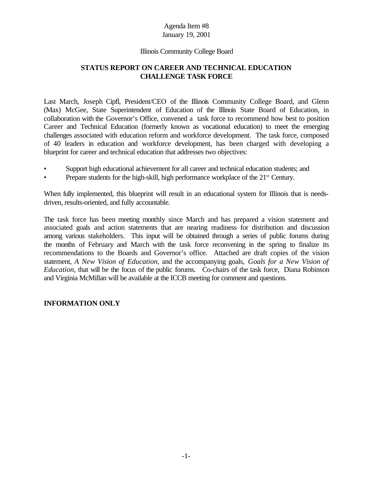# Illinois Community College Board

# **STATUS REPORT ON CAREER AND TECHNICAL EDUCATION CHALLENGE TASK FORCE**

Last March, Joseph Cipfl, President/CEO of the Illinois Community College Board, and Glenn (Max) McGee, State Superintendent of Education of the Illinois State Board of Education, in collaboration with the Governor's Office, convened a task force to recommend how best to position Career and Technical Education (formerly known as vocational education) to meet the emerging challenges associated with education reform and workforce development. The task force, composed of 40 leaders in education and workforce development, has been charged with developing a blueprint for career and technical education that addresses two objectives:

- Support high educational achievement for all career and technical education students; and
- Prepare students for the high-skill, high performance workplace of the 21<sup>st</sup> Century.

When fully implemented, this blueprint will result in an educational system for Illinois that is needsdriven, results-oriented, and fully accountable.

The task force has been meeting monthly since March and has prepared a vision statement and associated goals and action statements that are nearing readiness for distribution and discussion among various stakeholders. This input will be obtained through a series of public forums during the months of February and March with the task force reconvening in the spring to finalize its recommendations to the Boards and Governor's office. Attached are draft copies of the vision statement, *A New Vision of Education*, and the accompanying goals, *Goals for a New Vision of Education*, that will be the focus of the public forums. Co-chairs of the task force, Diana Robinson and Virginia McMillan will be available at the ICCB meeting for comment and questions.

### **INFORMATION ONLY**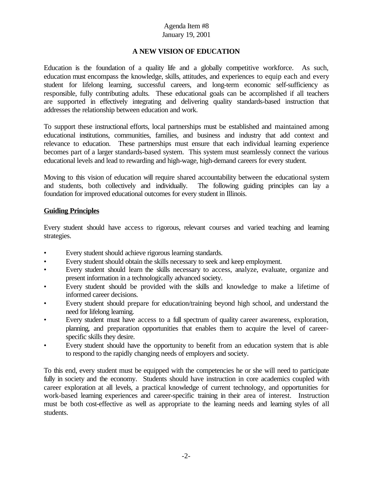# **A NEW VISION OF EDUCATION**

Education is the foundation of a quality life and a globally competitive workforce. As such, education must encompass the knowledge, skills, attitudes, and experiences to equip each and every student for lifelong learning, successful careers, and long-term economic self-sufficiency as responsible, fully contributing adults. These educational goals can be accomplished if all teachers are supported in effectively integrating and delivering quality standards-based instruction that addresses the relationship between education and work.

To support these instructional efforts, local partnerships must be established and maintained among educational institutions, communities, families, and business and industry that add context and relevance to education. These partnerships must ensure that each individual learning experience becomes part of a larger standards-based system. This system must seamlessly connect the various educational levels and lead to rewarding and high-wage, high-demand careers for every student.

Moving to this vision of education will require shared accountability between the educational system and students, both collectively and individually. The following guiding principles can lay a foundation for improved educational outcomes for every student in Illinois.

# **Guiding Principles**

Every student should have access to rigorous, relevant courses and varied teaching and learning strategies.

- Every student should achieve rigorous learning standards.
- Every student should obtain the skills necessary to seek and keep employment.
- Every student should learn the skills necessary to access, analyze, evaluate, organize and present information in a technologically advanced society.
- Every student should be provided with the skills and knowledge to make a lifetime of informed career decisions.
- Every student should prepare for education/training beyond high school, and understand the need for lifelong learning.
- Every student must have access to a full spectrum of quality career awareness, exploration, planning, and preparation opportunities that enables them to acquire the level of careerspecific skills they desire.
- Every student should have the opportunity to benefit from an education system that is able to respond to the rapidly changing needs of employers and society.

To this end, every student must be equipped with the competencies he or she will need to participate fully in society and the economy. Students should have instruction in core academics coupled with career exploration at all levels, a practical knowledge of current technology, and opportunities for work-based learning experiences and career-specific training in their area of interest. Instruction must be both cost-effective as well as appropriate to the learning needs and learning styles of all students.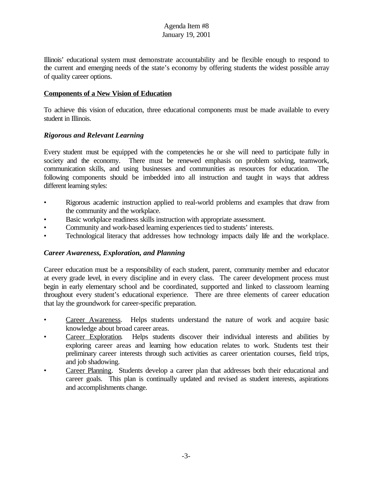Illinois' educational system must demonstrate accountability and be flexible enough to respond to the current and emerging needs of the state's economy by offering students the widest possible array of quality career options.

# **Components of a New Vision of Education**

To achieve this vision of education, three educational components must be made available to every student in Illinois.

# *Rigorous and Relevant Learning*

Every student must be equipped with the competencies he or she will need to participate fully in society and the economy. There must be renewed emphasis on problem solving, teamwork, communication skills, and using businesses and communities as resources for education. The following components should be imbedded into all instruction and taught in ways that address different learning styles:

- Rigorous academic instruction applied to real-world problems and examples that draw from the community and the workplace.
- Basic workplace readiness skills instruction with appropriate assessment.
- Community and work-based learning experiences tied to students' interests.
- Technological literacy that addresses how technology impacts daily life and the workplace.

### *Career Awareness, Exploration, and Planning*

Career education must be a responsibility of each student, parent, community member and educator at every grade level, in every discipline and in every class. The career development process must begin in early elementary school and be coordinated, supported and linked to classroom learning throughout every student's educational experience. There are three elements of career education that lay the groundwork for career-specific preparation.

- Career Awareness. Helps students understand the nature of work and acquire basic knowledge about broad career areas.
- Career Exploration. Helps students discover their individual interests and abilities by exploring career areas and learning how education relates to work. Students test their preliminary career interests through such activities as career orientation courses, field trips, and job shadowing.
- Career Planning. Students develop a career plan that addresses both their educational and career goals. This plan is continually updated and revised as student interests, aspirations and accomplishments change.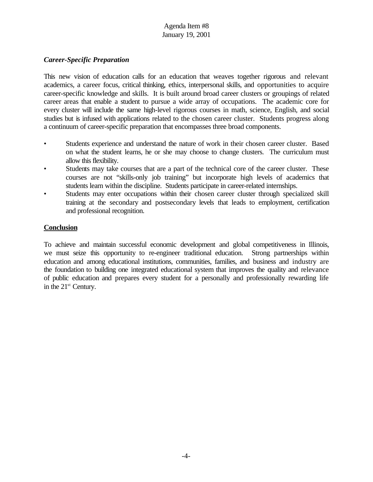# *Career-Specific Preparation*

This new vision of education calls for an education that weaves together rigorous and relevant academics, a career focus, critical thinking, ethics, interpersonal skills, and opportunities to acquire career-specific knowledge and skills. It is built around broad career clusters or groupings of related career areas that enable a student to pursue a wide array of occupations. The academic core for every cluster will include the same high-level rigorous courses in math, science, English, and social studies but is infused with applications related to the chosen career cluster. Students progress along a continuum of career-specific preparation that encompasses three broad components.

- Students experience and understand the nature of work in their chosen career cluster. Based on what the student learns, he or she may choose to change clusters. The curriculum must allow this flexibility.
- Students may take courses that are a part of the technical core of the career cluster. These courses are not "skills-only job training" but incorporate high levels of academics that students learn within the discipline. Students participate in career-related internships.
- Students may enter occupations within their chosen career cluster through specialized skill training at the secondary and postsecondary levels that leads to employment, certification and professional recognition.

# **Conclusion**

To achieve and maintain successful economic development and global competitiveness in Illinois, we must seize this opportunity to re-engineer traditional education. Strong partnerships within education and among educational institutions, communities, families, and business and industry are the foundation to building one integrated educational system that improves the quality and relevance of public education and prepares every student for a personally and professionally rewarding life in the 21<sup>st</sup> Century.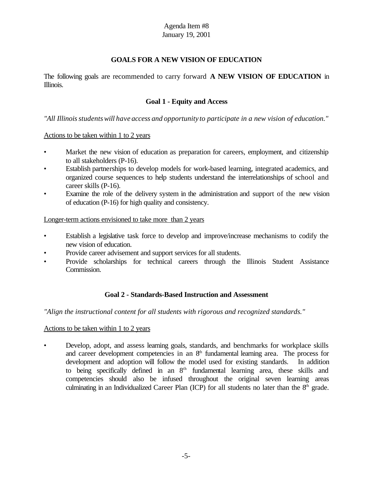# **GOALS FOR A NEW VISION OF EDUCATION**

The following goals are recommended to carry forward **A NEW VISION OF EDUCATION** in Illinois.

# **Goal 1 - Equity and Access**

*"All Illinoisstudentswill have access and opportunity to participate in a new vision of education."*

### Actions to be taken within 1 to 2 years

- Market the new vision of education as preparation for careers, employment, and citizenship to all stakeholders (P-16).
- Establish partnerships to develop models for work-based learning, integrated academics, and organized course sequences to help students understand the interrelationships of school and career skills (P-16).
- Examine the role of the delivery system in the administration and support of the new vision of education (P-16) for high quality and consistency.

### Longer-term actions envisioned to take more than 2 years

- Establish a legislative task force to develop and improve/increase mechanisms to codify the new vision of education.
- Provide career advisement and support services for all students.
- Provide scholarships for technical careers through the Illinois Student Assistance Commission.

### **Goal 2 - Standards-Based Instruction and Assessment**

### *"Align the instructional content for all students with rigorous and recognized standards."*

### Actions to be taken within 1 to 2 years

• Develop, adopt, and assess learning goals, standards, and benchmarks for workplace skills and career development competencies in an  $8<sup>th</sup>$  fundamental learning area. The process for development and adoption will follow the model used for existing standards. In addition to being specifically defined in an  $8<sup>th</sup>$  fundamental learning area, these skills and competencies should also be infused throughout the original seven learning areas culminating in an Individualized Career Plan (ICP) for all students no later than the 8<sup>th</sup> grade.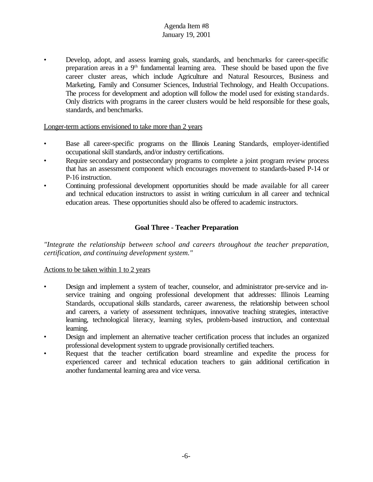• Develop, adopt, and assess learning goals, standards, and benchmarks for career-specific preparation areas in a 9<sup>th</sup> fundamental learning area. These should be based upon the five career cluster areas, which include Agriculture and Natural Resources, Business and Marketing, Family and Consumer Sciences, Industrial Technology, and Health Occupations. The process for development and adoption will follow the model used for existing standards. Only districts with programs in the career clusters would be held responsible for these goals, standards, and benchmarks.

# Longer-term actions envisioned to take more than 2 years

- Base all career-specific programs on the Illinois Leaning Standards, employer-identified occupational skill standards, and/or industry certifications.
- Require secondary and postsecondary programs to complete a joint program review process that has an assessment component which encourages movement to standards-based P-14 or P-16 instruction.
- Continuing professional development opportunities should be made available for all career and technical education instructors to assist in writing curriculum in all career and technical education areas. These opportunities should also be offered to academic instructors.

# **Goal Three - Teacher Preparation**

*"Integrate the relationship between school and careers throughout the teacher preparation, certification, and continuing development system."*

### Actions to be taken within 1 to 2 years

- Design and implement a system of teacher, counselor, and administrator pre-service and inservice training and ongoing professional development that addresses: Illinois Learning Standards, occupational skills standards, career awareness, the relationship between school and careers, a variety of assessment techniques, innovative teaching strategies, interactive learning, technological literacy, learning styles, problem-based instruction, and contextual learning.
- Design and implement an alternative teacher certification process that includes an organized professional development system to upgrade provisionally certified teachers.
- Request that the teacher certification board streamline and expedite the process for experienced career and technical education teachers to gain additional certification in another fundamental learning area and vice versa.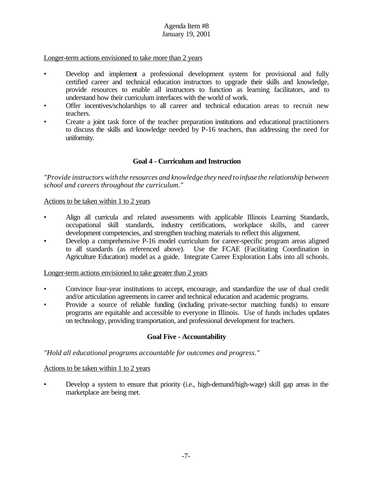Longer-term actions envisioned to take more than 2 years

- Develop and implement a professional development system for provisional and fully certified career and technical education instructors to upgrade their skills and knowledge, provide resources to enable all instructors to function as learning facilitators, and to understand how their curriculum interfaces with the world of work.
- Offer incentives/scholarships to all career and technical education areas to recruit new teachers.
- Create a joint task force of the teacher preparation institutions and educational practitioners to discuss the skills and knowledge needed by P-16 teachers, thus addressing the need for uniformity.

# **Goal 4 - Curriculum and Instruction**

*"Provide instructors with the resources and knowledge they need toinfuse the relationship between school and careers throughout the curriculum."*

Actions to be taken within 1 to 2 years

- Align all curricula and related assessments with applicable Illinois Learning Standards, occupational skill standards, industry certifications, workplace skills, and career development competencies, and strengthen teaching materials to reflect this alignment.
- Develop a comprehensive P-16 model curriculum for career-specific program areas aligned to all standards (as referenced above). Use the FCAE (Facilitating Coordination in Agriculture Education) model as a guide. Integrate Career Exploration Labs into all schools.

Longer-term actions envisioned to take greater than 2 years

- Convince four-year institutions to accept, encourage, and standardize the use of dual credit and/or articulation agreements in career and technical education and academic programs.
- Provide a source of reliable funding (including private-sector matching funds) to ensure programs are equitable and accessible to everyone in Illinois. Use of funds includes updates on technology, providing transportation, and professional development for teachers.

### **Goal Five - Accountability**

*"Hold all educational programs accountable for outcomes and progress."*

### Actions to be taken within 1 to 2 years

• Develop a system to ensure that priority (i.e., high-demand/high-wage) skill gap areas in the marketplace are being met.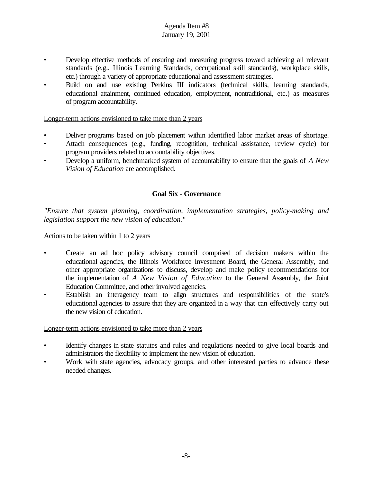- Develop effective methods of ensuring and measuring progress toward achieving all relevant standards (e.g., Illinois Learning Standards, occupational skill standards), workplace skills, etc.) through a variety of appropriate educational and assessment strategies.
- Build on and use existing Perkins III indicators (technical skills, learning standards, educational attainment, continued education, employment, nontraditional, etc.) as measures of program accountability.

# Longer-term actions envisioned to take more than 2 years

- Deliver programs based on job placement within identified labor market areas of shortage.
- Attach consequences (e.g., funding, recognition, technical assistance, review cycle) for program providers related to accountability objectives.
- Develop a uniform, benchmarked system of accountability to ensure that the goals of *A New Vision of Education* are accomplished.

# **Goal Six - Governance**

*"Ensure that system planning, coordination, implementation strategies, policy-making and legislation support the new vision of education."*

#### Actions to be taken within 1 to 2 years

- Create an ad hoc policy advisory council comprised of decision makers within the educational agencies, the Illinois Workforce Investment Board, the General Assembly, and other appropriate organizations to discuss, develop and make policy recommendations for the implementation of *A New Vision of Education* to the General Assembly, the Joint Education Committee, and other involved agencies.
- Establish an interagency team to align structures and responsibilities of the state's educational agencies to assure that they are organized in a way that can effectively carry out the new vision of education.

### Longer-term actions envisioned to take more than 2 years

- Identify changes in state statutes and rules and regulations needed to give local boards and administrators the flexibility to implement the new vision of education.
- Work with state agencies, advocacy groups, and other interested parties to advance these needed changes.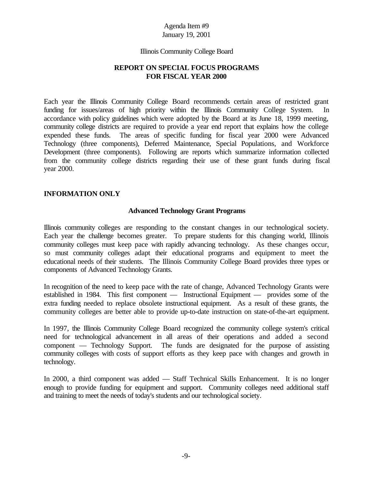#### Illinois Community College Board

# **REPORT ON SPECIAL FOCUS PROGRAMS FOR FISCAL YEAR 2000**

Each year the Illinois Community College Board recommends certain areas of restricted grant funding for issues/areas of high priority within the Illinois Community College System. In accordance with policy guidelines which were adopted by the Board at its June 18, 1999 meeting, community college districts are required to provide a year end report that explains how the college expended these funds. The areas of specific funding for fiscal year 2000 were Advanced Technology (three components), Deferred Maintenance, Special Populations, and Workforce Development (three components). Following are reports which summarize information collected from the community college districts regarding their use of these grant funds during fiscal year 2000.

### **INFORMATION ONLY**

### **Advanced Technology Grant Programs**

Illinois community colleges are responding to the constant changes in our technological society. Each year the challenge becomes greater. To prepare students for this changing world, Illinois community colleges must keep pace with rapidly advancing technology. As these changes occur, so must community colleges adapt their educational programs and equipment to meet the educational needs of their students. The Illinois Community College Board provides three types or components of Advanced Technology Grants.

In recognition of the need to keep pace with the rate of change, Advanced Technology Grants were established in 1984. This first component — Instructional Equipment — provides some of the extra funding needed to replace obsolete instructional equipment. As a result of these grants, the community colleges are better able to provide up-to-date instruction on state-of-the-art equipment.

In 1997, the Illinois Community College Board recognized the community college system's critical need for technological advancement in all areas of their operations and added a second component — Technology Support. The funds are designated for the purpose of assisting community colleges with costs of support efforts as they keep pace with changes and growth in technology.

In 2000, a third component was added — Staff Technical Skills Enhancement. It is no longer enough to provide funding for equipment and support. Community colleges need additional staff and training to meet the needs of today's students and our technological society.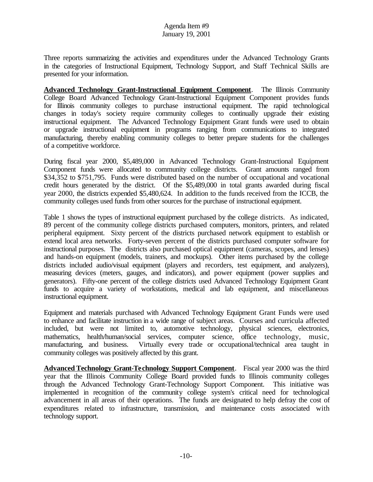Three reports summarizing the activities and expenditures under the Advanced Technology Grants in the categories of Instructional Equipment, Technology Support, and Staff Technical Skills are presented for your information.

**Advanced Technology Grant-Instructional Equipment Component**. The Illinois Community College Board Advanced Technology Grant-Instructional Equipment Component provides funds for Illinois community colleges to purchase instructional equipment. The rapid technological changes in today's society require community colleges to continually upgrade their existing instructional equipment. The Advanced Technology Equipment Grant funds were used to obtain or upgrade instructional equipment in programs ranging from communications to integrated manufacturing, thereby enabling community colleges to better prepare students for the challenges of a competitive workforce.

During fiscal year 2000, \$5,489,000 in Advanced Technology Grant-Instructional Equipment Component funds were allocated to community college districts. Grant amounts ranged from \$34,352 to \$751,795. Funds were distributed based on the number of occupational and vocational credit hours generated by the district. Of the \$5,489,000 in total grants awarded during fiscal year 2000, the districts expended \$5,480,624. In addition to the funds received from the ICCB, the community colleges used funds from other sources for the purchase of instructional equipment.

Table 1 shows the types of instructional equipment purchased by the college districts. As indicated, 89 percent of the community college districts purchased computers, monitors, printers, and related peripheral equipment. Sixty percent of the districts purchased network equipment to establish or extend local area networks. Forty-seven percent of the districts purchased computer software for instructional purposes. The districts also purchased optical equipment (cameras, scopes, and lenses) and hands-on equipment (models, trainers, and mockups). Other items purchased by the college districts included audio/visual equipment (players and recorders, test equipment, and analyzers), measuring devices (meters, gauges, and indicators), and power equipment (power supplies and generators). Fifty-one percent of the college districts used Advanced Technology Equipment Grant funds to acquire a variety of workstations, medical and lab equipment, and miscellaneous instructional equipment.

Equipment and materials purchased with Advanced Technology Equipment Grant Funds were used to enhance and facilitate instruction in a wide range of subject areas. Courses and curricula affected included, but were not limited to, automotive technology, physical sciences, electronics, mathematics, health/human/social services, computer science, office technology, music, manufacturing, and business. Virtually every trade or occupational/technical area taught in community colleges was positively affected by this grant.

**Advanced Technology Grant-Technology Support Component**. Fiscal year 2000 was the third year that the Illinois Community College Board provided funds to Illinois community colleges through the Advanced Technology Grant-Technology Support Component. This initiative was implemented in recognition of the community college system's critical need for technological advancement in all areas of their operations. The funds are designated to help defray the cost of expenditures related to infrastructure, transmission, and maintenance costs associated with technology support.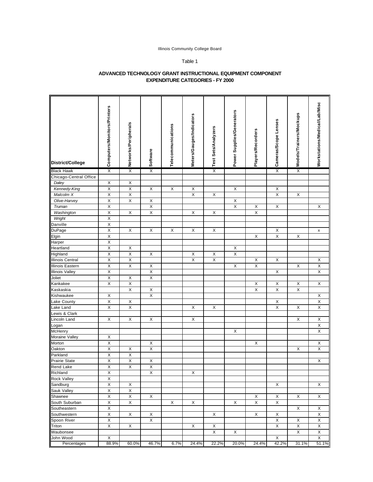#### Illinois Community College Board

#### Table 1

#### **ADVANCED TECHNOLOGY GRANT INSTRUCTIONAL EQUIPMENT COMPONENT EXPENDITURE CATEGORIES - FY 2000**

| District/College        | Computers/Monitors/Printers | Networks/Peripherals    | Software                | Telecommunications | Meters/Gauges/Indicators | Test Sets/Analyzers | Power Supplies/Generators | <b>Players/Recorders</b> | Cameras/Scope Lenses    | Models/Trainers/Mockups | Workstations/Medical/Lab/Misc |
|-------------------------|-----------------------------|-------------------------|-------------------------|--------------------|--------------------------|---------------------|---------------------------|--------------------------|-------------------------|-------------------------|-------------------------------|
| <b>Black Hawk</b>       | χ                           | $\overline{\mathsf{x}}$ | $\overline{\mathsf{x}}$ |                    |                          | Χ                   |                           |                          | $\overline{\mathsf{x}}$ | χ                       |                               |
| Chicago-Central Office  |                             |                         |                         |                    |                          |                     |                           |                          |                         |                         |                               |
| Daley                   | X                           | X                       |                         |                    |                          |                     |                           |                          |                         |                         |                               |
| Kennedy-King            | $\mathsf X$                 | $\mathsf X$             | X                       | X                  | X                        |                     | X                         |                          | Х                       |                         |                               |
| Malcolm X               | X                           | $\mathsf X$             |                         |                    | $\mathsf X$              | $\mathsf X$         |                           |                          | $\mathsf X$             | $\mathsf X$             |                               |
| Olive-Harvey            | Χ                           | $\overline{X}$          | $\mathsf X$             |                    |                          |                     | Χ                         |                          |                         |                         |                               |
| Truman                  | $\overline{\mathsf{X}}$     |                         | $\overline{\mathsf{X}}$ |                    |                          |                     | $\overline{X}$            | $\mathsf X$              | X                       |                         | X                             |
| Washington              | X                           | X                       | X                       |                    | X                        | X                   |                           | $\mathsf X$              |                         |                         |                               |
| Wright                  | $\overline{\mathsf{x}}$     |                         |                         |                    |                          |                     |                           |                          |                         |                         |                               |
| Danville                | $\mathsf X$                 |                         |                         |                    |                          |                     |                           |                          |                         |                         |                               |
| DuPage                  | $\overline{\mathsf{x}}$     | X                       | X                       | X                  | X                        | $\mathsf X$         |                           |                          | X                       |                         | $\pmb{\mathsf{x}}$            |
| Elgin                   | $\overline{\mathsf{X}}$     |                         |                         |                    |                          |                     |                           | X                        | $\overline{\mathsf{x}}$ | $\mathsf X$             |                               |
| Harper                  | $\mathsf X$                 |                         |                         |                    |                          |                     |                           |                          |                         |                         |                               |
| Heartland               | Χ                           | X                       |                         |                    |                          |                     | X                         |                          |                         |                         |                               |
| Highland                | $\overline{\mathsf{X}}$     | $\overline{\mathsf{X}}$ | $\mathsf X$             |                    | $\mathsf X$              | $\mathsf X$         | $\overline{\mathsf{x}}$   |                          |                         |                         |                               |
|                         |                             |                         |                         |                    |                          |                     |                           |                          |                         |                         |                               |
| <b>Illinois Central</b> | X                           | $\mathsf X$             |                         |                    | $\mathsf X$              | $\mathsf X$         |                           | X                        | X                       |                         | X                             |
| Illinois Eastern        | $\overline{\mathsf{x}}$     | $\overline{\mathsf{X}}$ | $\mathsf X$             |                    |                          |                     | X                         | $\overline{X}$           |                         | $\mathsf X$             | $\overline{\mathsf{X}}$       |
| <b>Illinois Valley</b>  | $\mathsf X$                 |                         | $\mathsf X$             |                    |                          |                     |                           |                          | X                       |                         | X                             |
| Joliet                  | $\overline{\mathsf{X}}$     | X                       | $\mathsf X$             |                    |                          |                     |                           |                          |                         |                         |                               |
| Kankakee                | $\overline{\mathsf{x}}$     | $\overline{\mathsf{X}}$ |                         |                    |                          |                     |                           | X                        | X                       | $\mathsf X$             | $\mathsf X$                   |
| Kaskaskia               |                             | $\mathsf X$             | X                       |                    |                          |                     |                           | $\overline{\mathsf{X}}$  | X                       | $\mathsf X$             |                               |
| Kishwaukee              | $\mathsf X$                 |                         | X                       |                    |                          |                     |                           |                          |                         |                         | X                             |
| Lake County             | $\overline{\mathsf{X}}$     | X                       |                         |                    |                          |                     |                           |                          | X                       |                         | $\overline{\mathsf{X}}$       |
| Lake Land               | $\mathsf X$                 | $\mathsf X$             |                         |                    | X                        | X                   |                           |                          | $\mathsf X$             | $\mathsf X$             | $\mathsf X$                   |
| Lewis & Clark           |                             |                         |                         |                    |                          |                     |                           |                          |                         |                         |                               |
| Lincoln Land            | X                           | X                       | $\mathsf X$             |                    | X                        |                     |                           |                          |                         | Χ                       | X                             |
| Logan                   |                             |                         |                         |                    |                          |                     |                           |                          |                         |                         | $\mathsf X$                   |
| McHenry                 |                             |                         |                         |                    |                          |                     | X                         |                          |                         |                         | $\overline{\mathsf{x}}$       |
| Moraine Valley          | X                           |                         |                         |                    |                          |                     |                           |                          |                         |                         |                               |
| Morton                  | Χ                           |                         | X                       |                    |                          |                     |                           | X                        |                         |                         | X                             |
| Oakton                  | $\mathsf X$                 | X                       | $\overline{\mathsf{X}}$ |                    |                          |                     |                           |                          |                         | X                       | $\overline{\mathsf{X}}$       |
| Parkland                | $\mathsf X$                 | $\mathsf X$             |                         |                    |                          |                     |                           |                          |                         |                         |                               |
| <b>Prairie State</b>    | $\overline{\mathsf{x}}$     | $\overline{\mathsf{x}}$ | $\mathsf X$             |                    |                          |                     |                           |                          |                         |                         | $\mathsf X$                   |
| <b>Rend Lake</b>        | X                           | X                       | X                       |                    |                          |                     |                           |                          |                         |                         |                               |
| Richland                | $\mathsf X$                 |                         | X                       |                    | X                        |                     |                           |                          |                         |                         |                               |
| Rock Valley             | X                           |                         |                         |                    |                          |                     |                           |                          |                         |                         |                               |
| Sandburg                | $\overline{\mathsf{X}}$     | X                       |                         |                    |                          |                     |                           |                          | X                       |                         | X                             |
| Sauk Valley             | $\overline{\mathsf{X}}$     | $\mathsf X$             |                         |                    |                          |                     |                           |                          |                         |                         |                               |
| Shawnee                 | $\overline{\mathsf{X}}$     | X                       | X                       |                    |                          |                     |                           | X                        | X                       | X                       | X                             |
| South Suburban          | X                           | X                       |                         | Х                  | X                        |                     | X                         | X                        | Х                       |                         |                               |
| Southeastern            | $\overline{\mathsf{X}}$     |                         |                         |                    |                          |                     |                           |                          |                         | X                       | X                             |
| Southwestern            | Χ                           | X                       | Χ                       |                    |                          | X                   |                           | Χ                        | X                       |                         | X                             |
| Spoon River             | X                           |                         | $\mathsf X$             |                    |                          |                     |                           |                          | $\mathsf X$             | X                       | X                             |
|                         | X                           |                         |                         |                    |                          |                     |                           |                          | $\mathsf X$             | $\mathsf X$             | X                             |
| Triton                  |                             | X                       |                         |                    | X                        | X                   |                           |                          |                         |                         |                               |
| Waubonsee               |                             |                         |                         |                    |                          | X                   | X                         |                          |                         | Χ                       | X                             |
| John Wood               | $\mathsf X$                 |                         |                         |                    |                          |                     |                           |                          | X                       |                         | $\mathsf X$                   |
| Percentages             | 88.9%                       | 60.0%                   | 46.7%                   | 6.7%               | 24.4%                    | 22.2%               | 20.0%                     | 24.4%                    | 42.2%                   | 31.1%                   | 51.1%                         |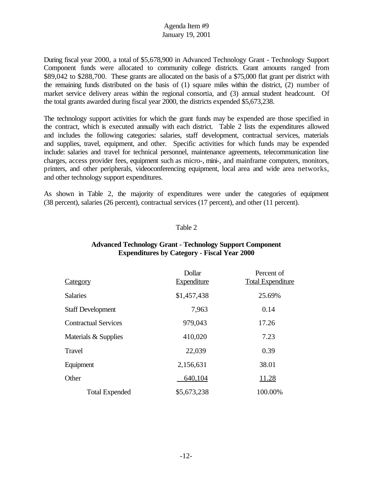During fiscal year 2000, a total of \$5,678,900 in Advanced Technology Grant - Technology Support Component funds were allocated to community college districts. Grant amounts ranged from \$89,042 to \$288,700. These grants are allocated on the basis of a \$75,000 flat grant per district with the remaining funds distributed on the basis of (1) square miles within the district, (2) number of market service delivery areas within the regional consortia, and (3) annual student headcount. Of the total grants awarded during fiscal year 2000, the districts expended \$5,673,238.

The technology support activities for which the grant funds may be expended are those specified in the contract, which is executed annually with each district. Table 2 lists the expenditures allowed and includes the following categories: salaries, staff development, contractual services, materials and supplies, travel, equipment, and other. Specific activities for which funds may be expended include: salaries and travel for technical personnel, maintenance agreements, telecommunication line charges, access provider fees, equipment such as micro-, mini-, and mainframe computers, monitors, printers, and other peripherals, videoconferencing equipment, local area and wide area networks, and other technology support expenditures.

As shown in Table 2, the majority of expenditures were under the categories of equipment (38 percent), salaries (26 percent), contractual services (17 percent), and other (11 percent).

### Table 2

| <b>Category</b>             | Dollar<br><b>Expenditure</b> | Percent of<br><b>Total Expenditure</b> |
|-----------------------------|------------------------------|----------------------------------------|
| <b>Salaries</b>             | \$1,457,438                  | 25.69%                                 |
| <b>Staff Development</b>    | 7,963                        | 0.14                                   |
| <b>Contractual Services</b> | 979,043                      | 17.26                                  |
| Materials & Supplies        | 410,020                      | 7.23                                   |
| <b>Travel</b>               | 22,039                       | 0.39                                   |
| Equipment                   | 2,156,631                    | 38.01                                  |
| Other                       | 640,104                      | 11.28                                  |
| <b>Total Expended</b>       | \$5,673,238                  | 100.00%                                |

# **Advanced Technology Grant - Technology Support Component Expenditures by Category - Fiscal Year 2000**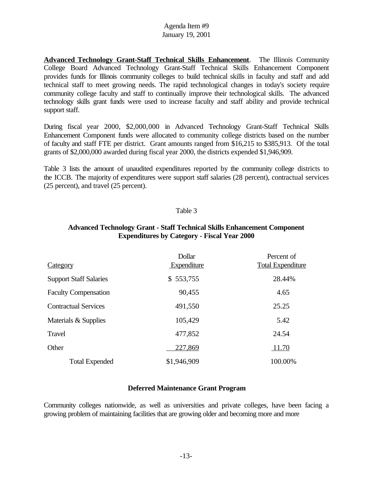**Advanced Technology Grant-Staff Technical Skills Enhancement**. The Illinois Community College Board Advanced Technology Grant-Staff Technical Skills Enhancement Component provides funds for Illinois community colleges to build technical skills in faculty and staff and add technical staff to meet growing needs. The rapid technological changes in today's society require community college faculty and staff to continually improve their technological skills. The advanced technology skills grant funds were used to increase faculty and staff ability and provide technical support staff.

During fiscal year 2000, \$2,000,000 in Advanced Technology Grant-Staff Technical Skills Enhancement Component funds were allocated to community college districts based on the number of faculty and staff FTE per district. Grant amounts ranged from \$16,215 to \$385,913. Of the total grants of \$2,000,000 awarded during fiscal year 2000, the districts expended \$1,946,909.

Table 3 lists the amount of unaudited expenditures reported by the community college districts to the ICCB. The majority of expenditures were support staff salaries (28 percent), contractual services (25 percent), and travel (25 percent).

# Table 3

| <b>Category</b>               | Dollar<br>Expenditure | Percent of<br><b>Total Expenditure</b> |
|-------------------------------|-----------------------|----------------------------------------|
| <b>Support Staff Salaries</b> | \$553,755             | 28.44%                                 |
| <b>Faculty Compensation</b>   | 90,455                | 4.65                                   |
| <b>Contractual Services</b>   | 491,550               | 25.25                                  |
| Materials & Supplies          | 105,429               | 5.42                                   |
| Travel                        | 477,852               | 24.54                                  |
| Other                         | 227,869               | 11.70                                  |
| <b>Total Expended</b>         | \$1,946,909           | 100.00%                                |

# **Advanced Technology Grant - Staff Technical Skills Enhancement Component Expenditures by Category - Fiscal Year 2000**

# **Deferred Maintenance Grant Program**

Community colleges nationwide, as well as universities and private colleges, have been facing a growing problem of maintaining facilities that are growing older and becoming more and more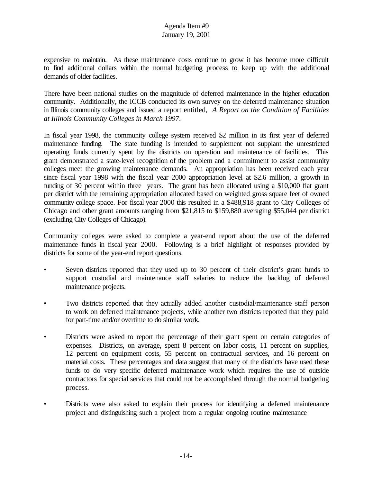expensive to maintain. As these maintenance costs continue to grow it has become more difficult to find additional dollars within the normal budgeting process to keep up with the additional demands of older facilities.

There have been national studies on the magnitude of deferred maintenance in the higher education community. Additionally, the ICCB conducted its own survey on the deferred maintenance situation in Illinois community colleges and issued a report entitled, *A Report on the Condition of Facilities at Illinois Community Colleges in March 1997*.

In fiscal year 1998, the community college system received \$2 million in its first year of deferred maintenance funding. The state funding is intended to supplement not supplant the unrestricted operating funds currently spent by the districts on operation and maintenance of facilities. This grant demonstrated a state-level recognition of the problem and a commitment to assist community colleges meet the growing maintenance demands. An appropriation has been received each year since fiscal year 1998 with the fiscal year 2000 appropriation level at \$2.6 million, a growth in funding of 30 percent within three years. The grant has been allocated using a \$10,000 flat grant per district with the remaining appropriation allocated based on weighted gross square feet of owned community college space. For fiscal year 2000 this resulted in a \$488,918 grant to City Colleges of Chicago and other grant amounts ranging from \$21,815 to \$159,880 averaging \$55,044 per district (excluding City Colleges of Chicago).

Community colleges were asked to complete a year-end report about the use of the deferred maintenance funds in fiscal year 2000. Following is a brief highlight of responses provided by districts for some of the year-end report questions.

- Seven districts reported that they used up to 30 percent of their district's grant funds to support custodial and maintenance staff salaries to reduce the backlog of deferred maintenance projects.
- Two districts reported that they actually added another custodial/maintenance staff person to work on deferred maintenance projects, while another two districts reported that they paid for part-time and/or overtime to do similar work.
- Districts were asked to report the percentage of their grant spent on certain categories of expenses. Districts, on average, spent 8 percent on labor costs, 11 percent on supplies, 12 percent on equipment costs, 55 percent on contractual services, and 16 percent on material costs. These percentages and data suggest that many of the districts have used these funds to do very specific deferred maintenance work which requires the use of outside contractors for special services that could not be accomplished through the normal budgeting process.
- Districts were also asked to explain their process for identifying a deferred maintenance project and distinguishing such a project from a regular ongoing routine maintenance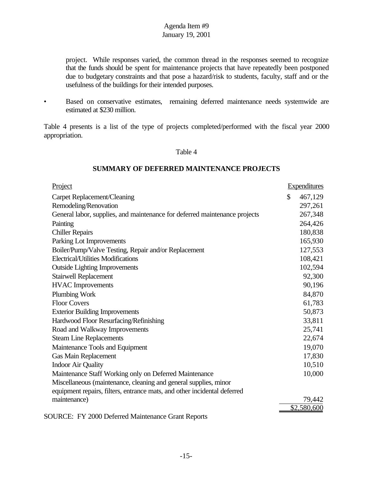project. While responses varied, the common thread in the responses seemed to recognize that the funds should be spent for maintenance projects that have repeatedly been postponed due to budgetary constraints and that pose a hazard/risk to students, faculty, staff and or the usefulness of the buildings for their intended purposes.

• Based on conservative estimates, remaining deferred maintenance needs systemwide are estimated at \$230 million.

Table 4 presents is a list of the type of projects completed/performed with the fiscal year 2000 appropriation.

#### Table 4

# **SUMMARY OF DEFERRED MAINTENANCE PROJECTS**

| Project                                                                    | <b>Expenditures</b> |
|----------------------------------------------------------------------------|---------------------|
| Carpet Replacement/Cleaning                                                | \$<br>467,129       |
| Remodeling/Renovation                                                      | 297,261             |
| General labor, supplies, and maintenance for deferred maintenance projects | 267,348             |
| Painting                                                                   | 264,426             |
| <b>Chiller Repairs</b>                                                     | 180,838             |
| Parking Lot Improvements                                                   | 165,930             |
| Boiler/Pump/Valve Testing, Repair and/or Replacement                       | 127,553             |
| Electrical/Utilities Modifications                                         | 108,421             |
| <b>Outside Lighting Improvements</b>                                       | 102,594             |
| <b>Stairwell Replacement</b>                                               | 92,300              |
| <b>HVAC</b> Improvements                                                   | 90,196              |
| Plumbing Work                                                              | 84,870              |
| <b>Floor Covers</b>                                                        | 61,783              |
| <b>Exterior Building Improvements</b>                                      | 50,873              |
| Hardwood Floor Resurfacing/Refinishing                                     | 33,811              |
| Road and Walkway Improvements                                              | 25,741              |
| <b>Steam Line Replacements</b>                                             | 22,674              |
| Maintenance Tools and Equipment                                            | 19,070              |
| <b>Gas Main Replacement</b>                                                | 17,830              |
| <b>Indoor Air Quality</b>                                                  | 10,510              |
| Maintenance Staff Working only on Deferred Maintenance                     | 10,000              |
| Miscellaneous (maintenance, cleaning and general supplies, minor           |                     |
| equipment repairs, filters, entrance mats, and other incidental deferred   |                     |
| maintenance)                                                               | 79,442              |
|                                                                            | \$2,580,600         |

SOURCE: FY 2000 Deferred Maintenance Grant Reports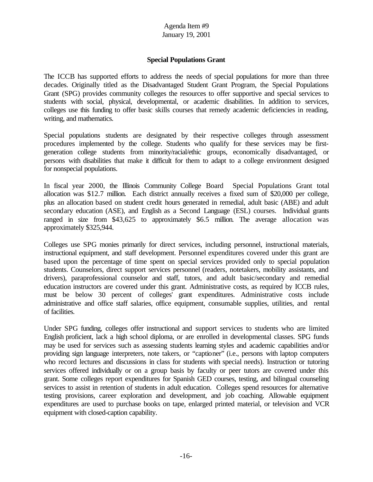# **Special Populations Grant**

The ICCB has supported efforts to address the needs of special populations for more than three decades. Originally titled as the Disadvantaged Student Grant Program, the Special Populations Grant (SPG) provides community colleges the resources to offer supportive and special services to students with social, physical, developmental, or academic disabilities. In addition to services, colleges use this funding to offer basic skills courses that remedy academic deficiencies in reading, writing, and mathematics.

Special populations students are designated by their respective colleges through assessment procedures implemented by the college. Students who qualify for these services may be firstgeneration college students from minority/racial/ethic groups, economically disadvantaged, or persons with disabilities that make it difficult for them to adapt to a college environment designed for nonspecial populations.

In fiscal year 2000, the Illinois Community College Board Special Populations Grant total allocation was \$12.7 million. Each district annually receives a fixed sum of \$20,000 per college, plus an allocation based on student credit hours generated in remedial, adult basic (ABE) and adult secondary education (ASE), and English as a Second Language (ESL) courses. Individual grants ranged in size from \$43,625 to approximately \$6.5 million. The average allocation was approximately \$325,944.

Colleges use SPG monies primarily for direct services, including personnel, instructional materials, instructional equipment, and staff development. Personnel expenditures covered under this grant are based upon the percentage of time spent on special services provided only to special population students. Counselors, direct support services personnel (readers, notetakers, mobility assistants, and drivers), paraprofessional counselor and staff, tutors, and adult basic/secondary and remedial education instructors are covered under this grant. Administrative costs, as required by ICCB rules, must be below 30 percent of colleges' grant expenditures. Administrative costs include administrative and office staff salaries, office equipment, consumable supplies, utilities, and rental of facilities.

Under SPG funding, colleges offer instructional and support services to students who are limited English proficient, lack a high school diploma, or are enrolled in developmental classes. SPG funds may be used for services such as assessing students learning styles and academic capabilities and/or providing sign language interpreters, note takers, or "captioner" (i.e., persons with laptop computers who record lectures and discussions in class for students with special needs). Instruction or tutoring services offered individually or on a group basis by faculty or peer tutors are covered under this grant. Some colleges report expenditures for Spanish GED courses, testing, and bilingual counseling services to assist in retention of students in adult education. Colleges spend resources for alternative testing provisions, career exploration and development, and job coaching. Allowable equipment expenditures are used to purchase books on tape, enlarged printed material, or television and VCR equipment with closed-caption capability.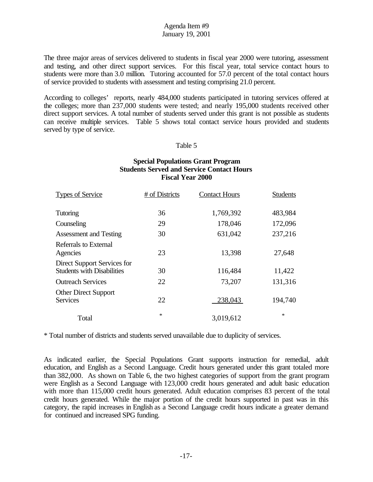The three major areas of services delivered to students in fiscal year 2000 were tutoring, assessment and testing, and other direct support services. For this fiscal year, total service contact hours to students were more than 3.0 million. Tutoring accounted for 57.0 percent of the total contact hours of service provided to students with assessment and testing comprising 21.0 percent.

According to colleges' reports, nearly 484,000 students participated in tutoring services offered at the colleges; more than 237,000 students were tested; and nearly 195,000 students received other direct support services. A total number of students served under this grant is not possible as students can receive multiple services. Table 5 shows total contact service hours provided and students served by type of service.

### Table 5

### **Special Populations Grant Program Students Served and Service Contact Hours Fiscal Year 2000**

| <b>Types of Service</b>                                          | # of Districts | <b>Contact Hours</b> | <b>Students</b> |
|------------------------------------------------------------------|----------------|----------------------|-----------------|
| Tutoring                                                         | 36             | 1,769,392            | 483,984         |
| Counseling                                                       | 29             | 178,046              | 172,096         |
| <b>Assessment and Testing</b>                                    | 30             | 631,042              | 237,216         |
| Referrals to External<br>Agencies                                | 23             | 13,398               | 27,648          |
| Direct Support Services for<br><b>Students with Disabilities</b> | 30             | 116,484              | 11,422          |
| <b>Outreach Services</b>                                         | 22             | 73,207               | 131,316         |
| <b>Other Direct Support</b><br><b>Services</b>                   | 22             | 238,043              | 194,740         |
| Total                                                            | $\ast$         | 3,019,612            | $\ast$          |

\* Total number of districts and students served unavailable due to duplicity of services.

As indicated earlier, the Special Populations Grant supports instruction for remedial, adult education, and English as a Second Language. Credit hours generated under this grant totaled more than 382,000. As shown on Table 6, the two highest categories of support from the grant program were English as a Second Language with 123,000 credit hours generated and adult basic education with more than 115,000 credit hours generated. Adult education comprises 83 percent of the total credit hours generated. While the major portion of the credit hours supported in past was in this category, the rapid increases in English as a Second Language credit hours indicate a greater demand for continued and increased SPG funding.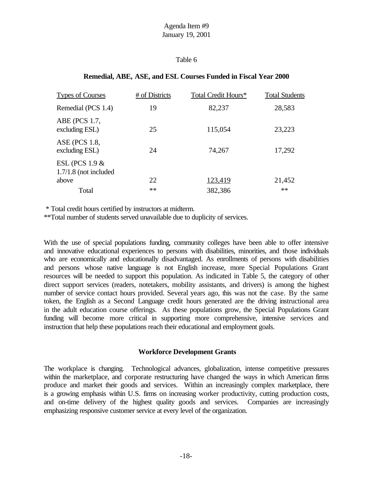# Table 6

# **Remedial, ABE, ASE, and ESL Courses Funded in Fiscal Year 2000**

| # of Districts | Total Credit Hours* | <b>Total Students</b> |
|----------------|---------------------|-----------------------|
| 19             | 82,237              | 28,583                |
| 25             | 115,054             | 23,223                |
| 24             | 74,267              | 17,292                |
|                |                     | 21,452                |
| **             |                     | $**$                  |
|                | 22                  | 123,419<br>382,386    |

\* Total credit hours certified by instructors at midterm.

\*\*Total number of students served unavailable due to duplicity of services.

With the use of special populations funding, community colleges have been able to offer intensive and innovative educational experiences to persons with disabilities, minorities, and those individuals who are economically and educationally disadvantaged. As enrollments of persons with disabilities and persons whose native language is not English increase, more Special Populations Grant resources will be needed to support this population. As indicated in Table 5, the category of other direct support services (readers, notetakers, mobility assistants, and drivers) is among the highest number of service contact hours provided. Several years ago, this was not the case. By the same token, the English as a Second Language credit hours generated are the driving instructional area in the adult education course offerings. As these populations grow, the Special Populations Grant funding will become more critical in supporting more comprehensive, intensive services and instruction that help these populations reach their educational and employment goals.

### **Workforce Development Grants**

The workplace is changing. Technological advances, globalization, intense competitive pressures within the marketplace, and corporate restructuring have changed the ways in which American firms produce and market their goods and services. Within an increasingly complex marketplace, there is a growing emphasis within U.S. firms on increasing worker productivity, cutting production costs, and on-time delivery of the highest quality goods and services. Companies are increasingly emphasizing responsive customer service at every level of the organization.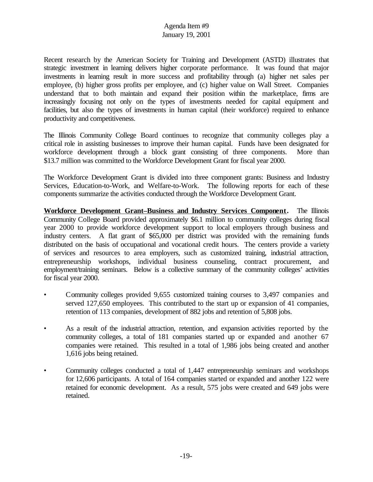Recent research by the American Society for Training and Development (ASTD) illustrates that strategic investment in learning delivers higher corporate performance. It was found that major investments in learning result in more success and profitability through (a) higher net sales per employee, (b) higher gross profits per employee, and (c) higher value on Wall Street. Companies understand that to both maintain and expand their position within the marketplace, firms are increasingly focusing not only on the types of investments needed for capital equipment and facilities, but also the types of investments in human capital (their workforce) required to enhance productivity and competitiveness.

The Illinois Community College Board continues to recognize that community colleges play a critical role in assisting businesses to improve their human capital. Funds have been designated for workforce development through a block grant consisting of three components. More than \$13.7 million was committed to the Workforce Development Grant for fiscal year 2000.

The Workforce Development Grant is divided into three component grants: Business and Industry Services, Education-to-Work, and Welfare-to-Work. The following reports for each of these components summarize the activities conducted through the Workforce Development Grant.

**Workforce Development Grant–Business and Industry Services Component.** The Illinois Community College Board provided approximately \$6.1 million to community colleges during fiscal year 2000 to provide workforce development support to local employers through business and industry centers. A flat grant of \$65,000 per district was provided with the remaining funds distributed on the basis of occupational and vocational credit hours. The centers provide a variety of services and resources to area employers, such as customized training, industrial attraction, entrepreneurship workshops, individual business counseling, contract procurement, and employment/training seminars. Below is a collective summary of the community colleges' activities for fiscal year 2000.

- Community colleges provided 9,655 customized training courses to 3,497 companies and served 127,650 employees. This contributed to the start up or expansion of 41 companies, retention of 113 companies, development of 882 jobs and retention of 5,808 jobs.
- As a result of the industrial attraction, retention, and expansion activities reported by the community colleges, a total of 181 companies started up or expanded and another 67 companies were retained. This resulted in a total of 1,986 jobs being created and another 1,616 jobs being retained.
- Community colleges conducted a total of 1,447 entrepreneurship seminars and workshops for 12,606 participants. A total of 164 companies started or expanded and another 122 were retained for economic development. As a result, 575 jobs were created and 649 jobs were retained.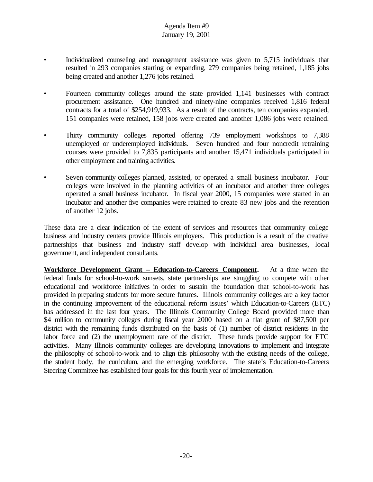- Individualized counseling and management assistance was given to 5,715 individuals that resulted in 293 companies starting or expanding, 279 companies being retained, 1,185 jobs being created and another 1,276 jobs retained.
- Fourteen community colleges around the state provided 1,141 businesses with contract procurement assistance. One hundred and ninety-nine companies received 1,816 federal contracts for a total of \$254,919,933. As a result of the contracts, ten companies expanded, 151 companies were retained, 158 jobs were created and another 1,086 jobs were retained.
- Thirty community colleges reported offering 739 employment workshops to 7,388 unemployed or underemployed individuals. Seven hundred and four noncredit retraining courses were provided to 7,835 participants and another 15,471 individuals participated in other employment and training activities.
- Seven community colleges planned, assisted, or operated a small business incubator. Four colleges were involved in the planning activities of an incubator and another three colleges operated a small business incubator. In fiscal year 2000, 15 companies were started in an incubator and another five companies were retained to create 83 new jobs and the retention of another 12 jobs.

These data are a clear indication of the extent of services and resources that community college business and industry centers provide Illinois employers. This production is a result of the creative partnerships that business and industry staff develop with individual area businesses, local government, and independent consultants.

**Workforce Development Grant – Education-to-Careers Component.** At a time when the federal funds for school-to-work sunsets, state partnerships are struggling to compete with other educational and workforce initiatives in order to sustain the foundation that school-to-work has provided in preparing students for more secure futures. Illinois community colleges are a key factor in the continuing improvement of the educational reform issues' which Education-to-Careers (ETC) has addressed in the last four years. The Illinois Community College Board provided more than \$4 million to community colleges during fiscal year 2000 based on a flat grant of \$87,500 per district with the remaining funds distributed on the basis of (1) number of district residents in the labor force and (2) the unemployment rate of the district. These funds provide support for ETC activities. Many Illinois community colleges are developing innovations to implement and integrate the philosophy of school-to-work and to align this philosophy with the existing needs of the college, the student body, the curriculum, and the emerging workforce. The state's Education-to-Careers Steering Committee has established four goals for this fourth year of implementation.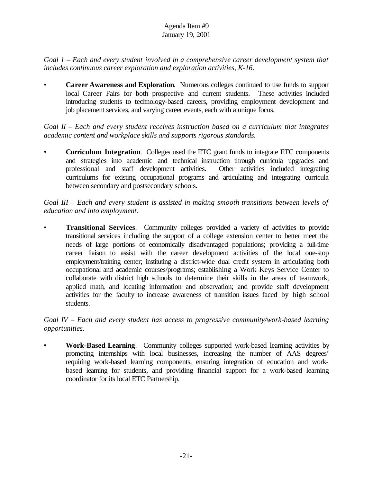*Goal 1 – Each and every student involved in a comprehensive career development system that includes continuous career exploration and exploration activities, K-16.*

• **Career Awareness and Exploration**. Numerous colleges continued to use funds to support local Career Fairs for both prospective and current students. These activities included introducing students to technology-based careers, providing employment development and job placement services, and varying career events, each with a unique focus.

*Goal II – Each and every student receives instruction based on a curriculum that integrates academic content and workplace skills and supports rigorous standards.*

• **Curriculum Integration**. Colleges used the ETC grant funds to integrate ETC components and strategies into academic and technical instruction through curricula upgrades and professional and staff development activities. Other activities included integrating curriculums for existing occupational programs and articulating and integrating curricula between secondary and postsecondary schools.

*Goal III – Each and every student is assisted in making smooth transitions between levels of education and into employment.*

• **Transitional Services**. Community colleges provided a variety of activities to provide transitional services including the support of a college extension center to better meet the needs of large portions of economically disadvantaged populations; providing a full-time career liaison to assist with the career development activities of the local one-stop employment/training center; instituting a district-wide dual credit system in articulating both occupational and academic courses/programs; establishing a Work Keys Service Center to collaborate with district high schools to determine their skills in the areas of teamwork, applied math, and locating information and observation; and provide staff development activities for the faculty to increase awareness of transition issues faced by high school students.

*Goal IV – Each and every student has access to progressive community/work-based learning opportunities.*

**• Work-Based Learning**. Community colleges supported work-based learning activities by promoting internships with local businesses, increasing the number of AAS degrees' requiring work-based learning components, ensuring integration of education and workbased learning for students, and providing financial support for a work-based learning coordinator for its local ETC Partnership.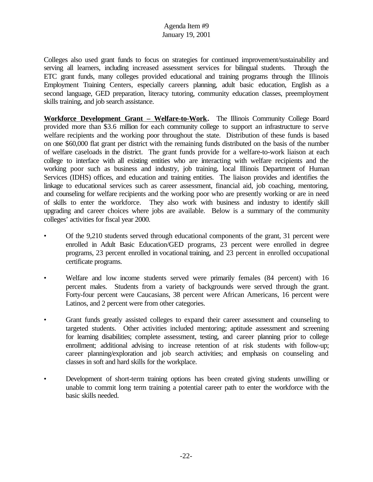Colleges also used grant funds to focus on strategies for continued improvement/sustainability and serving all learners, including increased assessment services for bilingual students. Through the ETC grant funds, many colleges provided educational and training programs through the Illinois Employment Training Centers, especially careers planning, adult basic education, English as a second language, GED preparation, literacy tutoring, community education classes, preemployment skills training, and job search assistance.

**Workforce Development Grant – Welfare-to-Work.** The Illinois Community College Board provided more than \$3.6 million for each community college to support an infrastructure to serve welfare recipients and the working poor throughout the state. Distribution of these funds is based on one \$60,000 flat grant per district with the remaining funds distributed on the basis of the number of welfare caseloads in the district. The grant funds provide for a welfare-to-work liaison at each college to interface with all existing entities who are interacting with welfare recipients and the working poor such as business and industry, job training, local Illinois Department of Human Services (IDHS) offices, and education and training entities. The liaison provides and identifies the linkage to educational services such as career assessment, financial aid, job coaching, mentoring, and counseling for welfare recipients and the working poor who are presently working or are in need of skills to enter the workforce. They also work with business and industry to identify skill upgrading and career choices where jobs are available. Below is a summary of the community colleges' activities for fiscal year 2000.

- Of the 9,210 students served through educational components of the grant, 31 percent were enrolled in Adult Basic Education/GED programs, 23 percent were enrolled in degree programs, 23 percent enrolled in vocational training, and 23 percent in enrolled occupational certificate programs.
- Welfare and low income students served were primarily females (84 percent) with 16 percent males. Students from a variety of backgrounds were served through the grant. Forty-four percent were Caucasians, 38 percent were African Americans, 16 percent were Latinos, and 2 percent were from other categories.
- Grant funds greatly assisted colleges to expand their career assessment and counseling to targeted students. Other activities included mentoring; aptitude assessment and screening for learning disabilities; complete assessment, testing, and career planning prior to college enrollment; additional advising to increase retention of at risk students with follow-up; career planning/exploration and job search activities; and emphasis on counseling and classes in soft and hard skills for the workplace.
- Development of short-term training options has been created giving students unwilling or unable to commit long term training a potential career path to enter the workforce with the basic skills needed.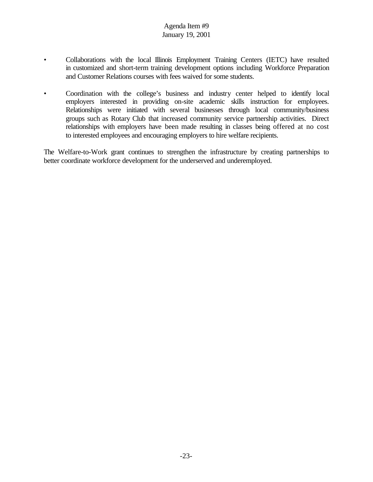- Collaborations with the local Illinois Employment Training Centers (IETC) have resulted in customized and short-term training development options including Workforce Preparation and Customer Relations courses with fees waived for some students.
- Coordination with the college's business and industry center helped to identify local employers interested in providing on-site academic skills instruction for employees. Relationships were initiated with several businesses through local community/business groups such as Rotary Club that increased community service partnership activities. Direct relationships with employers have been made resulting in classes being offered at no cost to interested employees and encouraging employers to hire welfare recipients.

The Welfare-to-Work grant continues to strengthen the infrastructure by creating partnerships to better coordinate workforce development for the underserved and underemployed.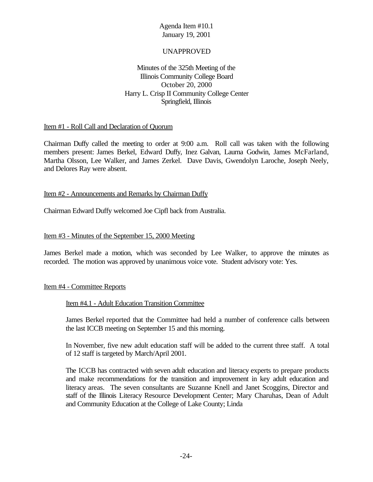# UNAPPROVED

# Minutes of the 325th Meeting of the Illinois Community College Board October 20, 2000 Harry L. Crisp II Community College Center Springfield, Illinois

### Item #1 - Roll Call and Declaration of Quorum

Chairman Duffy called the meeting to order at 9:00 a.m. Roll call was taken with the following members present: James Berkel, Edward Duffy, Inez Galvan, Laurna Godwin, James McFarland, Martha Olsson, Lee Walker, and James Zerkel. Dave Davis, Gwendolyn Laroche, Joseph Neely, and Delores Ray were absent.

### Item #2 - Announcements and Remarks by Chairman Duffy

Chairman Edward Duffy welcomed Joe Cipfl back from Australia.

#### Item #3 - Minutes of the September 15, 2000 Meeting

James Berkel made a motion, which was seconded by Lee Walker, to approve the minutes as recorded. The motion was approved by unanimous voice vote. Student advisory vote: Yes.

#### Item #4 - Committee Reports

#### Item #4.1 - Adult Education Transition Committee

James Berkel reported that the Committee had held a number of conference calls between the last ICCB meeting on September 15 and this morning.

In November, five new adult education staff will be added to the current three staff. A total of 12 staff is targeted by March/April 2001.

The ICCB has contracted with seven adult education and literacy experts to prepare products and make recommendations for the transition and improvement in key adult education and literacy areas. The seven consultants are Suzanne Knell and Janet Scoggins, Director and staff of the Illinois Literacy Resource Development Center; Mary Charuhas, Dean of Adult and Community Education at the College of Lake County; Linda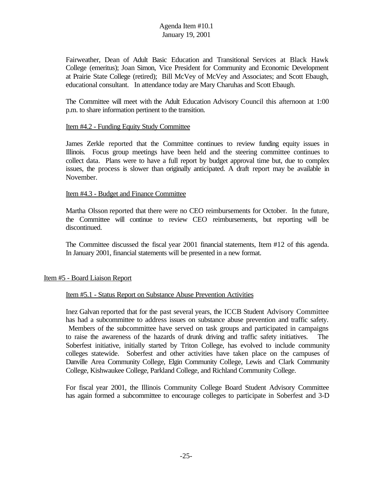Fairweather, Dean of Adult Basic Education and Transitional Services at Black Hawk College (emeritus); Joan Simon, Vice President for Community and Economic Development at Prairie State College (retired); Bill McVey of McVey and Associates; and Scott Ebaugh, educational consultant. In attendance today are Mary Charuhas and Scott Ebaugh.

The Committee will meet with the Adult Education Advisory Council this afternoon at 1:00 p.m. to share information pertinent to the transition.

### Item #4.2 - Funding Equity Study Committee

James Zerkle reported that the Committee continues to review funding equity issues in Illinois. Focus group meetings have been held and the steering committee continues to collect data. Plans were to have a full report by budget approval time but, due to complex issues, the process is slower than originally anticipated. A draft report may be available in November.

#### Item #4.3 - Budget and Finance Committee

Martha Olsson reported that there were no CEO reimbursements for October. In the future, the Committee will continue to review CEO reimbursements, but reporting will be discontinued.

The Committee discussed the fiscal year 2001 financial statements, Item #12 of this agenda. In January 2001, financial statements will be presented in a new format.

#### Item #5 - Board Liaison Report

#### Item #5.1 - Status Report on Substance Abuse Prevention Activities

Inez Galvan reported that for the past several years, the ICCB Student Advisory Committee has had a subcommittee to address issues on substance abuse prevention and traffic safety. Members of the subcommittee have served on task groups and participated in campaigns to raise the awareness of the hazards of drunk driving and traffic safety initiatives. The Soberfest initiative, initially started by Triton College, has evolved to include community colleges statewide. Soberfest and other activities have taken place on the campuses of Danville Area Community College, Elgin Community College, Lewis and Clark Community College, Kishwaukee College, Parkland College, and Richland Community College.

For fiscal year 2001, the Illinois Community College Board Student Advisory Committee has again formed a subcommittee to encourage colleges to participate in Soberfest and 3-D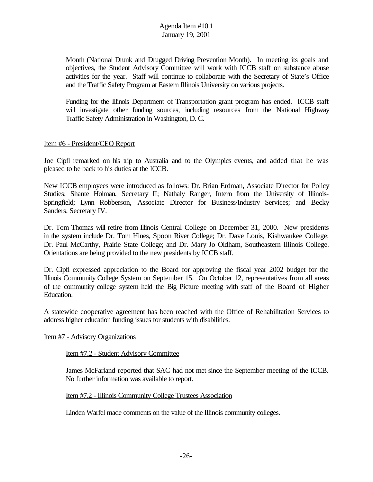Month (National Drunk and Drugged Driving Prevention Month). In meeting its goals and objectives, the Student Advisory Committee will work with ICCB staff on substance abuse activities for the year. Staff will continue to collaborate with the Secretary of State's Office and the Traffic Safety Program at Eastern Illinois University on various projects.

Funding for the Illinois Department of Transportation grant program has ended. ICCB staff will investigate other funding sources, including resources from the National Highway Traffic Safety Administration in Washington, D. C.

#### Item #6 - President/CEO Report

Joe Cipfl remarked on his trip to Australia and to the Olympics events, and added that he was pleased to be back to his duties at the ICCB.

New ICCB employees were introduced as follows: Dr. Brian Erdman, Associate Director for Policy Studies; Shante Holman, Secretary II; Nathaly Ranger, Intern from the University of Illinois-Springfield; Lynn Robberson, Associate Director for Business/Industry Services; and Becky Sanders, Secretary IV.

Dr. Tom Thomas will retire from Illinois Central College on December 31, 2000. New presidents in the system include Dr. Tom Hines, Spoon River College; Dr. Dave Louis, Kishwaukee College; Dr. Paul McCarthy, Prairie State College; and Dr. Mary Jo Oldham, Southeastern Illinois College. Orientations are being provided to the new presidents by ICCB staff.

Dr. Cipfl expressed appreciation to the Board for approving the fiscal year 2002 budget for the Illinois Community College System on September 15. On October 12, representatives from all areas of the community college system held the Big Picture meeting with staff of the Board of Higher Education.

A statewide cooperative agreement has been reached with the Office of Rehabilitation Services to address higher education funding issues for students with disabilities.

#### Item #7 - Advisory Organizations

### Item #7.2 - Student Advisory Committee

James McFarland reported that SAC had not met since the September meeting of the ICCB. No further information was available to report.

### Item #7.2 - Illinois Community College Trustees Association

Linden Warfel made comments on the value of the Illinois community colleges.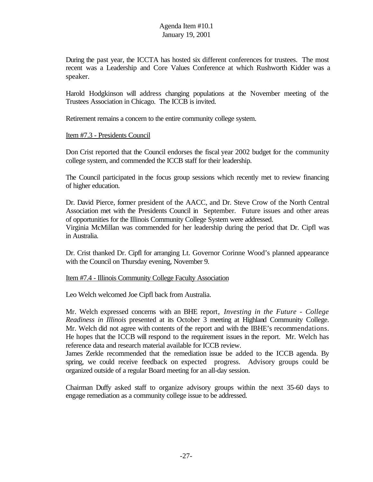During the past year, the ICCTA has hosted six different conferences for trustees. The most recent was a Leadership and Core Values Conference at which Rushworth Kidder was a speaker.

Harold Hodgkinson will address changing populations at the November meeting of the Trustees Association in Chicago. The ICCB is invited.

Retirement remains a concern to the entire community college system.

### Item #7.3 - Presidents Council

Don Crist reported that the Council endorses the fiscal year 2002 budget for the community college system, and commended the ICCB staff for their leadership.

The Council participated in the focus group sessions which recently met to review financing of higher education.

Dr. David Pierce, former president of the AACC, and Dr. Steve Crow of the North Central Association met with the Presidents Council in September. Future issues and other areas of opportunities for the Illinois Community College System were addressed. Virginia McMillan was commended for her leadership during the period that Dr. Cipfl was in Australia.

Dr. Crist thanked Dr. Cipfl for arranging Lt. Governor Corinne Wood's planned appearance with the Council on Thursday evening, November 9.

### Item #7.4 - Illinois Community College Faculty Association

Leo Welch welcomed Joe Cipfl back from Australia.

Mr. Welch expressed concerns with an BHE report, *Investing in the Future - College Readiness in Illinois* presented at its October 3 meeting at Highland Community College. Mr. Welch did not agree with contents of the report and with the IBHE's recommendations. He hopes that the ICCB will respond to the requirement issues in the report. Mr. Welch has reference data and research material available for ICCB review.

James Zerkle recommended that the remediation issue be added to the ICCB agenda. By spring, we could receive feedback on expected progress. Advisory groups could be organized outside of a regular Board meeting for an all-day session.

Chairman Duffy asked staff to organize advisory groups within the next 35-60 days to engage remediation as a community college issue to be addressed.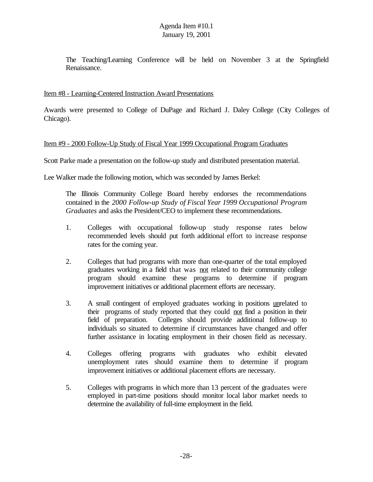The Teaching/Learning Conference will be held on November 3 at the Springfield Renaissance.

# Item #8 - Learning-Centered Instruction Award Presentations

Awards were presented to College of DuPage and Richard J. Daley College (City Colleges of Chicago).

### Item #9 - 2000 Follow-Up Study of Fiscal Year 1999 Occupational Program Graduates

Scott Parke made a presentation on the follow-up study and distributed presentation material.

Lee Walker made the following motion, which was seconded by James Berkel:

The Illinois Community College Board hereby endorses the recommendations contained in the *2000 Follow-up Study of Fiscal Year 1999 Occupational Program Graduates* and asks the President/CEO to implement these recommendations.

- 1. Colleges with occupational follow-up study response rates below recommended levels should put forth additional effort to increase response rates for the coming year.
- 2. Colleges that had programs with more than one-quarter of the total employed graduates working in a field that was not related to their community college program should examine these programs to determine if program improvement initiatives or additional placement efforts are necessary.
- 3. A small contingent of employed graduates working in positions unrelated to their programs of study reported that they could not find a position in their field of preparation. Colleges should provide additional follow-up to individuals so situated to determine if circumstances have changed and offer further assistance in locating employment in their chosen field as necessary.
- 4. Colleges offering programs with graduates who exhibit elevated unemployment rates should examine them to determine if program improvement initiatives or additional placement efforts are necessary.
- 5. Colleges with programs in which more than 13 percent of the graduates were employed in part-time positions should monitor local labor market needs to determine the availability of full-time employment in the field.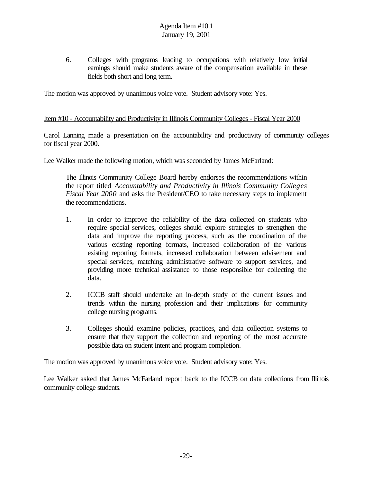6. Colleges with programs leading to occupations with relatively low initial earnings should make students aware of the compensation available in these fields both short and long term.

The motion was approved by unanimous voice vote. Student advisory vote: Yes.

### Item #10 - Accountability and Productivity in Illinois Community Colleges - Fiscal Year 2000

Carol Lanning made a presentation on the accountability and productivity of community colleges for fiscal year 2000.

Lee Walker made the following motion, which was seconded by James McFarland:

The Illinois Community College Board hereby endorses the recommendations within the report titled *Accountability and Productivity in Illinois Community Colleges Fiscal Year 2000* and asks the President/CEO to take necessary steps to implement the recommendations.

- 1. In order to improve the reliability of the data collected on students who require special services, colleges should explore strategies to strengthen the data and improve the reporting process, such as the coordination of the various existing reporting formats, increased collaboration of the various existing reporting formats, increased collaboration between advisement and special services, matching administrative software to support services, and providing more technical assistance to those responsible for collecting the data.
- 2. ICCB staff should undertake an in-depth study of the current issues and trends within the nursing profession and their implications for community college nursing programs.
- 3. Colleges should examine policies, practices, and data collection systems to ensure that they support the collection and reporting of the most accurate possible data on student intent and program completion.

The motion was approved by unanimous voice vote. Student advisory vote: Yes.

Lee Walker asked that James McFarland report back to the ICCB on data collections from Illinois community college students.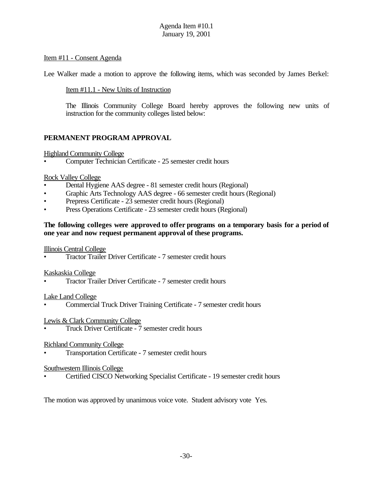# Item #11 - Consent Agenda

Lee Walker made a motion to approve the following items, which was seconded by James Berkel:

Item #11.1 - New Units of Instruction

The Illinois Community College Board hereby approves the following new units of instruction for the community colleges listed below:

# **PERMANENT PROGRAM APPROVAL**

### Highland Community College

• Computer Technician Certificate - 25 semester credit hours

### Rock Valley College

- Dental Hygiene AAS degree 81 semester credit hours (Regional)
- Graphic Arts Technology AAS degree 66 semester credit hours (Regional)
- Prepress Certificate 23 semester credit hours (Regional)
- Press Operations Certificate 23 semester credit hours (Regional)

### **The following colleges were approved to offer programs on a temporary basis for a period of one year and now request permanent approval of these programs.**

#### Illinois Central College

• Tractor Trailer Driver Certificate - 7 semester credit hours

#### Kaskaskia College

• Tractor Trailer Driver Certificate - 7 semester credit hours

#### Lake Land College

• Commercial Truck Driver Training Certificate - 7 semester credit hours

### Lewis & Clark Community College

• Truck Driver Certificate - 7 semester credit hours

#### Richland Community College

• Transportation Certificate - 7 semester credit hours

#### Southwestern Illinois College

• Certified CISCO Networking Specialist Certificate - 19 semester credit hours

The motion was approved by unanimous voice vote. Student advisory vote Yes.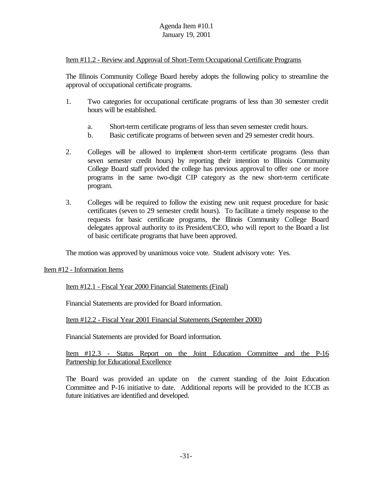## Item #11.2 - Review and Approval of Short-Term Occupational Certificate Programs

The Illinois Community College Board hereby adopts the following policy to streamline the approval of occupational certificate programs.

- 1. Two categories for occupational certificate programs of less than 30 semester credit hours will be established.
	- a. Short-term certificate programs of less than seven semester credit hours.
	- b. Basic certificate programs of between seven and 29 semester credit hours.
- 2. Colleges will be allowed to implement short-term certificate programs (less than seven semester credit hours) by reporting their intention to Illinois Community College Board staff provided the college has previous approval to offer one or more programs in the same two-digit CIP category as the new short-term certificate program.
- 3. Colleges will be required to follow the existing new unit request procedure for basic certificates (seven to 29 semester credit hours). To facilitate a timely response to the requests for basic certificate programs, the Illinois Community College Board delegates approval authority to its President/CEO, who will report to the Board a list of basic certificate programs that have been approved.

The motion was approved by unanimous voice vote. Student advisory vote: Yes.

Item #12 - Information Items

Item #12.1 - Fiscal Year 2000 Financial Statements (Final)

Financial Statements are provided for Board information.

Item #12.2 - Fiscal Year 2001 Financial Statements (September 2000)

Financial Statements are provided for Board information.

Item #12.3 - Status Report on the Joint Education Committee and the P-16 Partnership for Educational Excellence

The Board was provided an update on the current standing of the Joint Education Committee and P-16 initiative to date. Additional reports will be provided to the ICCB as future initiatives are identified and developed.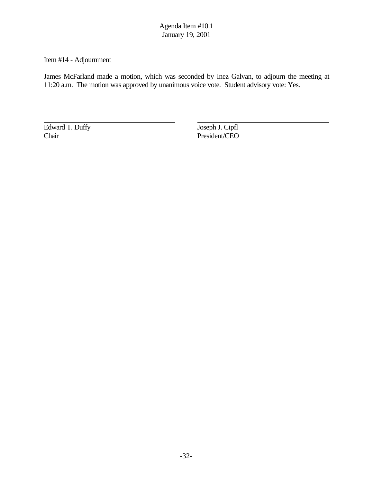# Item #14 - Adjournment

James McFarland made a motion, which was seconded by Inez Galvan, to adjourn the meeting at 11:20 a.m. The motion was approved by unanimous voice vote. Student advisory vote: Yes.

Edward T. Duffy Joseph J. Cipfl<br>
Chair President/CEO

President/CEO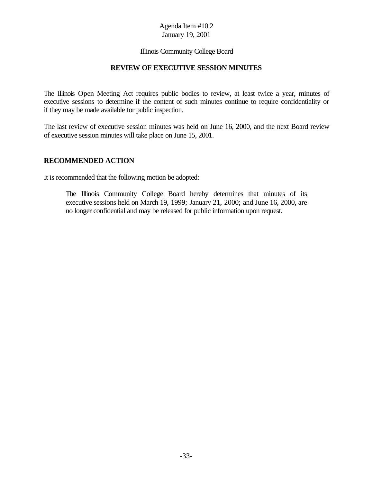### Illinois Community College Board

#### **REVIEW OF EXECUTIVE SESSION MINUTES**

The Illinois Open Meeting Act requires public bodies to review, at least twice a year, minutes of executive sessions to determine if the content of such minutes continue to require confidentiality or if they may be made available for public inspection.

The last review of executive session minutes was held on June 16, 2000, and the next Board review of executive session minutes will take place on June 15, 2001.

### **RECOMMENDED ACTION**

It is recommended that the following motion be adopted:

The Illinois Community College Board hereby determines that minutes of its executive sessions held on March 19, 1999; January 21, 2000; and June 16, 2000, are no longer confidential and may be released for public information upon request.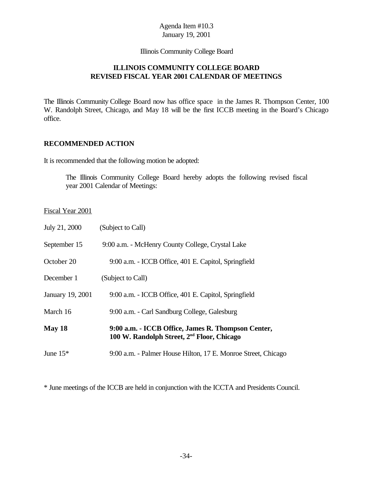Illinois Community College Board

# **ILLINOIS COMMUNITY COLLEGE BOARD REVISED FISCAL YEAR 2001 CALENDAR OF MEETINGS**

The Illinois Community College Board now has office space in the James R. Thompson Center, 100 W. Randolph Street, Chicago, and May 18 will be the first ICCB meeting in the Board's Chicago office.

### **RECOMMENDED ACTION**

It is recommended that the following motion be adopted:

The Illinois Community College Board hereby adopts the following revised fiscal year 2001 Calendar of Meetings:

# Fiscal Year 2001

| July 21, 2000    | (Subject to Call)                                                                                            |
|------------------|--------------------------------------------------------------------------------------------------------------|
| September 15     | 9:00 a.m. - McHenry County College, Crystal Lake                                                             |
| October 20       | 9:00 a.m. - ICCB Office, 401 E. Capitol, Springfield                                                         |
| December 1       | (Subject to Call)                                                                                            |
| January 19, 2001 | 9:00 a.m. - ICCB Office, 401 E. Capitol, Springfield                                                         |
| March 16         | 9:00 a.m. - Carl Sandburg College, Galesburg                                                                 |
| May 18           | 9:00 a.m. - ICCB Office, James R. Thompson Center,<br>100 W. Randolph Street, 2 <sup>nd</sup> Floor, Chicago |
| June $15*$       | 9:00 a.m. - Palmer House Hilton, 17 E. Monroe Street, Chicago                                                |

\* June meetings of the ICCB are held in conjunction with the ICCTA and Presidents Council.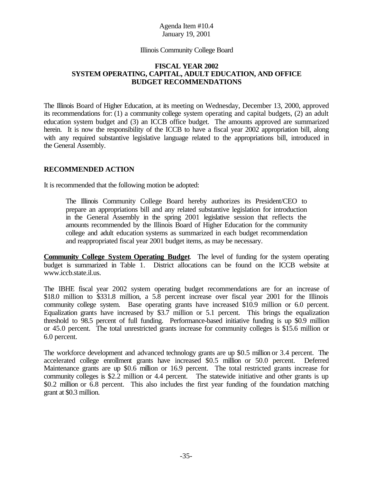#### Illinois Community College Board

#### **FISCAL YEAR 2002 SYSTEM OPERATING, CAPITAL, ADULT EDUCATION, AND OFFICE BUDGET RECOMMENDATIONS**

The Illinois Board of Higher Education, at its meeting on Wednesday, December 13, 2000, approved its recommendations for: (1) a community college system operating and capital budgets, (2) an adult education system budget and (3) an ICCB office budget. The amounts approved are summarized herein. It is now the responsibility of the ICCB to have a fiscal year 2002 appropriation bill, along with any required substantive legislative language related to the appropriations bill, introduced in the General Assembly.

### **RECOMMENDED ACTION**

It is recommended that the following motion be adopted:

The Illinois Community College Board hereby authorizes its President/CEO to prepare an appropriations bill and any related substantive legislation for introduction in the General Assembly in the spring 2001 legislative session that reflects the amounts recommended by the Illinois Board of Higher Education for the community college and adult education systems as summarized in each budget recommendation and reappropriated fiscal year 2001 budget items, as may be necessary.

**Community College System Operating Budget**. The level of funding for the system operating budget is summarized in Table 1. District allocations can be found on the ICCB website at www.iccb.state.il.us.

The IBHE fiscal year 2002 system operating budget recommendations are for an increase of \$18.0 million to \$331.8 million, a 5.8 percent increase over fiscal year 2001 for the Illinois community college system. Base operating grants have increased \$10.9 million or 6.0 percent. Equalization grants have increased by \$3.7 million or 5.1 percent. This brings the equalization threshold to 98.5 percent of full funding. Performance-based initiative funding is up \$0.9 million or 45.0 percent. The total unrestricted grants increase for community colleges is \$15.6 million or 6.0 percent.

The workforce development and advanced technology grants are up \$0.5 million or 3.4 percent. The accelerated college enrollment grants have increased \$0.5 million or 50.0 percent. Deferred Maintenance grants are up \$0.6 million or 16.9 percent. The total restricted grants increase for community colleges is \$2.2 million or 4.4 percent. The statewide initiative and other grants is up \$0.2 million or 6.8 percent. This also includes the first year funding of the foundation matching grant at \$0.3 million.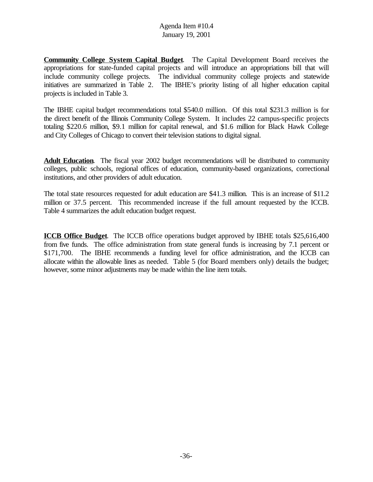**Community College System Capital Budget**. The Capital Development Board receives the appropriations for state-funded capital projects and will introduce an appropriations bill that will include community college projects. The individual community college projects and statewide initiatives are summarized in Table 2. The IBHE's priority listing of all higher education capital projects is included in Table 3.

The IBHE capital budget recommendations total \$540.0 million. Of this total \$231.3 million is for the direct benefit of the Illinois Community College System. It includes 22 campus-specific projects totaling \$220.6 million, \$9.1 million for capital renewal, and \$1.6 million for Black Hawk College and City Colleges of Chicago to convert their television stations to digital signal.

**Adult Education**. The fiscal year 2002 budget recommendations will be distributed to community colleges, public schools, regional offices of education, community-based organizations, correctional institutions, and other providers of adult education.

The total state resources requested for adult education are \$41.3 million. This is an increase of \$11.2 million or 37.5 percent. This recommended increase if the full amount requested by the ICCB. Table 4 summarizes the adult education budget request.

**ICCB Office Budget**. The ICCB office operations budget approved by IBHE totals \$25,616,400 from five funds. The office administration from state general funds is increasing by 7.1 percent or \$171,700. The IBHE recommends a funding level for office administration, and the ICCB can allocate within the allowable lines as needed. Table 5 (for Board members only) details the budget; however, some minor adjustments may be made within the line item totals.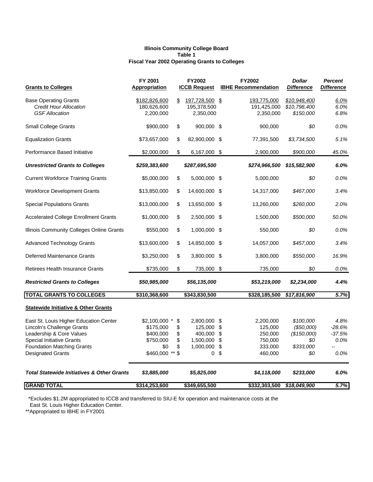#### **Illinois Community College Board Table 1 Fiscal Year 2002 Operating Grants to Colleges**

| <b>Grants to Colleges</b>                                                                                                                                                                             | FY 2001<br><b>Appropriation</b>                                                    |                                       | FY2002<br><b>ICCB Request</b>                                     |                            | FY2002<br><b>IBHE Recommendation</b>                             | <b>Dollar</b><br><b>Difference</b>                                | <b>Percent</b><br><u>Difference</u>        |
|-------------------------------------------------------------------------------------------------------------------------------------------------------------------------------------------------------|------------------------------------------------------------------------------------|---------------------------------------|-------------------------------------------------------------------|----------------------------|------------------------------------------------------------------|-------------------------------------------------------------------|--------------------------------------------|
| <b>Base Operating Grants</b><br><b>Credit Hour Allocation</b><br><b>GSF Allocation</b>                                                                                                                | \$182,826,600<br>180,626,600<br>2,200,000                                          | \$                                    | 197,728,500 \$<br>195,378,500<br>2,350,000                        |                            | <u>193,775,000</u><br>191,425,000<br>2,350,000                   | \$10,948,400<br>\$10,798,400<br>\$150,000                         | $6.0\%$<br>6.0%<br>6.8%                    |
| <b>Small College Grants</b>                                                                                                                                                                           | \$900,000                                                                          | \$                                    | 900,000 \$                                                        |                            | 900,000                                                          | \$0                                                               | 0.0%                                       |
| <b>Equalization Grants</b>                                                                                                                                                                            | \$73,657,000                                                                       | \$                                    | 82,900,000                                                        | \$                         | 77,391,500                                                       | \$3,734,500                                                       | 5.1%                                       |
| Performance Based Initiative                                                                                                                                                                          | \$2,000,000                                                                        | \$                                    | 6,167,000 \$                                                      |                            | 2,900,000                                                        | \$900,000                                                         | 45.0%                                      |
| <b>Unrestricted Grants to Colleges</b>                                                                                                                                                                | \$259,383,600                                                                      |                                       | \$287,695,500                                                     |                            | \$274,966,500                                                    | \$15,582,900                                                      | 6.0%                                       |
| <b>Current Workforce Training Grants</b>                                                                                                                                                              | \$5,000,000                                                                        | \$                                    | 5,000,000 \$                                                      |                            | 5,000,000                                                        | \$0                                                               | 0.0%                                       |
| <b>Workforce Development Grants</b>                                                                                                                                                                   | \$13,850,000                                                                       | \$                                    | 14,600,000 \$                                                     |                            | 14,317,000                                                       | \$467,000                                                         | 3.4%                                       |
| <b>Special Populations Grants</b>                                                                                                                                                                     | \$13,000,000                                                                       | \$                                    | 13,650,000 \$                                                     |                            | 13,260,000                                                       | \$260,000                                                         | 2.0%                                       |
| <b>Accelerated College Enrollment Grants</b>                                                                                                                                                          | \$1,000,000                                                                        | \$                                    | 2,500,000 \$                                                      |                            | 1,500,000                                                        | \$500,000                                                         | 50.0%                                      |
| Illinois Community Colleges Online Grants                                                                                                                                                             | \$550,000                                                                          | \$                                    | 1,000,000 \$                                                      |                            | 550,000                                                          | \$0                                                               | 0.0%                                       |
| <b>Advanced Technology Grants</b>                                                                                                                                                                     | \$13,600,000                                                                       | \$                                    | 14,850,000                                                        | \$                         | 14,057,000                                                       | \$457,000                                                         | 3.4%                                       |
| <b>Deferred Maintenance Grants</b>                                                                                                                                                                    | \$3,250,000                                                                        | \$                                    | 3,800,000 \$                                                      |                            | 3,800,000                                                        | \$550,000                                                         | 16.9%                                      |
| <b>Retirees Health Insurance Grants</b>                                                                                                                                                               | \$735,000                                                                          | \$                                    | 735,000 \$                                                        |                            | 735,000                                                          | \$0                                                               | 0.0%                                       |
| <b>Restricted Grants to Colleges</b>                                                                                                                                                                  | \$50,985,000                                                                       |                                       | \$56,135,000                                                      |                            | \$53,219,000                                                     | \$2,234,000                                                       | 4.4%                                       |
| <b>TOTAL GRANTS TO COLLEGES</b>                                                                                                                                                                       | \$310,368,600                                                                      |                                       | \$343,830,500                                                     |                            | \$328,185,500                                                    | \$17,816,900                                                      | 5.7%                                       |
| <b>Statewide Initiative &amp; Other Grants</b>                                                                                                                                                        |                                                                                    |                                       |                                                                   |                            |                                                                  |                                                                   |                                            |
| East St. Louis Higher Education Center<br>Lincoln's Challenge Grants<br>Leadership & Core Values<br><b>Special Initiative Grants</b><br><b>Foundation Matching Grants</b><br><b>Designated Grants</b> | \$2,100,000<br>$^\star$<br>\$175,000<br>\$400,000<br>\$750,000<br>\$0<br>\$460,000 | \$<br>\$<br>\$<br>\$<br>\$<br>$**$ \$ | 2,800,000 \$<br>125,000<br>400,000<br>1,500,000<br>1,000,000<br>0 | \$<br>\$<br>\$<br>\$<br>\$ | 2,200,000<br>125,000<br>250,000<br>750,000<br>333,000<br>460,000 | \$100,000<br>(\$50,000)<br>(\$150,000)<br>\$0<br>\$333,000<br>\$0 | 4.8%<br>-28.6%<br>$-37.5%$<br>0.0%<br>0.0% |
| <b>Total Statewide Initiatives &amp; Other Grants</b>                                                                                                                                                 | \$3,885,000                                                                        |                                       | \$5,825,000                                                       |                            | \$4,118,000                                                      | \$233,000                                                         | 6.0%                                       |
| <b>GRAND TOTAL</b>                                                                                                                                                                                    | \$314,253,600                                                                      |                                       | \$349,655,500                                                     |                            | \$332,303,500                                                    | \$18,049,900                                                      | 5.7%                                       |

\*Excludes \$1.2M appropriated to ICCB and transferred to SIU-E for operation and maintenance costs at the

East St. Louis Higher Education Center.

\*\*Appropriated to IBHE in FY2001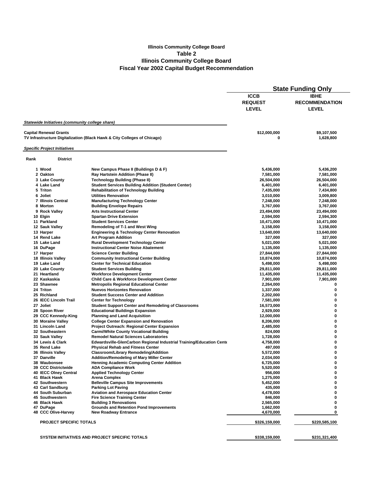#### **Illinois Community College Board Table 2 Illinois Community College Board Fiscal Year 2002 Capital Budget Recommendation**

|          |                                                 |                                                                          | <b>State Funding Only</b> |                       |  |  |
|----------|-------------------------------------------------|--------------------------------------------------------------------------|---------------------------|-----------------------|--|--|
|          |                                                 |                                                                          | <b>ICCB</b>               | <b>IBHE</b>           |  |  |
|          |                                                 |                                                                          | <b>REQUEST</b>            | <b>RECOMMENDATION</b> |  |  |
|          |                                                 |                                                                          |                           |                       |  |  |
|          |                                                 |                                                                          | <b>LEVEL</b>              | <b>LEVEL</b>          |  |  |
|          |                                                 |                                                                          |                           |                       |  |  |
|          | Statewide Initiatives (community college share) |                                                                          |                           |                       |  |  |
|          |                                                 |                                                                          |                           |                       |  |  |
|          | <b>Capital Renewal Grants</b>                   |                                                                          | \$12,000,000              | \$9,107,500           |  |  |
|          |                                                 | TV Infrastructure Digitalization (Black Hawk & City Colleges of Chicago) | 0                         | 1,628,800             |  |  |
|          |                                                 |                                                                          |                           |                       |  |  |
|          | <b>Specific Project Initiatives</b>             |                                                                          |                           |                       |  |  |
| Rank     | <b>District</b>                                 |                                                                          |                           |                       |  |  |
|          | 1 Wood                                          | New Campus Phase II (Buildings D & F)                                    | 5,436,000                 | 5,436,200             |  |  |
|          | 2 Oakton                                        | Ray Hartstein Addition (Phase II)                                        | 7,581,000                 | 7,581,000             |  |  |
|          | 3 Lake County                                   | <b>Technology Building (Phase II)</b>                                    | 26,504,000                | 26,504,000            |  |  |
|          | 4 Lake Land                                     | <b>Student Services Building Addition (Student Center)</b>               | 6,401,000                 | 6,401,000             |  |  |
|          | 5 Triton                                        | <b>Rehabilitation of Technology Building</b>                             | 7,435,000                 | 7,434,800             |  |  |
|          | 6 Joliet                                        | <b>Utilities Renovation</b>                                              | 3,010,000                 | 3,009,800             |  |  |
|          | <b>7 Illinois Central</b>                       | <b>Manufacturing Technology Center</b>                                   | 7,248,000                 | 7,248,000             |  |  |
|          | 8 Morton                                        | <b>Building Envelope Repairs</b>                                         | 3,767,000                 | 3,767,000             |  |  |
|          | 9 Rock Valley                                   | <b>Arts Instructional Center</b>                                         | 23,494,000                | 23,494,000            |  |  |
| 10 Elgin |                                                 | <b>Spartan Drive Extension</b>                                           | 2,594,000                 | 2,594,300             |  |  |
|          | 11 Parkland                                     | <b>Student Services Center</b>                                           | 10,471,000                | 10,471,000            |  |  |
|          | 12 Sauk Valley                                  | <b>Remodeling of T-1 and West Wing</b>                                   | 3,158,000                 | 3,158,000             |  |  |
|          | 13 Harper                                       | <b>Engineering &amp; Technology Center Renovation</b>                    | 13,640,000                | 13,640,000            |  |  |
|          | 14 Rend Lake                                    | <b>Art Program Addition</b>                                              | 327,000                   | 327,000               |  |  |
|          | 15 Lake Land                                    | <b>Rural Development Technology Center</b>                               | 5,021,000                 | 5,021,000             |  |  |
|          | 16 DuPage                                       | <b>Instructional Center Noise Abatement</b>                              | 1,135,000                 | 1,135,000             |  |  |
|          | 17 Harper                                       | <b>Science Center Building</b>                                           | 27,844,000                | 27,844,000            |  |  |
|          | <b>18 Illinois Valley</b>                       | <b>Community Instructional Center Building</b>                           | 10,874,000                | 10,874,000            |  |  |
|          | 19 Lake Land                                    | <b>Center for Technical Education</b>                                    | 5,498,000                 | 5,498,000             |  |  |
|          | 20 Lake County                                  | <b>Student Services Building</b>                                         | 29,811,000                | 29,811,000            |  |  |
|          | 21 Heartland                                    | <b>Workforce Development Center</b>                                      | 11,435,000                | 11,435,000            |  |  |
|          | 22 Kaskaskia                                    | <b>Child Care &amp; Workforce Development Center</b>                     | 7,901,000                 | 7,901,000             |  |  |
|          | 23 Shawnee                                      | <b>Metropolis Regional Educational Center</b>                            | 2,264,000                 | 0                     |  |  |
|          | 24 Triton                                       | <b>Nuevos Horizontes Renovation</b>                                      | 1,337,000                 | 0                     |  |  |
|          | 25 Richland                                     | <b>Student Success Center and Addition</b>                               | 2,202,000                 | 0                     |  |  |
|          | 26 IECC Lincoln Trail                           | <b>Center for Technology</b>                                             | 7,581,000                 | 0                     |  |  |
|          | 27 Joliet                                       | <b>Student Support Center and Remodeling of Classrooms</b>               | 16,573,000                | 0                     |  |  |
|          | 28 Spoon River                                  | <b>Educational Buildings Expansion</b>                                   | 2,929,000                 | 0                     |  |  |
|          | 29 CCC Kennedy-King                             | <b>Planning and Land Acquisition</b>                                     | 12,000,000                | 0                     |  |  |
|          | 30 Moraine Valley                               | <b>College Center Expansion and Renovation</b>                           | 8,206,000                 | 0                     |  |  |
|          | 31 Lincoln Land                                 | Project Outreach: Regional Center Expansion                              | 2,485,000                 | 0                     |  |  |
|          | 32 Southeastern                                 | <b>Carmi/White County Vocational Building</b>                            | 824,000                   | 0                     |  |  |
|          | 33 Sauk Valley                                  | <b>Remodel Natural Sciences Laboratories</b>                             | 1,728,000                 | 0                     |  |  |
|          | 34 Lewis & Clark                                | Edwardsville-GlenCarbon Regional Industrial Training/Education Cente     | 4,758,000                 | 0                     |  |  |
|          | 35 Rend Lake                                    | <b>Physical Rehab and Fitness Center</b>                                 | 497,000                   | 0                     |  |  |
|          | 36 Illinois Valley                              | Classroom/Library Remodeling/Addition                                    | 5,572,000                 | 0                     |  |  |
|          | 37 Danville                                     | <b>Addition/Remodeling of Mary Miller Center</b>                         | 2,034,000                 | 0                     |  |  |
|          | 38 Waubonsee                                    | <b>Henning Academic Computing Center Addition</b>                        | 6,725,000                 | 0                     |  |  |
|          | 39 CCC Districtwide                             | <b>ADA Compliance Work</b>                                               | 5,520,000                 | 0                     |  |  |
|          | <b>40 IECC Olney Central</b>                    | <b>Applied Technology Center</b>                                         | 956,000                   | 0                     |  |  |
|          | 41 Black Hawk                                   | <b>Arena Complex</b>                                                     | 1,275,000                 | 0                     |  |  |
|          | 42 Southwestern                                 | <b>Belleville Campus Site Improvements</b>                               | 5,452,000                 | 0                     |  |  |
|          | 43 Carl Sandburg                                | <b>Parking Lot Paving</b>                                                | 435,000                   | 0                     |  |  |
|          | 44 South Suburban                               | <b>Aviation and Aerospace Education Center</b>                           | 4,478,000                 | 0                     |  |  |
|          | 45 Southwestern                                 | <b>Fire Science Training Center</b>                                      | 846,000                   | 0                     |  |  |
|          | 46 Black Hawk                                   | <b>Building 3 Renovations</b>                                            | 2,565,000                 | 0                     |  |  |
|          | 47 DuPage                                       | <b>Grounds and Retention Pond Improvements</b>                           | 1,662,000                 | 0                     |  |  |
|          | 48 CCC Olive-Harvey                             | <b>New Roadway Entrance</b>                                              | 4,670,000                 | 0                     |  |  |
|          |                                                 |                                                                          |                           |                       |  |  |
|          | <b>PROJECT SPECIFIC TOTALS</b>                  |                                                                          | \$326,159,000             | \$220,585,100         |  |  |
|          |                                                 |                                                                          |                           |                       |  |  |
|          |                                                 | SYSTEM INITIATIVES AND PROJECT SPECIFIC TOTALS                           |                           |                       |  |  |
|          |                                                 |                                                                          | \$338,159,000             | \$231,321,400         |  |  |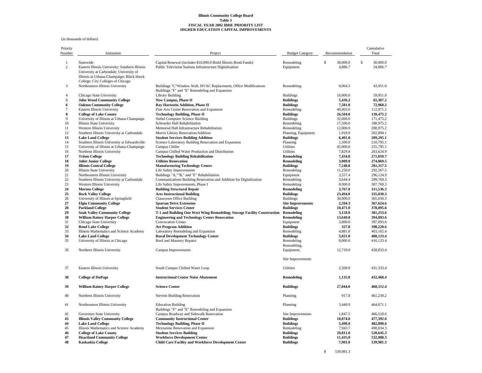#### **Illinois Community College Board Table 3 FISCAL YEAR 2002 IBHE PRIORITY LIST HIGHER EDUCATION CAPITAL IMPROVEMENTS**

(in thousands of dollars)

| Priority<br>Number  | Institution<br>Project                                                                                                                             |                                                                                                                             | <b>Budget Category</b>                       | Recommendation                     | Cumulative<br>Total |                        |
|---------------------|----------------------------------------------------------------------------------------------------------------------------------------------------|-----------------------------------------------------------------------------------------------------------------------------|----------------------------------------------|------------------------------------|---------------------|------------------------|
| 1<br>$\overline{c}$ | Statewide<br>Eastern Illinois University; Southern Illinois<br>University at Carbondale; University of<br>Illinois at Urbana-Champaign; Black Hawk | Capital Renewal (includes \$10,000.0 Build Illinois Bond Funds)<br>Public Television Stations Infrastructure Digitalization | Remodeling<br>Equipment                      | $\mathbb S$<br>30,000.0<br>4,886.7 | \$                  | 30,000.0<br>34,886.7   |
| 3                   | College; City Colleges of Chicago<br>Northeastern Illinois University                                                                              | Buildings "C"Window Wall, HVAC Replacement, Office Modifications                                                            | Remodeling                                   | 9.064.3                            |                     | 43.951.0               |
| $\overline{4}$      | Chicago State University                                                                                                                           | Buildings "F" and "E" Remodeling and Expansion<br><b>Library Building</b>                                                   | <b>Buildings</b>                             | 16,000.0                           |                     | 59,951.0               |
| 5                   | <b>John Wood Community College</b>                                                                                                                 | New Campus, Phase II                                                                                                        | <b>Buildings</b>                             | 5,436.2                            |                     | 65,387.2               |
| 6                   | <b>Oakton Community College</b>                                                                                                                    | <b>Ray Hartstein Addition, Phase II</b>                                                                                     | <b>Buildings</b>                             | 7,581.0                            |                     | 72.968.2               |
| $\tau$              | Eastern Illinois University                                                                                                                        | Fine Arts Center Renovation and Expansion                                                                                   | Remodeling                                   | 40,003.0                           |                     | 112,971.2              |
| 8                   | <b>College of Lake County</b>                                                                                                                      | <b>Technology Building, Phase II</b>                                                                                        | <b>Buildings</b>                             | 26,504.0                           |                     | 139,475.2              |
| 9                   | University of Illinois at Urbana-Champaign                                                                                                         | Siebel Computer Science Building                                                                                            | <b>Buildings</b>                             | 32,000.0                           |                     | 171,475.2              |
| 10<br>11            | Illinois State University                                                                                                                          | Schroeder Hall Rehabilitation<br>Memorial Hall Infrastructure Rehabilitation                                                | Remodeling                                   | 17,500.0                           |                     | 188,975.2<br>200,975.2 |
| 12                  | Western Illinois University<br>Southern Illinois University at Carbondale                                                                          | Morris Library Renovation/Addition                                                                                          | Remodeling<br>Planning, Equipment            | 12,000.0<br>1,918.9                |                     | 202,894.1              |
| 13                  | <b>Lake Land College</b>                                                                                                                           | <b>Student Services Building Addition</b>                                                                                   | <b>Buildings</b>                             | 6,401.0                            |                     | 209,295.1              |
| 14                  | Southern Illinois University at Edwardsville                                                                                                       | Science Laboratory Building Renovation and Expansion                                                                        | Planning                                     | 1,500.0                            |                     | 210,795.1              |
| 15                  | University of Illinois at Urbana-Champaign                                                                                                         | Campus Chiller                                                                                                              | Utilities                                    | 45,000.0                           |                     | 255,795.1              |
| 16                  | Northern Illinois University                                                                                                                       | Campus Chilled Water Production and Distribution                                                                            | Utilities                                    | 7,829.8                            |                     | 263,624.9              |
| 17                  | <b>Triton College</b>                                                                                                                              | <b>Technology Building Rehabilitation</b>                                                                                   | Remodeling                                   | 7,434.8                            |                     | 271,059.7              |
| 18                  | <b>Joliet Junior College</b>                                                                                                                       | <b>Utilities Renovation</b>                                                                                                 | Remodeling                                   | 3,009.8                            |                     | 274,069.5              |
| 19<br>20            | <b>Illinois Central College</b>                                                                                                                    | <b>Manufacturing Technology Center</b>                                                                                      | <b>Buildings</b><br>Remodeling               | 7,248.0<br>11,250.0                |                     | 281.317.5<br>292,567.5 |
| 21                  | Illinois State University<br>Northeastern Illinois University                                                                                      | Life Safety Improvements<br>Buildings "A,""B," and "E" Rehabilitation                                                       | Equipment                                    | 3,557.4                            |                     | 296,124.9              |
| $22\,$              | Southern Illinois University at Carbondale                                                                                                         | Communications Building Renovation and Addition for Digitalization                                                          | Remodeling                                   | 3,644.4                            |                     | 299,769.3              |
| 23                  | Western Illinois University                                                                                                                        | Life Safety Improvements, Phase I                                                                                           | Remodeling                                   | 8,000.0                            |                     | 307,769.3              |
| 24                  | <b>Morton College</b>                                                                                                                              | <b>Building Structural Repair</b>                                                                                           | <b>Remodeling</b>                            | 3,767.0                            |                     | 311,536.3              |
| 25                  | <b>Rock Valley College</b>                                                                                                                         | <b>Arts Instructional Building</b>                                                                                          | <b>Buildings</b>                             | 23,494.0                           |                     | 335,030.3              |
| 26                  | University of Illinois at Springfield                                                                                                              | <b>Classroom Office Building</b>                                                                                            | <b>Buildings</b>                             | 30,000.0                           |                     | 365,030.3              |
| 27<br>28            | <b>Elgin Community College</b><br><b>Parkland College</b>                                                                                          | <b>Spartan Drive Extension</b><br><b>Student Services Center</b>                                                            | <b>Site Improvements</b><br><b>Buildings</b> | 2,594.3<br>10,471.0                |                     | 367,624.6<br>378,095.6 |
| 29                  | <b>Sauk Valley Community College</b>                                                                                                               | T-1 and Building One West Wing Remodeling; Storage Facility Construction                                                    | Remodeling                                   | 3,158.0                            |                     | 381,253.6              |
| 30<br>31            | <b>William Rainey Harper College</b><br>Chicago State University                                                                                   | <b>Engineering and Technology Center Renovation</b><br>Convocation Center                                                   | <b>Remodeling</b><br>Equipment               | 13,640.0<br>3,000.0                |                     | 394,893.6<br>397,893.6 |
| 32                  | <b>Rend Lake College</b>                                                                                                                           | <b>Art Program Addition</b>                                                                                                 | <b>Buildings</b>                             | 327.0                              |                     | 398,220.6              |
| 33                  | Illinois Mathematics and Science Academy                                                                                                           | Laboratory Remodeling and Expansion                                                                                         | Remodeling                                   | 4,881.8                            |                     | 403,102.4              |
| 34                  | <b>Lake Land College</b>                                                                                                                           | <b>Rural Development Technology Center</b>                                                                                  | <b>Buildings</b>                             | 5,021.0                            |                     | 408,123.4              |
| 35                  | University of Illinois at Chicago                                                                                                                  | Roof and Masonry Repairs                                                                                                    | Remodeling<br>Remodeling,                    | 8,000.0                            |                     | 416,123.4              |
| 36                  | Northern Illinois University                                                                                                                       | Campus Improvements                                                                                                         | Equipment,                                   | 12,710.0                           |                     | 428,833.4              |
|                     |                                                                                                                                                    |                                                                                                                             | Site Improvements                            |                                    |                     |                        |
| 37                  | Eastern Illinois University                                                                                                                        | South Campus Chilled Water Loop                                                                                             | Utilities                                    | 2,500.0                            |                     | 431,333.4              |
| 38                  | <b>College of DuPage</b>                                                                                                                           | <b>Instructional Center Noise Abatement</b>                                                                                 | Remodeling                                   | 1,135.0                            |                     | 432,468.4              |
| 39                  | <b>William Rainey Harper College</b>                                                                                                               | <b>Science Center</b>                                                                                                       | <b>Buildings</b>                             | 27,844.0                           |                     | 460,312.4              |
| 40                  | Northern Illinois University                                                                                                                       | <b>Stevens Building Renovation</b>                                                                                          | Planning                                     | 917.8                              |                     | 461,230.2              |
| 41                  | Northeastern Illinois University                                                                                                                   | <b>Education Building</b><br>Buildings "F" and "E" Remodeling and Expansion                                                 | Planning                                     | 3,440.9                            |                     | 464,671.1              |
| 42                  | Governors State University                                                                                                                         | Campus Roadway and Sidewalk Renovation                                                                                      | Site Improvements                            | 1,847.5                            |                     | 466,518.6              |
| 43                  | <b>Illinois Valley Community College</b>                                                                                                           | <b>Community Instructional Center</b>                                                                                       | <b>Buildings</b>                             | 10.874.0                           |                     | 477.392.6              |
| 44                  | <b>Lake Land College</b>                                                                                                                           | <b>Technology Building, Phase II</b>                                                                                        | <b>Buildings</b>                             | 5,498.0                            |                     | 482,890.6              |
| 45                  | Illinois Mathematics and Science Academy                                                                                                           | Mezzanine Renovation and Expansion                                                                                          | Remodeling                                   | 7,943.7                            |                     | 490,834.3              |
| 46<br>47            | <b>College of Lake County</b>                                                                                                                      | <b>Student Services Building</b>                                                                                            | <b>Buildings</b><br><b>Buildings</b>         | 29,811.0<br>11,435.0               |                     | 520,645.3<br>532,080.3 |
| 48                  | <b>Heartland Community College</b><br>Kaskaskia College                                                                                            | <b>Workforce Development Center</b><br><b>Child Care Facility and Workforce Development Center</b>                          | <b>Buildings</b>                             | 7,901.0                            |                     | 539,981.3              |

\$ 539,981.3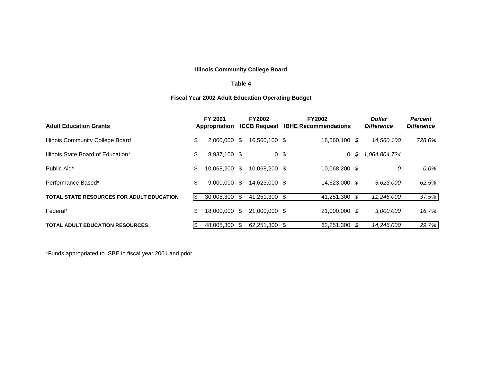### **Illinois Community College Board**

#### **Table 4**

## **Fiscal Year 2002 Adult Education Operating Budget**

| <b>Adult Education Grants</b>             |     | FY 2001<br>Appropriation |     | <b>FY2002</b><br><b>ICCB Request</b> | <b>FY2002</b><br><b>IBHE Recommendations</b> |     | <b>Dollar</b><br><b>Difference</b> | <b>Percent</b><br><b>Difference</b> |
|-------------------------------------------|-----|--------------------------|-----|--------------------------------------|----------------------------------------------|-----|------------------------------------|-------------------------------------|
| Illinois Community College Board          | \$  | $2,000,000$ \$           |     | 16,560,100 \$                        | 16.560.100 \$                                |     | 14,560,100                         | 728.0%                              |
| Illinois State Board of Education*        | \$  | 8,937,100 \$             |     | 0 \$                                 | 0 S                                          |     | 1,064,804,724                      |                                     |
| Public Aid*                               | S   | 10.068.200               | -\$ | 10.068.200 \$                        | 10,068,200 \$                                |     | 0                                  | 0.0%                                |
| Performance Based*                        | \$  | $9.000.000$ \$           |     | 14.623.000 \$                        | 14,623,000 \$                                |     | 5,623,000                          | 62.5%                               |
| TOTAL STATE RESOURCES FOR ADULT EDUCATION | 1\$ | 30.005.300               | -S  | 41,251,300 \$                        | 41,251,300                                   | - S | 11,246,000                         | 37.5%                               |
| Federal*                                  | S   | 18,000,000 \$            |     | 21,000,000 \$                        | 21,000,000 \$                                |     | 3,000,000                          | 16.7%                               |
| <b>TOTAL ADULT EDUCATION RESOURCES</b>    | 1\$ | 48.005.300               | \$  | 62.251.300 \$                        | 62,251,300                                   | S   | 14.246.000                         | 29.7%                               |

\*Funds appropriated to ISBE in fiscal year 2001 and prior.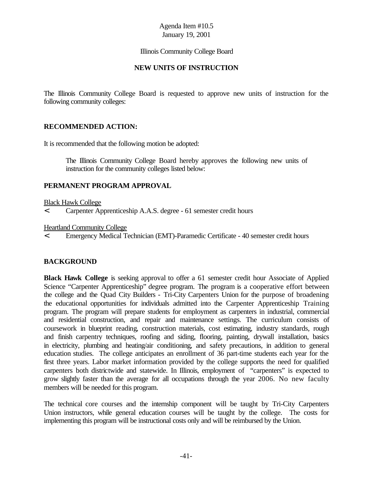#### Illinois Community College Board

#### **NEW UNITS OF INSTRUCTION**

The Illinois Community College Board is requested to approve new units of instruction for the following community colleges:

#### **RECOMMENDED ACTION:**

It is recommended that the following motion be adopted:

The Illinois Community College Board hereby approves the following new units of instruction for the community colleges listed below:

#### **PERMANENT PROGRAM APPROVAL**

Black Hawk College

< Carpenter Apprenticeship A.A.S. degree - 61 semester credit hours

Heartland Community College

< Emergency Medical Technician (EMT)-Paramedic Certificate - 40 semester credit hours

#### **BACKGROUND**

**Black Hawk College** is seeking approval to offer a 61 semester credit hour Associate of Applied Science "Carpenter Apprenticeship" degree program. The program is a cooperative effort between the college and the Quad City Builders - Tri-City Carpenters Union for the purpose of broadening the educational opportunities for individuals admitted into the Carpenter Apprenticeship Training program. The program will prepare students for employment as carpenters in industrial, commercial and residential construction, and repair and maintenance settings. The curriculum consists of coursework in blueprint reading, construction materials, cost estimating, industry standards, rough and finish carpentry techniques, roofing and siding, flooring, painting, drywall installation, basics in electricity, plumbing and heating/air conditioning, and safety precautions, in addition to general education studies. The college anticipates an enrollment of 36 part-time students each year for the first three years. Labor market information provided by the college supports the need for qualified carpenters both districtwide and statewide. In Illinois, employment of "carpenters" is expected to grow slightly faster than the average for all occupations through the year 2006. No new faculty members will be needed for this program.

The technical core courses and the internship component will be taught by Tri-City Carpenters Union instructors, while general education courses will be taught by the college. The costs for implementing this program will be instructional costs only and will be reimbursed by the Union.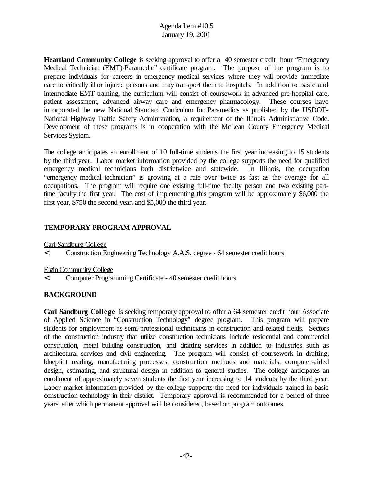**Heartland Community College** is seeking approval to offer a 40 semester credit hour "Emergency Medical Technician (EMT)-Paramedic" certificate program. The purpose of the program is to prepare individuals for careers in emergency medical services where they will provide immediate care to critically ill or injured persons and may transport them to hospitals. In addition to basic and intermediate EMT training, the curriculum will consist of coursework in advanced pre-hospital care, patient assessment, advanced airway care and emergency pharmacology. These courses have incorporated the new National Standard Curriculum for Paramedics as published by the USDOT-National Highway Traffic Safety Administration, a requirement of the Illinois Administrative Code. Development of these programs is in cooperation with the McLean County Emergency Medical Services System.

The college anticipates an enrollment of 10 full-time students the first year increasing to 15 students by the third year. Labor market information provided by the college supports the need for qualified emergency medical technicians both districtwide and statewide. In Illinois, the occupation "emergency medical technician" is growing at a rate over twice as fast as the average for all occupations. The program will require one existing full-time faculty person and two existing parttime faculty the first year. The cost of implementing this program will be approximately \$6,000 the first year, \$750 the second year, and \$5,000 the third year.

# **TEMPORARY PROGRAM APPROVAL**

Carl Sandburg College

< Construction Engineering Technology A.A.S. degree - 64 semester credit hours

Elgin Community College

< Computer Programming Certificate - 40 semester credit hours

## **BACKGROUND**

**Carl Sandburg College** is seeking temporary approval to offer a 64 semester credit hour Associate of Applied Science in "Construction Technology" degree program. This program will prepare students for employment as semi-professional technicians in construction and related fields. Sectors of the construction industry that utilize construction technicians include residential and commercial construction, metal building construction, and drafting services in addition to industries such as architectural services and civil engineering. The program will consist of coursework in drafting, blueprint reading, manufacturing processes, construction methods and materials, computer-aided design, estimating, and structural design in addition to general studies. The college anticipates an enrollment of approximately seven students the first year increasing to 14 students by the third year. Labor market information provided by the college supports the need for individuals trained in basic construction technology in their district. Temporary approval is recommended for a period of three years, after which permanent approval will be considered, based on program outcomes.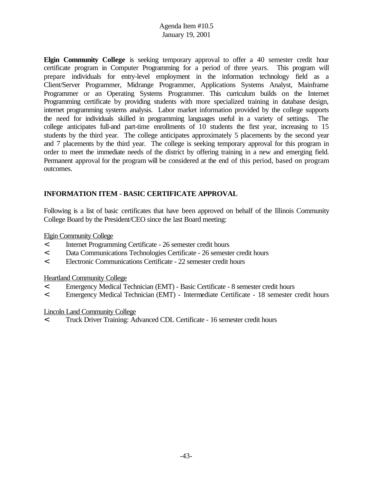**Elgin Community College** is seeking temporary approval to offer a 40 semester credit hour certificate program in Computer Programming for a period of three years. This program will prepare individuals for entry-level employment in the information technology field as a Client/Server Programmer, Midrange Programmer, Applications Systems Analyst, Mainframe Programmer or an Operating Systems Programmer. This curriculum builds on the Internet Programming certificate by providing students with more specialized training in database design, internet programming systems analysis. Labor market information provided by the college supports the need for individuals skilled in programming languages useful in a variety of settings. The college anticipates full-and part-time enrollments of 10 students the first year, increasing to 15 students by the third year. The college anticipates approximately 5 placements by the second year and 7 placements by the third year. The college is seeking temporary approval for this program in order to meet the immediate needs of the district by offering training in a new and emerging field. Permanent approval for the program will be considered at the end of this period, based on program outcomes.

# **INFORMATION ITEM - BASIC CERTIFICATE APPROVAL**

Following is a list of basic certificates that have been approved on behalf of the Illinois Community College Board by the President/CEO since the last Board meeting:

### Elgin Community College

- < Internet Programming Certificate 26 semester credit hours
- < Data Communications Technologies Certificate 26 semester credit hours
- < Electronic Communications Certificate 22 semester credit hours

#### Heartland Community College

- < Emergency Medical Technician (EMT) Basic Certificate 8 semester credit hours
- < Emergency Medical Technician (EMT) Intermediate Certificate 18 semester credit hours

#### Lincoln Land Community College

< Truck Driver Training: Advanced CDL Certificate - 16 semester credit hours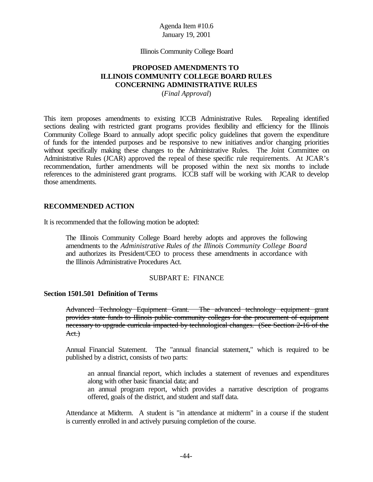#### Illinois Community College Board

## **PROPOSED AMENDMENTS TO ILLINOIS COMMUNITY COLLEGE BOARD RULES CONCERNING ADMINISTRATIVE RULES**

(*Final Approval*)

This item proposes amendments to existing ICCB Administrative Rules. Repealing identified sections dealing with restricted grant programs provides flexibility and efficiency for the Illinois Community College Board to annually adopt specific policy guidelines that govern the expenditure of funds for the intended purposes and be responsive to new initiatives and/or changing priorities without specifically making these changes to the Administrative Rules. The Joint Committee on Administrative Rules (JCAR) approved the repeal of these specific rule requirements. At JCAR's recommendation, further amendments will be proposed within the next six months to include references to the administered grant programs. ICCB staff will be working with JCAR to develop those amendments.

#### **RECOMMENDED ACTION**

It is recommended that the following motion be adopted:

The Illinois Community College Board hereby adopts and approves the following amendments to the *Administrative Rules of the Illinois Community College Board* and authorizes its President/CEO to process these amendments in accordance with the Illinois Administrative Procedures Act.

#### SUBPART E: FINANCE

#### **Section 1501.501 Definition of Terms**

Advanced Technology Equipment Grant. The advanced technology equipment grant provides state funds to Illinois public community colleges for the procurement of equipment necessary to upgrade curricula impacted by technological changes. (See Section 2-16 of the Act.)

Annual Financial Statement. The "annual financial statement," which is required to be published by a district, consists of two parts:

an annual financial report, which includes a statement of revenues and expenditures along with other basic financial data; and

an annual program report, which provides a narrative description of programs offered, goals of the district, and student and staff data.

Attendance at Midterm. A student is "in attendance at midterm" in a course if the student is currently enrolled in and actively pursuing completion of the course.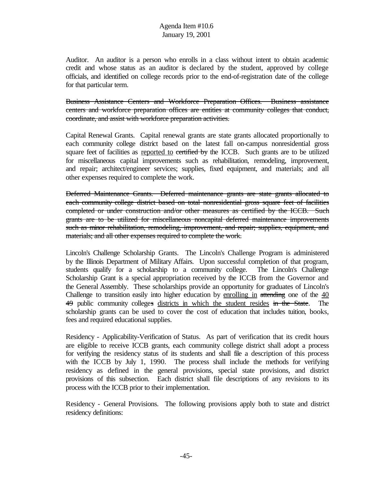Auditor. An auditor is a person who enrolls in a class without intent to obtain academic credit and whose status as an auditor is declared by the student, approved by college officials, and identified on college records prior to the end-of-registration date of the college for that particular term.

Business Assistance Centers and Workforce Preparation Offices. Business assistance centers and workforce preparation offices are entities at community colleges that conduct, coordinate, and assist with workforce preparation activities.

Capital Renewal Grants. Capital renewal grants are state grants allocated proportionally to each community college district based on the latest fall on-campus nonresidential gross square feet of facilities as reported to certified by the ICCB. Such grants are to be utilized for miscellaneous capital improvements such as rehabilitation, remodeling, improvement, and repair; architect/engineer services; supplies, fixed equipment, and materials; and all other expenses required to complete the work.

Deferred Maintenance Grants. Deferred maintenance grants are state grants allocated to each community college district based on total nonresidential gross square feet of facilities completed or under construction and/or other measures as certified by the ICCB. Such grants are to be utilized for miscellaneous noncapital deferred maintenance improvements such as minor rehabilitation, remodeling, improvement, and repair; supplies, equipment, and materials; and all other expenses required to complete the work.

Lincoln's Challenge Scholarship Grants. The Lincoln's Challenge Program is administered by the Illinois Department of Military Affairs. Upon successful completion of that program, students qualify for a scholarship to a community college. The Lincoln's Challenge Scholarship Grant is a special appropriation received by the ICCB from the Governor and the General Assembly. These scholarships provide an opportunity for graduates of Lincoln's Challenge to transition easily into higher education by enrolling in attending one of the 40 49 public community colleges districts in which the student resides in the State. The scholarship grants can be used to cover the cost of education that includes tuition, books, fees and required educational supplies.

Residency - Applicability-Verification of Status. As part of verification that its credit hours are eligible to receive ICCB grants, each community college district shall adopt a process for verifying the residency status of its students and shall file a description of this process with the ICCB by July 1, 1990. The process shall include the methods for verifying residency as defined in the general provisions, special state provisions, and district provisions of this subsection. Each district shall file descriptions of any revisions to its process with the ICCB prior to their implementation.

Residency - General Provisions. The following provisions apply both to state and district residency definitions: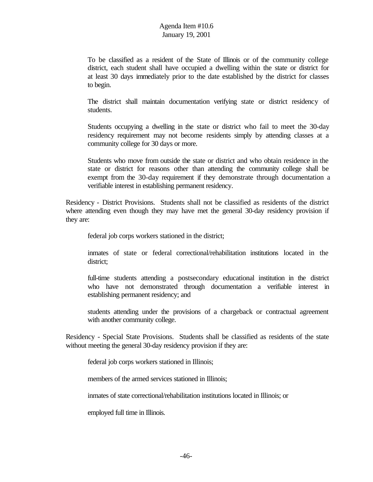To be classified as a resident of the State of Illinois or of the community college district, each student shall have occupied a dwelling within the state or district for at least 30 days immediately prior to the date established by the district for classes to begin.

The district shall maintain documentation verifying state or district residency of students.

Students occupying a dwelling in the state or district who fail to meet the 30-day residency requirement may not become residents simply by attending classes at a community college for 30 days or more.

Students who move from outside the state or district and who obtain residence in the state or district for reasons other than attending the community college shall be exempt from the 30-day requirement if they demonstrate through documentation a verifiable interest in establishing permanent residency.

Residency - District Provisions. Students shall not be classified as residents of the district where attending even though they may have met the general 30-day residency provision if they are:

federal job corps workers stationed in the district;

inmates of state or federal correctional/rehabilitation institutions located in the district;

full-time students attending a postsecondary educational institution in the district who have not demonstrated through documentation a verifiable interest in establishing permanent residency; and

students attending under the provisions of a chargeback or contractual agreement with another community college.

Residency - Special State Provisions. Students shall be classified as residents of the state without meeting the general 30-day residency provision if they are:

federal job corps workers stationed in Illinois;

members of the armed services stationed in Illinois;

inmates of state correctional/rehabilitation institutions located in Illinois; or

employed full time in Illinois.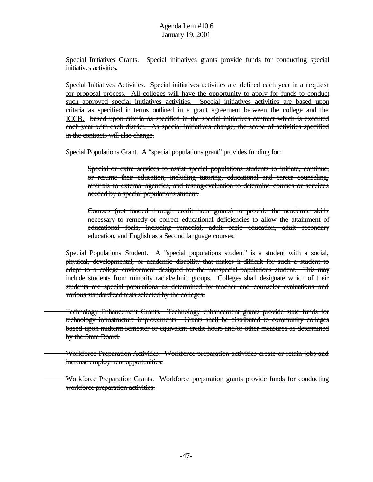Special Initiatives Grants. Special initiatives grants provide funds for conducting special initiatives activities.

Special Initiatives Activities. Special initiatives activities are defined each year in a request for proposal process. All colleges will have the opportunity to apply for funds to conduct such approved special initiatives activities. Special initiatives activities are based upon criteria as specified in terms outlined in a grant agreement between the college and the ICCB. based upon criteria as specified in the special initiatives contract which is executed each year with each district. As special initiatives change, the scope of activities specified in the contracts will also change.

Special Populations Grant. A "special populations grant" provides funding for:

Special or extra services to assist special populations students to initiate, continue, or resume their education, including tutoring, educational and career counseling, referrals to external agencies, and testing/evaluation to determine courses or services needed by a special populations student.

Courses (not funded through credit hour grants) to provide the academic skills necessary to remedy or correct educational deficiencies to allow the attainment of educational foals, including remedial, adult basic education, adult secondary education, and English as a Second language courses.

Special Populations Student. A "special populations student" is a student with a social, physical, developmental, or academic disability that makes it difficult for such a student to adapt to a college environment designed for the nonspecial populations student. This may include students from minority racial/ethnic groups. Colleges shall designate which of their students are special populations as determined by teacher and counselor evaluations and various standardized tests selected by the colleges.

Technology Enhancement Grants. Technology enhancement grants provide state funds for technology infrastructure improvements. Grants shall be distributed to community colleges based upon midterm semester or equivalent credit hours and/or other measures as determined by the State Board.

Workforce Preparation Activities. Workforce preparation activities create or retain jobs and increase employment opportunities.

Workforce Preparation Grants. Workforce preparation grants provide funds for conducting workforce preparation activities.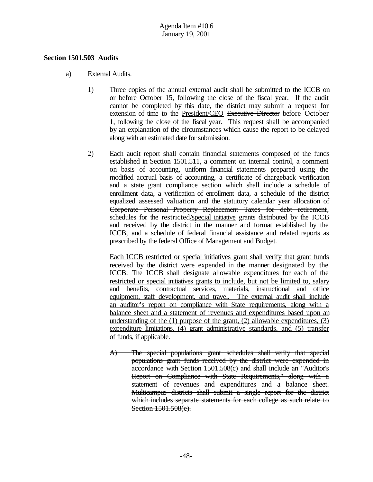#### **Section 1501.503 Audits**

- a) External Audits.
	- 1) Three copies of the annual external audit shall be submitted to the ICCB on or before October 15, following the close of the fiscal year. If the audit cannot be completed by this date, the district may submit a request for extension of time to the President/CEO Executive Director before October 1, following the close of the fiscal year. This request shall be accompanied by an explanation of the circumstances which cause the report to be delayed along with an estimated date for submission.
	- 2) Each audit report shall contain financial statements composed of the funds established in Section 1501.511, a comment on internal control, a comment on basis of accounting, uniform financial statements prepared using the modified accrual basis of accounting, a certificate of chargeback verification and a state grant compliance section which shall include a schedule of enrollment data, a verification of enrollment data, a schedule of the district equalized assessed valuation and the statutory calendar year allocation of Corporate Personal Property Replacement Taxes for debt retirement, schedules for the restricted/special initiative grants distributed by the ICCB and received by the district in the manner and format established by the ICCB, and a schedule of federal financial assistance and related reports as prescribed by the federal Office of Management and Budget.

Each ICCB restricted or special initiatives grant shall verify that grant funds received by the district were expended in the manner designated by the ICCB. The ICCB shall designate allowable expenditures for each of the restricted or special initiatives grants to include, but not be limited to, salary and benefits, contractual services, materials, instructional and office equipment, staff development, and travel. The external audit shall include an auditor's report on compliance with State requirements, along with a balance sheet and a statement of revenues and expenditures based upon an understanding of the  $(1)$  purpose of the grant,  $(2)$  allowable expenditures,  $(3)$ expenditure limitations, (4) grant administrative standards, and (5) transfer of funds, if applicable.

A) The special populations grant schedules shall verify that special populations grant funds received by the district were expended in accordance with Section 1501.508(c) and shall include an "Auditor's Report on Compliance with State Requirements," along with a statement of revenues and expenditures and a balance sheet. Multicampus districts shall submit a single report for the district which includes separate statements for each college as such relate to Section 1501.508(e).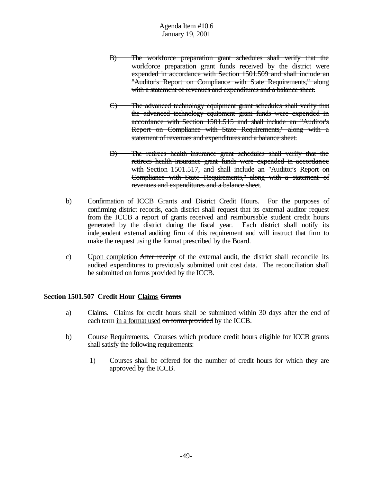- B) The workforce preparation grant schedules shall verify that the workforce preparation grant funds received by the district were expended in accordance with Section 1501.509 and shall include an "Auditor's Report on Compliance with State Requirements," along with a statement of revenues and expenditures and a balance sheet.
- C) The advanced technology equipment grant schedules shall verify that the advanced technology equipment grant funds were expended in accordance with Section 1501.515 and shall include an "Auditor's Report on Compliance with State Requirements," along with a statement of revenues and expenditures and a balance sheet.
- D) The retirees health insurance grant schedules shall verify that the retirees health insurance grant funds were expended in accordance with Section 1501.517, and shall include an "Auditor's Report on Compliance with State Requirements," along with a statement of revenues and expenditures and a balance sheet.
- b) Confirmation of ICCB Grants and District Credit Hours. For the purposes of confirming district records, each district shall request that its external auditor request from the ICCB a report of grants received and reimbursable student credit hours generated by the district during the fiscal year. Each district shall notify its independent external auditing firm of this requirement and will instruct that firm to make the request using the format prescribed by the Board.
- c) Upon completion After receipt of the external audit, the district shall reconcile its audited expenditures to previously submitted unit cost data. The reconciliation shall be submitted on forms provided by the ICCB.

#### **Section 1501.507 Credit Hour Claims Grants**

- a) Claims. Claims for credit hours shall be submitted within 30 days after the end of each term in a format used on forms provided by the ICCB.
- b) Course Requirements. Courses which produce credit hours eligible for ICCB grants shall satisfy the following requirements:
	- 1) Courses shall be offered for the number of credit hours for which they are approved by the ICCB.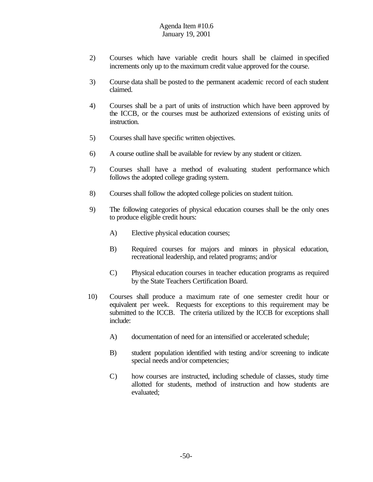- 2) Courses which have variable credit hours shall be claimed in specified increments only up to the maximum credit value approved for the course.
- 3) Course data shall be posted to the permanent academic record of each student claimed.
- 4) Courses shall be a part of units of instruction which have been approved by the ICCB, or the courses must be authorized extensions of existing units of instruction.
- 5) Courses shall have specific written objectives.
- 6) A course outline shall be available for review by any student or citizen.
- 7) Courses shall have a method of evaluating student performance which follows the adopted college grading system.
- 8) Courses shall follow the adopted college policies on student tuition.
- 9) The following categories of physical education courses shall be the only ones to produce eligible credit hours:
	- A) Elective physical education courses;
	- B) Required courses for majors and minors in physical education, recreational leadership, and related programs; and/or
	- C) Physical education courses in teacher education programs as required by the State Teachers Certification Board.
- 10) Courses shall produce a maximum rate of one semester credit hour or equivalent per week. Requests for exceptions to this requirement may be submitted to the ICCB. The criteria utilized by the ICCB for exceptions shall include:
	- A) documentation of need for an intensified or accelerated schedule;
	- B) student population identified with testing and/or screening to indicate special needs and/or competencies;
	- C) how courses are instructed, including schedule of classes, study time allotted for students, method of instruction and how students are evaluated;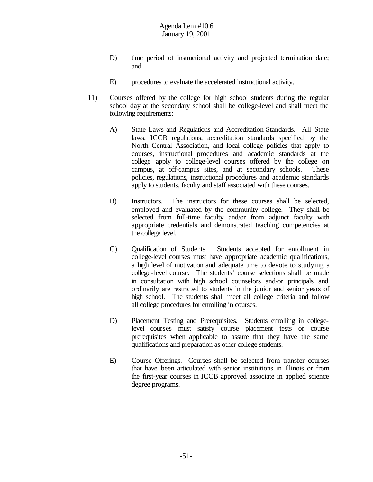- D) time period of instructional activity and projected termination date; and
- E) procedures to evaluate the accelerated instructional activity.
- 11) Courses offered by the college for high school students during the regular school day at the secondary school shall be college-level and shall meet the following requirements:
	- A) State Laws and Regulations and Accreditation Standards. All State laws, ICCB regulations, accreditation standards specified by the North Central Association, and local college policies that apply to courses, instructional procedures and academic standards at the college apply to college-level courses offered by the college on campus, at off-campus sites, and at secondary schools. These policies, regulations, instructional procedures and academic standards apply to students, faculty and staff associated with these courses.
	- B) Instructors. The instructors for these courses shall be selected, employed and evaluated by the community college. They shall be selected from full-time faculty and/or from adjunct faculty with appropriate credentials and demonstrated teaching competencies at the college level.
	- C) Qualification of Students. Students accepted for enrollment in college-level courses must have appropriate academic qualifications, a high level of motivation and adequate time to devote to studying a college-level course. The students' course selections shall be made in consultation with high school counselors and/or principals and ordinarily are restricted to students in the junior and senior years of high school. The students shall meet all college criteria and follow all college procedures for enrolling in courses.
	- D) Placement Testing and Prerequisites. Students enrolling in collegelevel courses must satisfy course placement tests or course prerequisites when applicable to assure that they have the same qualifications and preparation as other college students.
	- E) Course Offerings. Courses shall be selected from transfer courses that have been articulated with senior institutions in Illinois or from the first-year courses in ICCB approved associate in applied science degree programs.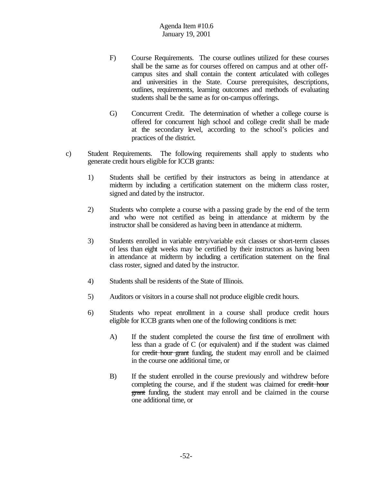- F) Course Requirements. The course outlines utilized for these courses shall be the same as for courses offered on campus and at other offcampus sites and shall contain the content articulated with colleges and universities in the State. Course prerequisites, descriptions, outlines, requirements, learning outcomes and methods of evaluating students shall be the same as for on-campus offerings.
- G) Concurrent Credit. The determination of whether a college course is offered for concurrent high school and college credit shall be made at the secondary level, according to the school's policies and practices of the district.
- c) Student Requirements. The following requirements shall apply to students who generate credit hours eligible for ICCB grants:
	- 1) Students shall be certified by their instructors as being in attendance at midterm by including a certification statement on the midterm class roster, signed and dated by the instructor.
	- 2) Students who complete a course with a passing grade by the end of the term and who were not certified as being in attendance at midterm by the instructor shall be considered as having been in attendance at midterm.
	- 3) Students enrolled in variable entry/variable exit classes or short-term classes of less than eight weeks may be certified by their instructors as having been in attendance at midterm by including a certification statement on the final class roster, signed and dated by the instructor.
	- 4) Students shall be residents of the State of Illinois.
	- 5) Auditors or visitors in a course shall not produce eligible credit hours.
	- 6) Students who repeat enrollment in a course shall produce credit hours eligible for ICCB grants when one of the following conditions is met:
		- A) If the student completed the course the first time of enrollment with less than a grade of C (or equivalent) and if the student was claimed for credit hour grant funding, the student may enroll and be claimed in the course one additional time, or
		- B) If the student enrolled in the course previously and withdrew before completing the course, and if the student was claimed for credit hour grant funding, the student may enroll and be claimed in the course one additional time, or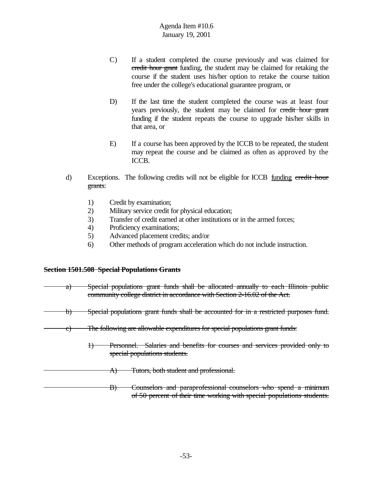- C) If a student completed the course previously and was claimed for credit hour grant funding, the student may be claimed for retaking the course if the student uses his/her option to retake the course tuition free under the college's educational guarantee program, or
- D) If the last time the student completed the course was at least four years previously, the student may be claimed for credit hour grant funding if the student repeats the course to upgrade his/her skills in that area, or
- E) If a course has been approved by the ICCB to be repeated, the student may repeat the course and be claimed as often as approved by the ICCB.
- d) Exceptions. The following credits will not be eligible for ICCB funding credit hour grants:
	- 1) Credit by examination;
	- 2) Military service credit for physical education;
	- 3) Transfer of credit earned at other institutions or in the armed forces;
	- 4) Proficiency examinations;
	- 5) Advanced placement credits; and/or
	- 6) Other methods of program acceleration which do not include instruction.

#### **Section 1501.508 Special Populations Grants**

- a) Special populations grant funds shall be allocated annually to each Illinois public community college district in accordance with Section 2-16.02 of the Act.
- b) Special populations grant funds shall be accounted for in a restricted purposes fund.
	- c) The following are allowable expenditures for special populations grant funds:
		- 1) Personnel. Salaries and benefits for courses and services provided only to special populations students.
		- A) Tutors, both student and professional.

B) Counselors and paraprofessional counselors who spend a minimum of 50 percent of their time working with special populations students.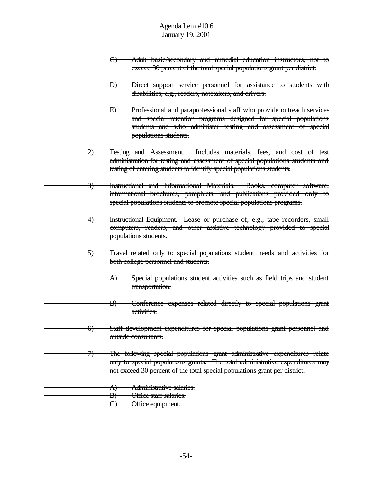- C) Adult basic/secondary and remedial education instructors, not to exceed 30 percent of the total special populations grant per district.
- D) Direct support service personnel for assistance to students with disabilities, e.g., readers, notetakers, and drivers.
- E) Professional and paraprofessional staff who provide outreach services and special retention programs designed for special populations students and who administer testing and assessment of special populations students.
- 2) Testing and Assessment. Includes materials, fees, and cost of test administration for testing and assessment of special populations students and testing of entering students to identify special populations students.
- 3) Instructional and Informational Materials. Books, computer software, informational brochures, pamphlets, and publications provided only to special populations students to promote special populations programs.
- 4) Instructional Equipment. Lease or purchase of, e.g., tape recorders, small computers, readers, and other assistive technology provided to special populations students.
	- 5) Travel related only to special populations student needs and activities for both college personnel and students.
		- A) Special populations student activities such as field trips and student transportation.
		- B) Conference expenses related directly to special populations grant activities.
- 6) Staff development expenditures for special populations grant personnel and outside consultants.
- 7) The following special populations grant administrative expenditures relate only to special populations grants. The total administrative expenditures may not exceed 30 percent of the total special populations grant per district.
- A) Administrative salaries.
	- B) Office staff salaries.
- C) Office equipment.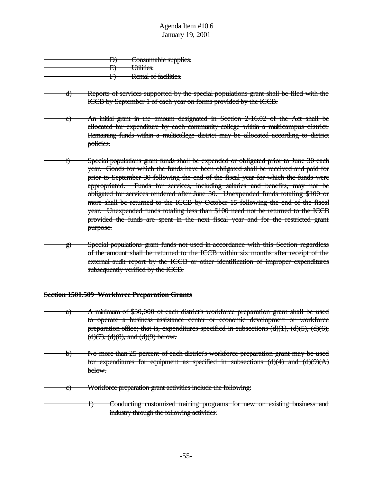|  | Consumable supplies.  |
|--|-----------------------|
|  | Utilities.            |
|  |                       |
|  | Rental of facilities. |
|  |                       |

- d) Reports of services supported by the special populations grant shall be filed with the ICCB by September 1 of each year on forms provided by the ICCB.
- e) An initial grant in the amount designated in Section 2-16.02 of the Act shall be allocated for expenditure by each community college within a multicampus district. Remaining funds within a multicollege district may be allocated according to district policies.
- f) Special populations grant funds shall be expended or obligated prior to June 30 each year. Goods for which the funds have been obligated shall be received and paid for prior to September 30 following the end of the fiscal year for which the funds were appropriated. Funds for services, including salaries and benefits, may not be obligated for services rendered after June 30. Unexpended funds totaling \$100 or more shall be returned to the ICCB by October 15 following the end of the fiscal year. Unexpended funds totaling less than \$100 need not be returned to the ICCB provided the funds are spent in the next fiscal year and for the restricted grant purpose.
- g) Special populations grant funds not used in accordance with this Section regardless of the amount shall be returned to the ICCB within six months after receipt of the external audit report by the ICCB or other identification of improper expenditures subsequently verified by the ICCB.

#### **Section 1501.509 Workforce Preparation Grants**

- a) A minimum of \$30,000 of each district's workforce preparation grant shall be used to operate a business assistance center or economic development or workforce preparation office; that is, expenditures specified in subsections  $(d)(1)$ ,  $(d)(5)$ ,  $(d)(6)$ ,  $(d)(7), (d)(8),$  and  $(d)(9)$  below.
- b) No more than 25 percent of each district's workforce preparation grant may be used for expenditures for equipment as specified in subsections  $(d)(4)$  and  $(d)(9)(A)$ below.
- c) Workforce preparation grant activities include the following:
- 1) Conducting customized training programs for new or existing business and industry through the following activities: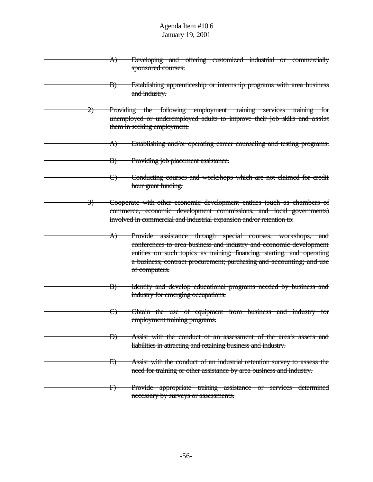- A) Developing and offering customized industrial or commercially sponsored courses.
	- B) Establishing apprenticeship or internship programs with area business and industry.
- 2) Providing the following employment training services training for unemployed or underemployed adults to improve their job skills and assist them in seeking employment.
	- A) Establishing and/or operating career counseling and testing programs.
		- B) Providing job placement assistance.
		- C) Conducting courses and workshops which are not claimed for credit hour grant funding.
- 3) Cooperate with other economic development entities (such as chambers of commerce, economic development commissions, and local governments) involved in commercial and industrial expansion and/or retention to:
	- A) Provide assistance through special courses, workshops, and conferences to area business and industry and economic development entities on such topics as training; financing, starting, and operating a business; contract procurement; purchasing and accounting; and use of computers.
	- B) Identify and develop educational programs needed by business and industry for emerging occupations.
	- C) Obtain the use of equipment from business and industry for employment training programs.
	- D) Assist with the conduct of an assessment of the area's assets and liabilities in attracting and retaining business and industry.
	- E) Assist with the conduct of an industrial retention survey to assess the need for training or other assistance by area business and industry.
	- F) Provide appropriate training assistance or services determined necessary by surveys or assessments.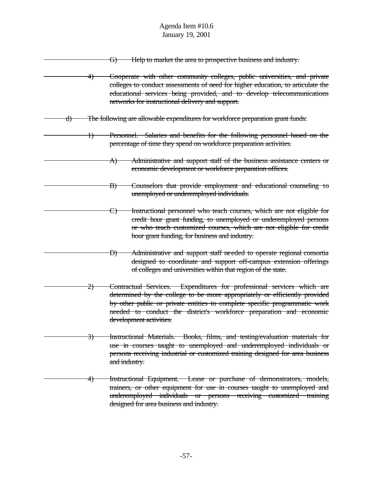|               | Help to market the area to prospective business and industry.<br>G)                                                                                                                                                                                                                                                                  |
|---------------|--------------------------------------------------------------------------------------------------------------------------------------------------------------------------------------------------------------------------------------------------------------------------------------------------------------------------------------|
| 4)            | Cooperate with other community colleges, public universities, and private<br>colleges to conduct assessments of need for higher education, to articulate the<br>educational services being provided, and to develop telecommunications<br>networks for instructional delivery and support.                                           |
| d)            | The following are allowable expenditures for workforce preparation grant funds:                                                                                                                                                                                                                                                      |
| Ð             | Personnel. Salaries and benefits for the following personnel based on the<br>percentage of time they spend on workforce preparation activities.                                                                                                                                                                                      |
|               | Administrative and support staff of the business assistance centers or<br>A)<br>economic development or workforce preparation offices.                                                                                                                                                                                               |
|               | Counselors that provide employment and educational counseling to<br>$\ket{B}$<br>unemployed or underemployed individuals.                                                                                                                                                                                                            |
|               | Instructional personnel who teach courses, which are not eligible for<br><del>C)</del><br>credit hour grant funding, to unemployed or underemployed persons<br>or who teach customized courses, which are not eligible for credit<br>hour grant funding, for business and industry.                                                  |
|               | Administrative and support staff needed to operate regional consortia<br>Ð)<br>designed to coordinate and support off-campus extension offerings<br>of colleges and universities within that region of the state.                                                                                                                    |
| 2)            | Contractual Services. Expenditures for professional services which are<br>determined by the college to be more appropriately or efficiently provided<br>by other public or private entities to complete specific programmatic work<br>needed to conduct the district's workforce preparation and economic<br>development activities. |
| <del>3)</del> | Instructional Materials. Books, films, and testing/evaluation materials for<br>use in courses taught to unemployed and underemployed individuals or<br>persons receiving industrial or customized training designed for area business<br>and industry.                                                                               |
| <del>4)</del> | Instructional Equipment. Lease or purchase of demonstrators, models,<br>trainers, or other equipment for use in courses taught to unemployed and<br>underemployed individuals or persons receiving customized training<br>designed for area business and industry.                                                                   |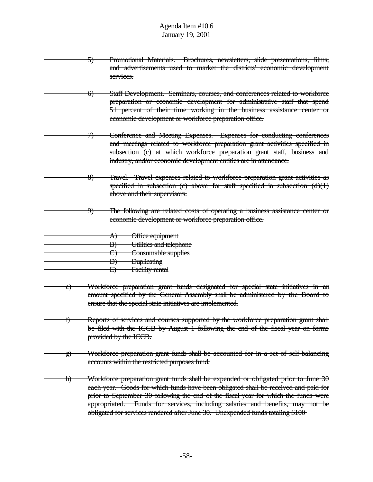- 5) Promotional Materials. Brochures, newsletters, slide presentations, films, and advertisements used to market the districts' economic development services.
- 6) Staff Development. Seminars, courses, and conferences related to workforce preparation or economic development for administrative staff that spend 51 percent of their time working in the business assistance center or economic development or workforce preparation office.
	- 7) Conference and Meeting Expenses. Expenses for conducting conferences and meetings related to workforce preparation grant activities specified in subsection (c) at which workforce preparation grant staff, business and industry, and/or economic development entities are in attendance.
	- 8) Travel. Travel expenses related to workforce preparation grant activities as specified in subsection (c) above for staff specified in subsection  $(d)(1)$ above and their supervisors.
		- 9) The following are related costs of operating a business assistance center or economic development or workforce preparation office.
	- A) Office equipment
		- B) Utilities and telephone
- C) Consumable supplies
- D) Duplicating
	- E) Facility rental
- Workforce preparation grant funds designated for special state initiatives in an amount specified by the General Assembly shall be administered by the Board to ensure that the special state initiatives are implemented.
- f) Reports of services and courses supported by the workforce preparation grant shall be filed with the ICCB by August 1 following the end of the fiscal year on forms provided by the ICCB.
- g) Workforce preparation grant funds shall be accounted for in a set of self-balancing accounts within the restricted purposes fund.
- h) Workforce preparation grant funds shall be expended or obligated prior to June 30 each year. Goods for which funds have been obligated shall be received and paid for prior to September 30 following the end of the fiscal year for which the funds were appropriated. Funds for services, including salaries and benefits, may not be obligated for services rendered after June 30. Unexpended funds totaling \$100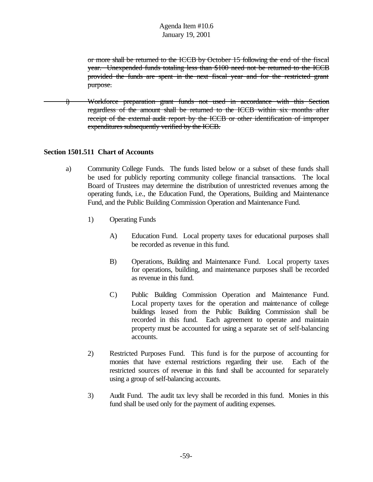or more shall be returned to the ICCB by October 15 following the end of the fiscal year. Unexpended funds totaling less than \$100 need not be returned to the ICCB provided the funds are spent in the next fiscal year and for the restricted grant purpose.

i) Workforce preparation grant funds not used in accordance with this Section regardless of the amount shall be returned to the ICCB within six months after receipt of the external audit report by the ICCB or other identification of improper expenditures subsequently verified by the ICCB.

### **Section 1501.511 Chart of Accounts**

- a) Community College Funds. The funds listed below or a subset of these funds shall be used for publicly reporting community college financial transactions. The local Board of Trustees may determine the distribution of unrestricted revenues among the operating funds, i.e., the Education Fund, the Operations, Building and Maintenance Fund, and the Public Building Commission Operation and Maintenance Fund.
	- 1) Operating Funds
		- A) Education Fund. Local property taxes for educational purposes shall be recorded as revenue in this fund.
		- B) Operations, Building and Maintenance Fund. Local property taxes for operations, building, and maintenance purposes shall be recorded as revenue in this fund.
		- C) Public Building Commission Operation and Maintenance Fund. Local property taxes for the operation and maintenance of college buildings leased from the Public Building Commission shall be recorded in this fund. Each agreement to operate and maintain property must be accounted for using a separate set of self-balancing accounts.
	- 2) Restricted Purposes Fund. This fund is for the purpose of accounting for monies that have external restrictions regarding their use. Each of the restricted sources of revenue in this fund shall be accounted for separately using a group of self-balancing accounts.
	- 3) Audit Fund. The audit tax levy shall be recorded in this fund. Monies in this fund shall be used only for the payment of auditing expenses.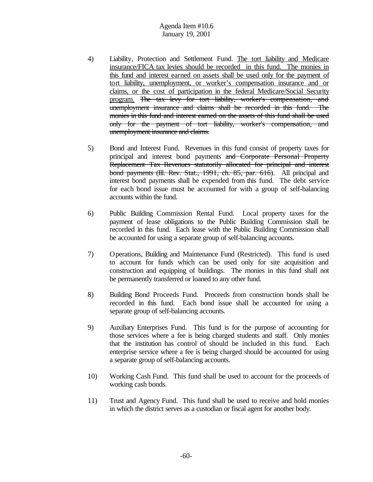- 4) Liability, Protection and Settlement Fund. The tort liability and Medicare insurance/FICA tax levies should be recorded in this fund. The monies in this fund and interest earned on assets shall be used only for the payment of tort liability, unemployment, or worker's compensation insurance and or claims, or the cost of participation in the federal Medicare/Social Security program. The tax levy for tort liability, worker's compensation, and unemployment insurance and claims shall be recorded in this fund. The monies in this fund and interest earned on the assets of this fund shall be used only for the payment of tort liability, worker's compensation, and unemployment insurance and claims.
- 5) Bond and Interest Fund. Revenues in this fund consist of property taxes for principal and interest bond payments and Corporate Personal Property Replacement Tax Revenues statutorily allocated for principal and interest bond payments (Ill. Rev. Stat., 1991, ch. 85, par. 616). All principal and interest bond payments shall be expended from this fund. The debt service for each bond issue must be accounted for with a group of self-balancing accounts within the fund.
- 6) Public Building Commission Rental Fund. Local property taxes for the payment of lease obligations to the Public Building Commission shall be recorded in this fund. Each lease with the Public Building Commission shall be accounted for using a separate group of self-balancing accounts.
- 7) Operations, Building and Maintenance Fund (Restricted). This fund is used to account for funds which can be used only for site acquisition and construction and equipping of buildings. The monies in this fund shall not be permanently transferred or loaned to any other fund.
- 8) Building Bond Proceeds Fund. Proceeds from construction bonds shall be recorded in this fund. Each bond issue shall be accounted for using a separate group of self-balancing accounts.
- 9) Auxiliary Enterprises Fund. This fund is for the purpose of accounting for those services where a fee is being charged students and staff. Only monies that the institution has control of should be included in this fund. Each enterprise service where a fee is being charged should be accounted for using a separate group of self-balancing accounts.
- 10) Working Cash Fund. This fund shall be used to account for the proceeds of working cash bonds.
- 11) Trust and Agency Fund. This fund shall be used to receive and hold monies in which the district serves as a custodian or fiscal agent for another body.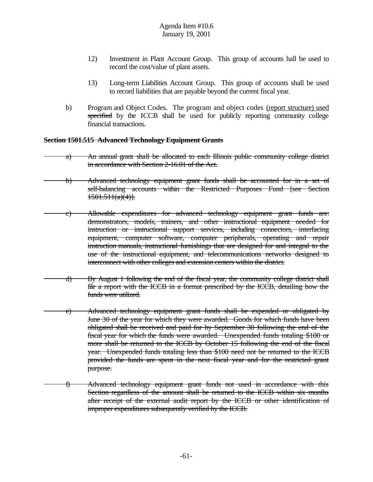- 12) Investment in Plant Account Group. This group of accounts hall be used to record the cost/value of plant assets.
- 13) Long-term Liabilities Account Group. This group of accounts shall be used to record liabilities that are payable beyond the current fiscal year.
- b) Program and Object Codes. The program and object codes (report structure) used specified by the ICCB shall be used for publicly reporting community college financial transactions.

### **Section 1501.515 Advanced Technology Equipment Grants**

- a) An annual grant shall be allocated to each Illinois public community college district in accordance with Section 2-16.01 of the Act.
- b) Advanced technology equipment grant funds shall be accounted for in a set of self-balancing accounts within the Restricted Purposes Fund [see Section  $1501.511(a)(4)$ .
- c) Allowable expenditures for advanced technology equipment grant funds are: demonstrators, models, trainers, and other instructional equipment needed for instruction or instructional support services, including connectors, interfacing equipment, computer software, computer peripherals, operating and repair instruction manuals, instructional furnishings that are designed for and integral to the use of the instructional equipment, and telecommunications networks designed to interconnect with other colleges and extension centers within the district.
- d) By August 1 following the end of the fiscal year, the community college district shall file a report with the ICCB in a format prescribed by the ICCB, detailing how the funds were utilized.
	- e) Advanced technology equipment grant funds shall be expended or obligated by June 30 of the year for which they were awarded. Goods for which funds have been obligated shall be received and paid for by September 30 following the end of the fiscal year for which the funds were awarded. Unexpended funds totaling \$100 or more shall be returned to the ICCB by October 15 following the end of the fiscal year. Unexpended funds totaling less than \$100 need not be returned to the ICCB provided the funds are spent in the next fiscal year and for the restricted grant purpose.
- f) Advanced technology equipment grant funds not used in accordance with this Section regardless of the amount shall be returned to the ICCB within six months after receipt of the external audit report by the ICCB or other identification of improper expenditures subsequently verified by the ICCB.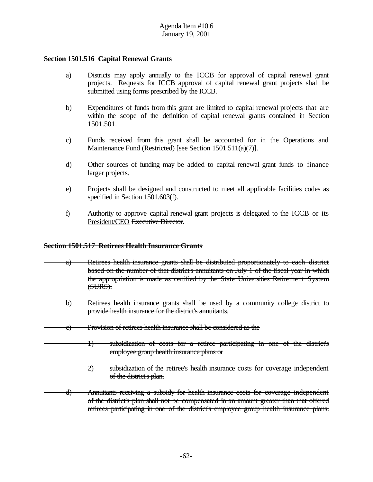### **Section 1501.516 Capital Renewal Grants**

- a) Districts may apply annually to the ICCB for approval of capital renewal grant projects. Requests for ICCB approval of capital renewal grant projects shall be submitted using forms prescribed by the ICCB.
- b) Expenditures of funds from this grant are limited to capital renewal projects that are within the scope of the definition of capital renewal grants contained in Section 1501.501.
- c) Funds received from this grant shall be accounted for in the Operations and Maintenance Fund (Restricted) [see Section 1501.511(a)(7)].
- d) Other sources of funding may be added to capital renewal grant funds to finance larger projects.
- e) Projects shall be designed and constructed to meet all applicable facilities codes as specified in Section 1501.603(f).
- f) Authority to approve capital renewal grant projects is delegated to the ICCB or its President/CEO Executive Director.

#### **Section 1501.517 Retirees Health Insurance Grants**

- a) Retirees health insurance grants shall be distributed proportionately to each district based on the number of that district's annuitants on July 1 of the fiscal year in which the appropriation is made as certified by the State Universities Retirement System (SURS).
- b) Retirees health insurance grants shall be used by a community college district to provide health insurance for the district's annuitants.
- c) Provision of retirees health insurance shall be considered as the

1) subsidization of costs for a retiree participating in one of the district's employee group health insurance plans or

- 2) subsidization of the retiree's health insurance costs for coverage independent of the district's plan.
- d) Annuitants receiving a subsidy for health insurance costs for coverage independent of the district's plan shall not be compensated in an amount greater than that offered retirees participating in one of the district's employee group health insurance plans.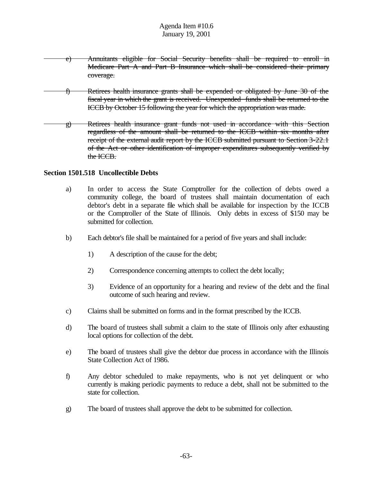- e) Annuitants eligible for Social Security benefits shall be required to enroll in Medicare Part A and Part B Insurance which shall be considered their primary coverage.
- f) Retirees health insurance grants shall be expended or obligated by June 30 of the fiscal year in which the grant is received. Unexpended funds shall be returned to the ICCB by October 15 following the year for which the appropriation was made.
- g) Retirees health insurance grant funds not used in accordance with this Section regardless of the amount shall be returned to the ICCB within six months after receipt of the external audit report by the ICCB submitted pursuant to Section 3-22.1 of the Act or other identification of improper expenditures subsequently verified by the ICCB.

#### **Section 1501.518 Uncollectible Debts**

- a) In order to access the State Comptroller for the collection of debts owed a community college, the board of trustees shall maintain documentation of each debtor's debt in a separate file which shall be available for inspection by the ICCB or the Comptroller of the State of Illinois. Only debts in excess of \$150 may be submitted for collection.
- b) Each debtor's file shall be maintained for a period of five years and shall include:
	- 1) A description of the cause for the debt;
	- 2) Correspondence concerning attempts to collect the debt locally;
	- 3) Evidence of an opportunity for a hearing and review of the debt and the final outcome of such hearing and review.
- c) Claims shall be submitted on forms and in the format prescribed by the ICCB.
- d) The board of trustees shall submit a claim to the state of Illinois only after exhausting local options for collection of the debt.
- e) The board of trustees shall give the debtor due process in accordance with the Illinois State Collection Act of 1986.
- f) Any debtor scheduled to make repayments, who is not yet delinquent or who currently is making periodic payments to reduce a debt, shall not be submitted to the state for collection.
- g) The board of trustees shall approve the debt to be submitted for collection.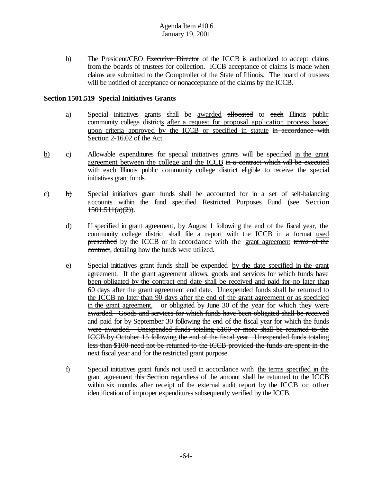h) The President/CEO Executive Director of the ICCB is authorized to accept claims from the boards of trustees for collection. ICCB acceptance of claims is made when claims are submitted to the Comptroller of the State of Illinois. The board of trustees will be notified of acceptance or nonacceptance of the claims by the ICCB.

### **Section 1501.519 Special Initiatives Grants**

- a) Special initiatives grants shall be awarded allocated to each Illinois public community college districts after a request for proposal application process based upon criteria approved by the ICCB or specified in statute in accordance with Section 2-16.02 of the Act.
- b) c) Allowable expenditures for special initiatives grants will be specified in the grant agreement between the college and the ICCB  $\frac{1}{2}$  in a contract which will be executed with each Illinois public community college district eligible to receive the special initiatives grant funds.
- $\overrightarrow{c}$  b) Special initiatives grant funds shall be accounted for in a set of self-balancing accounts within the fund specified Restricted Purposes Fund (see Section  $1501.511(a)(2)$ ).
	- d) If specified in grant agreement, by August 1 following the end of the fiscal year, the community college district shall file a report with the ICCB in a format used prescribed by the ICCB or in accordance with the grant agreement terms of the contract, detailing how the funds were utilized.
	- e) Special initiatives grant funds shall be expended by the date specified in the grant agreement. If the grant agreement allows, goods and services for which funds have been obligated by the contract end date shall be received and paid for no later than 60 days after the grant agreement end date. Unexpended funds shall be returned to the ICCB no later than 90 days after the end of the grant agreement or as specified in the grant agreement. or obligated by June 30 of the year for which they were awarded. Goods and services for which funds have been obligated shall be received and paid for by September 30 following the end of the fiscal year for which the funds were awarded. Unexpended funds totaling \$100 or more shall be returned to the ICCB by October 15 following the end of the fiscal year. Unexpended funds totaling less than \$100 need not be returned to the ICCB provided the funds are spent in the next fiscal year and for the restricted grant purpose.
	- f) Special initiatives grant funds not used in accordance with the terms specified in the grant agreement this Section regardless of the amount shall be returned to the ICCB within six months after receipt of the external audit report by the ICCB or other identification of improper expenditures subsequently verified by the ICCB.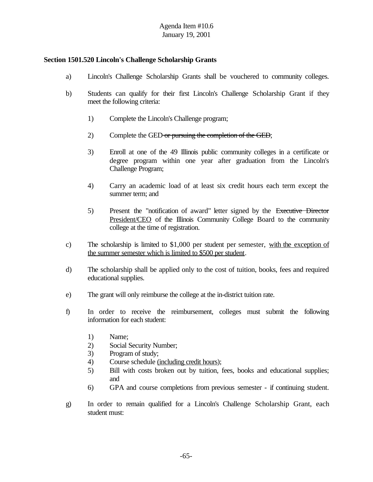### **Section 1501.520 Lincoln's Challenge Scholarship Grants**

- a) Lincoln's Challenge Scholarship Grants shall be vouchered to community colleges.
- b) Students can qualify for their first Lincoln's Challenge Scholarship Grant if they meet the following criteria:
	- 1) Complete the Lincoln's Challenge program;
	- 2) Complete the GED or pursuing the completion of the GED;
	- 3) Enroll at one of the 49 Illinois public community colleges in a certificate or degree program within one year after graduation from the Lincoln's Challenge Program;
	- 4) Carry an academic load of at least six credit hours each term except the summer term; and
	- 5) Present the "notification of award" letter signed by the Executive Director President/CEO of the Illinois Community College Board to the community college at the time of registration.
- c) The scholarship is limited to \$1,000 per student per semester, with the exception of the summer semester which is limited to \$500 per student.
- d) The scholarship shall be applied only to the cost of tuition, books, fees and required educational supplies.
- e) The grant will only reimburse the college at the in-district tuition rate.
- f) In order to receive the reimbursement, colleges must submit the following information for each student:
	- 1) Name;
	- 2) Social Security Number;
	- 3) Program of study;
	- 4) Course schedule (including credit hours);
	- 5) Bill with costs broken out by tuition, fees, books and educational supplies; and
	- 6) GPA and course completions from previous semester if continuing student.
- g) In order to remain qualified for a Lincoln's Challenge Scholarship Grant, each student must: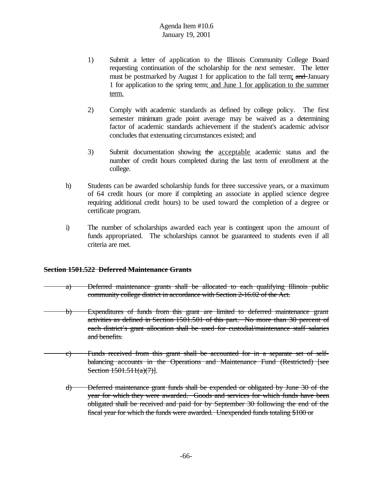- 1) Submit a letter of application to the Illinois Community College Board requesting continuation of the scholarship for the next semester. The letter must be postmarked by August 1 for application to the fall term; and January 1 for application to the spring term; and June 1 for application to the summer term.
- 2) Comply with academic standards as defined by college policy. The first semester minimum grade point average may be waived as a determining factor of academic standards achievement if the student's academic advisor concludes that extenuating circumstances existed; and
- 3) Submit documentation showing the acceptable academic status and the number of credit hours completed during the last term of enrollment at the college.
- h) Students can be awarded scholarship funds for three successive years, or a maximum of 64 credit hours (or more if completing an associate in applied science degree requiring additional credit hours) to be used toward the completion of a degree or certificate program.
- i) The number of scholarships awarded each year is contingent upon the amount of funds appropriated. The scholarships cannot be guaranteed to students even if all criteria are met.

## **Section 1501.522 Deferred Maintenance Grants**

- a) Deferred maintenance grants shall be allocated to each qualifying Illinois public community college district in accordance with Section 2-16.02 of the Act.
- b) Expenditures of funds from this grant are limited to deferred maintenance grant activities as defined in Section 1501.501 of this part. No more than 30 percent of each district's grant allocation shall be used for custodial/maintenance staff salaries and benefits.
- c) Funds received from this grant shall be accounted for in a separate set of selfbalancing accounts in the Operations and Maintenance Fund (Restricted) [see Section 1501.511(a)(7)].
	- d) Deferred maintenance grant funds shall be expended or obligated by June 30 of the year for which they were awarded. Goods and services for which funds have been obligated shall be received and paid for by September 30 following the end of the fiscal year for which the funds were awarded. Unexpended funds totaling \$100 or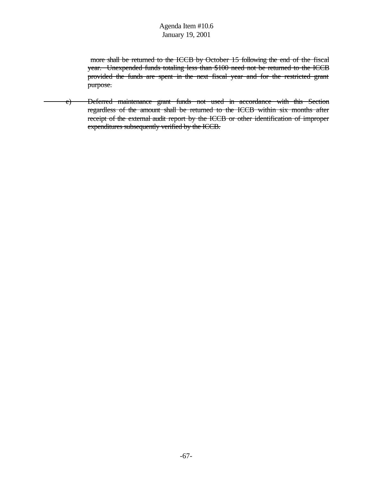more shall be returned to the ICCB by October 15 following the end of the fiscal year. Unexpended funds totaling less than \$100 need not be returned to the ICCB provided the funds are spent in the next fiscal year and for the restricted grant purpose.

e) Deferred maintenance grant funds not used in accordance with this Section regardless of the amount shall be returned to the ICCB within six months after receipt of the external audit report by the ICCB or other identification of improper expenditures subsequently verified by the ICCB.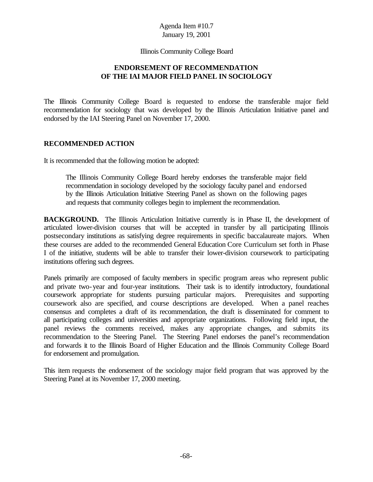Illinois Community College Board

## **ENDORSEMENT OF RECOMMENDATION OF THE IAI MAJOR FIELD PANEL IN SOCIOLOGY**

The Illinois Community College Board is requested to endorse the transferable major field recommendation for sociology that was developed by the Illinois Articulation Initiative panel and endorsed by the IAI Steering Panel on November 17, 2000.

#### **RECOMMENDED ACTION**

It is recommended that the following motion be adopted:

The Illinois Community College Board hereby endorses the transferable major field recommendation in sociology developed by the sociology faculty panel and endorsed by the Illinois Articulation Initiative Steering Panel as shown on the following pages and requests that community colleges begin to implement the recommendation.

**BACKGROUND.** The Illinois Articulation Initiative currently is in Phase II, the development of articulated lower-division courses that will be accepted in transfer by all participating Illinois postsecondary institutions as satisfying degree requirements in specific baccalaureate majors. When these courses are added to the recommended General Education Core Curriculum set forth in Phase I of the initiative, students will be able to transfer their lower-division coursework to participating institutions offering such degrees.

Panels primarily are composed of faculty members in specific program areas who represent public and private two-year and four-year institutions. Their task is to identify introductory, foundational coursework appropriate for students pursuing particular majors. Prerequisites and supporting coursework also are specified, and course descriptions are developed. When a panel reaches consensus and completes a draft of its recommendation, the draft is disseminated for comment to all participating colleges and universities and appropriate organizations. Following field input, the panel reviews the comments received, makes any appropriate changes, and submits its recommendation to the Steering Panel. The Steering Panel endorses the panel's recommendation and forwards it to the Illinois Board of Higher Education and the Illinois Community College Board for endorsement and promulgation.

This item requests the endorsement of the sociology major field program that was approved by the Steering Panel at its November 17, 2000 meeting.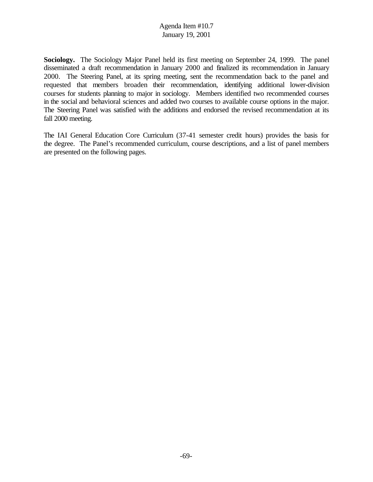**Sociology.** The Sociology Major Panel held its first meeting on September 24, 1999. The panel disseminated a draft recommendation in January 2000 and finalized its recommendation in January 2000. The Steering Panel, at its spring meeting, sent the recommendation back to the panel and requested that members broaden their recommendation, identifying additional lower-division courses for students planning to major in sociology. Members identified two recommended courses in the social and behavioral sciences and added two courses to available course options in the major. The Steering Panel was satisfied with the additions and endorsed the revised recommendation at its fall 2000 meeting.

The IAI General Education Core Curriculum (37-41 semester credit hours) provides the basis for the degree. The Panel's recommended curriculum, course descriptions, and a list of panel members are presented on the following pages.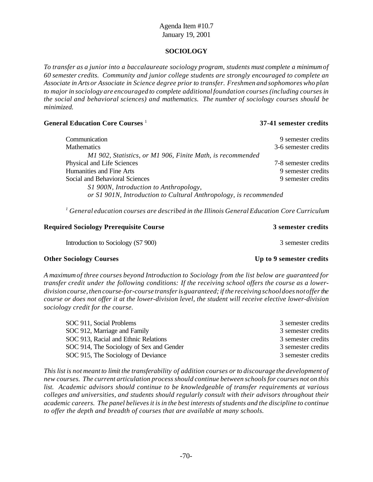#### **SOCIOLOGY**

*To transfer as a junior into a baccalaureate sociology program, students must complete a minimumof 60 semester credits. Community and junior college students are strongly encouraged to complete an Associate in Arts or Associate in Science degree prior to transfer. Freshmen and sophomores who plan to major in sociology are encouraged to complete additional foundation courses (including courses in the social and behavioral sciences) and mathematics. The number of sociology courses should be minimized.* 

#### **General Education Core Courses** <sup>1</sup>

#### **37-41 semester credits**

| Communication                                                     | 9 semester credits   |
|-------------------------------------------------------------------|----------------------|
| <b>Mathematics</b>                                                | 3-6 semester credits |
| M1 902, Statistics, or M1 906, Finite Math, is recommended        |                      |
| Physical and Life Sciences                                        | 7-8 semester credits |
| Humanities and Fine Arts                                          | 9 semester credits   |
| Social and Behavioral Sciences                                    | 9 semester credits   |
| S1 900N, Introduction to Anthropology,                            |                      |
| or S1 901N, Introduction to Cultural Anthropology, is recommended |                      |

*<sup>1</sup> General education courses are described in the Illinois General Education Core Curriculum*

#### **Required Sociology Prerequisite Course 3 semester credits**

Introduction to Sociology (S7 900) 3 semester credits

#### **Other Sociology Courses Up to 9 semester credits**

*A maximumof three courses beyond Introduction to Sociology from the list below are guaranteed for transfer credit under the following conditions: If the receiving school offers the course as a lowerdivision course, then course-for-course transferis guaranteed;if the receiving schooldoes notoffer the course or does not offer it at the lower-division level, the student will receive elective lower-division sociology credit for the course.*

| SOC 911, Social Problems                 | 3 semester credits |
|------------------------------------------|--------------------|
| SOC 912, Marriage and Family             | 3 semester credits |
| SOC 913, Racial and Ethnic Relations     | 3 semester credits |
| SOC 914, The Sociology of Sex and Gender | 3 semester credits |
| SOC 915, The Sociology of Deviance       | 3 semester credits |

This list is not meant to limit the transferability of addition courses or to discourage the development of *new courses. The current articulation process should continue between schools for courses not on this list. Academic advisors should continue to be knowledgeable of transfer requirements at various colleges and universities, and students should regularly consult with their advisors throughout their academic careers. The panel believes it is in the best interests of students and the discipline to continue to offer the depth and breadth of courses that are available at many schools.*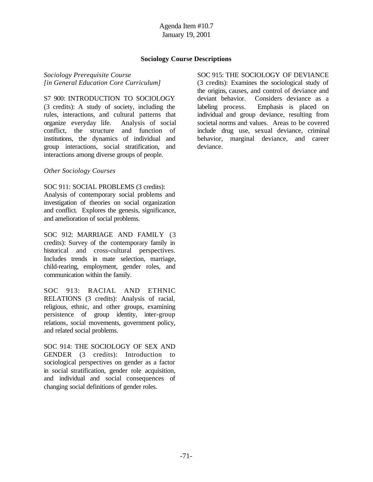### **Sociology Course Descriptions**

*Sociology Prerequisite Course [in General Education Core Curriculum]*

S7 900: INTRODUCTION TO SOCIOLOGY (3 credits): A study of society, including the rules, interactions, and cultural patterns that organize everyday life. Analysis of social conflict, the structure and function of institutions, the dynamics of individual and group interactions, social stratification, and interactions among diverse groups of people.

#### *Other Sociology Courses*

SOC 911: SOCIAL PROBLEMS (3 credits): Analysis of contemporary social problems and investigation of theories on social organization and conflict. Explores the genesis, significance, and amelioration of social problems.

SOC 912: MARRIAGE AND FAMILY (3 credits): Survey of the contemporary family in historical and cross-cultural perspectives. Includes trends in mate selection, marriage, child-rearing, employment, gender roles, and communication within the family.

SOC 913: RACIAL AND ETHNIC RELATIONS (3 credits): Analysis of racial, religious, ethnic, and other groups, examining persistence of group identity, inter-group relations, social movements, government policy, and related social problems.

SOC 914: THE SOCIOLOGY OF SEX AND GENDER (3 credits): Introduction to sociological perspectives on gender as a factor in social stratification, gender role acquisition, and individual and social consequences of changing social definitions of gender roles.

SOC 915: THE SOCIOLOGY OF DEVIANCE (3 credits): Examines the sociological study of the origins, causes, and control of deviance and deviant behavior. Considers deviance as a labeling process. Emphasis is placed on individual and group deviance, resulting from societal norms and values. Areas to be covered include drug use, sexual deviance, criminal behavior, marginal deviance, and career deviance.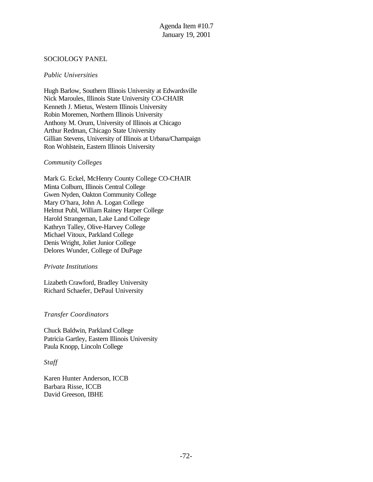### SOCIOLOGY PANEL

### *Public Universities*

Hugh Barlow, Southern Illinois University at Edwardsville Nick Maroules, Illinois State University CO-CHAIR Kenneth J. Mietus, Western Illinois University Robin Moremen, Northern Illinois University Anthony M. Orum, University of Illinois at Chicago Arthur Redman, Chicago State University Gillian Stevens, University of Illinois at Urbana/Champaign Ron Wohlstein, Eastern Illinois University

#### *Community Colleges*

Mark G. Eckel, McHenry County College CO-CHAIR Minta Colburn, Illinois Central College Gwen Nyden, Oakton Community College Mary O'hara, John A. Logan College Helmut Publ, William Rainey Harper College Harold Strangeman, Lake Land College Kathryn Talley, Olive-Harvey College Michael Vitoux, Parkland College Denis Wright, Joliet Junior College Delores Wunder, College of DuPage

#### *Private Institutions*

Lizabeth Crawford, Bradley University Richard Schaefer, DePaul University

### *Transfer Coordinators*

Chuck Baldwin, Parkland College Patricia Gartley, Eastern Illinois University Paula Knopp, Lincoln College

#### *Staff*

Karen Hunter Anderson, ICCB Barbara Risse, ICCB David Greeson, IBHE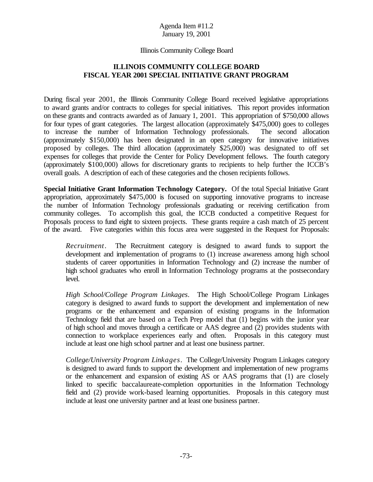### Illinois Community College Board

# **ILLINOIS COMMUNITY COLLEGE BOARD FISCAL YEAR 2001 SPECIAL INITIATIVE GRANT PROGRAM**

During fiscal year 2001, the Illinois Community College Board received legislative appropriations to award grants and/or contracts to colleges for special initiatives. This report provides information on these grants and contracts awarded as of January 1, 2001. This appropriation of \$750,000 allows for four types of grant categories. The largest allocation (approximately \$475,000) goes to colleges to increase the number of Information Technology professionals. The second allocation (approximately \$150,000) has been designated in an open category for innovative initiatives proposed by colleges. The third allocation (approximately \$25,000) was designated to off set expenses for colleges that provide the Center for Policy Development fellows. The fourth category (approximately \$100,000) allows for discretionary grants to recipients to help further the ICCB's overall goals. A description of each of these categories and the chosen recipients follows.

**Special Initiative Grant Information Technology Category.** Of the total Special Initiative Grant appropriation, approximately \$475,000 is focused on supporting innovative programs to increase the number of Information Technology professionals graduating or receiving certification from community colleges. To accomplish this goal, the ICCB conducted a competitive Request for Proposals process to fund eight to sixteen projects. These grants require a cash match of 25 percent of the award. Five categories within this focus area were suggested in the Request for Proposals:

*Recruitment*. The Recruitment category is designed to award funds to support the development and implementation of programs to (1) increase awareness among high school students of career opportunities in Information Technology and (2) increase the number of high school graduates who enroll in Information Technology programs at the postsecondary level.

*High School/College Program Linkages*. The High School/College Program Linkages category is designed to award funds to support the development and implementation of new programs or the enhancement and expansion of existing programs in the Information Technology field that are based on a Tech Prep model that (1) begins with the junior year of high school and moves through a certificate or AAS degree and (2) provides students with connection to workplace experiences early and often. Proposals in this category must include at least one high school partner and at least one business partner.

*College/University Program Linkages*. The College/University Program Linkages category is designed to award funds to support the development and implementation of new programs or the enhancement and expansion of existing AS or AAS programs that (1) are closely linked to specific baccalaureate-completion opportunities in the Information Technology field and (2) provide work-based learning opportunities. Proposals in this category must include at least one university partner and at least one business partner.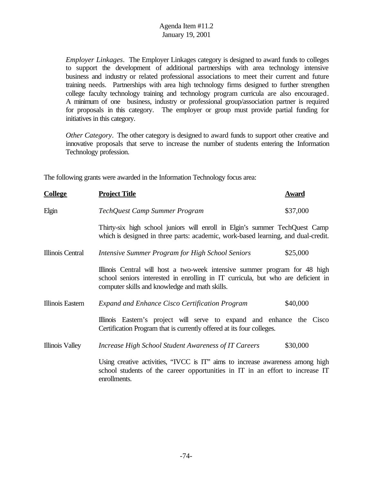*Employer Linkages*. The Employer Linkages category is designed to award funds to colleges to support the development of additional partnerships with area technology intensive business and industry or related professional associations to meet their current and future training needs. Partnerships with area high technology firms designed to further strengthen college faculty technology training and technology program curricula are also encouraged. A minimum of one business, industry or professional group/association partner is required for proposals in this category. The employer or group must provide partial funding for initiatives in this category.

*Other Category*. The other category is designed to award funds to support other creative and innovative proposals that serve to increase the number of students entering the Information Technology profession.

The following grants were awarded in the Information Technology focus area:

| <b>College</b>         | <b>Project Title</b>                                                                                                                                                                                             | <b>Award</b> |
|------------------------|------------------------------------------------------------------------------------------------------------------------------------------------------------------------------------------------------------------|--------------|
| Elgin                  | TechQuest Camp Summer Program                                                                                                                                                                                    | \$37,000     |
|                        | Thirty-six high school juniors will enroll in Elgin's summer TechQuest Camp<br>which is designed in three parts: academic, work-based learning, and dual-credit.                                                 |              |
| Illinois Central       | Intensive Summer Program for High School Seniors                                                                                                                                                                 | \$25,000     |
|                        | Illinois Central will host a two-week intensive summer program for 48 high<br>school seniors interested in enrolling in IT curricula, but who are deficient in<br>computer skills and knowledge and math skills. |              |
| Illinois Eastern       | <b>Expand and Enhance Cisco Certification Program</b>                                                                                                                                                            | \$40,000     |
|                        | Illinois Eastern's project will serve to expand and enhance the Cisco<br>Certification Program that is currently offered at its four colleges.                                                                   |              |
| <b>Illinois Valley</b> | <b>Increase High School Student Awareness of IT Careers</b>                                                                                                                                                      | \$30,000     |
|                        | Using creative activities, "IVCC is IT" aims to increase awareness among high<br>school students of the career opportunities in IT in an effort to increase IT<br>enrollments.                                   |              |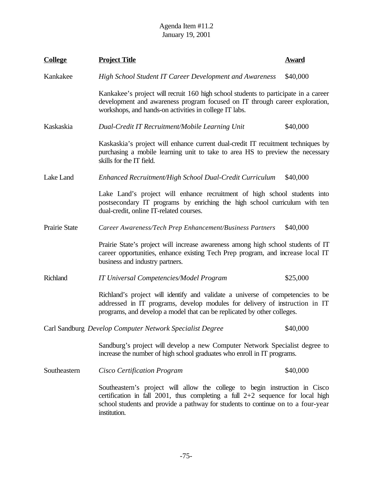| <b>College</b>                                                       | <b>Project Title</b>                                                                                                                                                                                                                                                | <b>Award</b> |
|----------------------------------------------------------------------|---------------------------------------------------------------------------------------------------------------------------------------------------------------------------------------------------------------------------------------------------------------------|--------------|
| Kankakee                                                             | High School Student IT Career Development and Awareness                                                                                                                                                                                                             | \$40,000     |
|                                                                      | Kankakee's project will recruit 160 high school students to participate in a career<br>development and awareness program focused on IT through career exploration,<br>workshops, and hands-on activities in college IT labs.                                        |              |
| Kaskaskia                                                            | Dual-Credit IT Recruitment/Mobile Learning Unit                                                                                                                                                                                                                     | \$40,000     |
|                                                                      | Kaskaskia's project will enhance current dual-credit IT recuitment techniques by<br>purchasing a mobile learning unit to take to area HS to preview the necessary<br>skills for the IT field.                                                                       |              |
| Lake Land                                                            | \$40,000<br>Enhanced Recruitment/High School Dual-Credit Curriculum                                                                                                                                                                                                 |              |
|                                                                      | Lake Land's project will enhance recruitment of high school students into<br>postsecondary IT programs by enriching the high school curriculum with ten<br>dual-credit, online IT-related courses.                                                                  |              |
| Prairie State                                                        | Career Awareness/Tech Prep Enhancement/Business Partners                                                                                                                                                                                                            | \$40,000     |
|                                                                      | Prairie State's project will increase awareness among high school students of IT<br>career opportunities, enhance existing Tech Prep program, and increase local IT<br>business and industry partners.                                                              |              |
| Richland                                                             | <b>IT Universal Competencies/Model Program</b>                                                                                                                                                                                                                      | \$25,000     |
|                                                                      | Richland's project will identify and validate a universe of competencies to be<br>addressed in IT programs, develop modules for delivery of instruction in IT<br>programs, and develop a model that can be replicated by other colleges.                            |              |
| Carl Sandburg Develop Computer Network Specialist Degree<br>\$40,000 |                                                                                                                                                                                                                                                                     |              |
|                                                                      | Sandburg's project will develop a new Computer Network Specialist degree to<br>increase the number of high school graduates who enroll in IT programs.                                                                                                              |              |
| Southeastern                                                         | Cisco Certification Program                                                                                                                                                                                                                                         | \$40,000     |
|                                                                      | Southeastern's project will allow the college to begin instruction in Cisco<br>certification in fall 2001, thus completing a full $2+2$ sequence for local high<br>school students and provide a pathway for students to continue on to a four-year<br>institution. |              |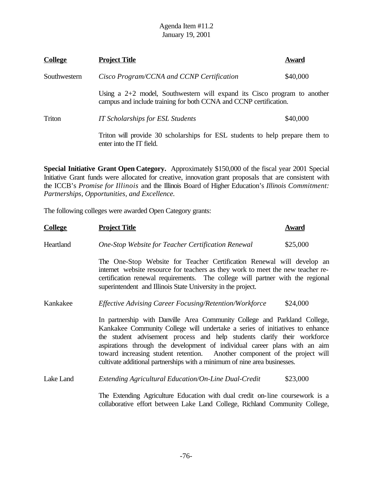| <b>College</b> | <b>Project Title</b>                                                                                                                            | Award    |
|----------------|-------------------------------------------------------------------------------------------------------------------------------------------------|----------|
| Southwestern   | Cisco Program/CCNA and CCNP Certification                                                                                                       | \$40,000 |
|                | Using a $2+2$ model, Southwestern will expand its Cisco program to another<br>campus and include training for both CCNA and CCNP certification. |          |
| Triton         | <b>IT Scholarships for ESL Students</b>                                                                                                         | \$40,000 |
|                | Triton will provide 30 scholarships for ESL students to help prepare them to<br>enter into the IT field.                                        |          |

**Special Initiative Grant Open Category.** Approximately \$150,000 of the fiscal year 2001 Special Initiative Grant funds were allocated for creative, innovation grant proposals that are consistent with the ICCB's *Promise for Illinois* and the Illinois Board of Higher Education's *Illinois Commitment: Partnerships, Opportunities, and Excellence.*

The following colleges were awarded Open Category grants:

| <b>College</b> | <u>Project Title</u>                                                                                                                                                                                                                                                                                                                                                                                                                                                           | <b>Award</b> |
|----------------|--------------------------------------------------------------------------------------------------------------------------------------------------------------------------------------------------------------------------------------------------------------------------------------------------------------------------------------------------------------------------------------------------------------------------------------------------------------------------------|--------------|
| Heartland      | One-Stop Website for Teacher Certification Renewal                                                                                                                                                                                                                                                                                                                                                                                                                             | \$25,000     |
|                | The One-Stop Website for Teacher Certification Renewal will develop an<br>internet website resource for teachers as they work to meet the new teacher re-<br>certification renewal requirements. The college will partner with the regional<br>superintendent and Illinois State University in the project.                                                                                                                                                                    |              |
| Kankakee       | Effective Advising Career Focusing/Retention/Workforce                                                                                                                                                                                                                                                                                                                                                                                                                         | \$24,000     |
|                | In partnership with Danville Area Community College and Parkland College,<br>Kankakee Community College will undertake a series of initiatives to enhance<br>the student advisement process and help students clarify their workforce<br>aspirations through the development of individual career plans with an aim<br>toward increasing student retention. Another component of the project will<br>cultivate additional partnerships with a minimum of nine area businesses. |              |
| Lake Land      | Extending Agricultural Education/On-Line Dual-Credit                                                                                                                                                                                                                                                                                                                                                                                                                           | \$23,000     |
|                | The Extending Agriculture Education with dual credit on-line coursework is a<br>collaborative effort between Lake Land College, Richland Community College,                                                                                                                                                                                                                                                                                                                    |              |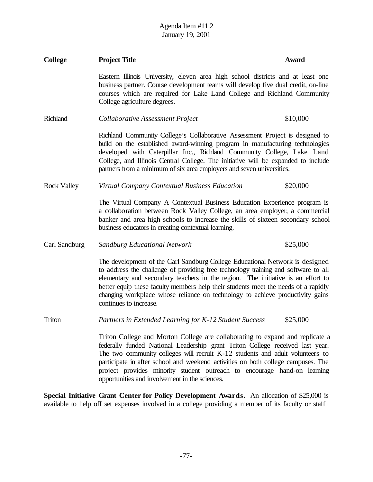| <b>College</b>     | <b>Project Title</b>                                                                                                                                                                                                                                                                                                                                                                                                                                              | Award    |
|--------------------|-------------------------------------------------------------------------------------------------------------------------------------------------------------------------------------------------------------------------------------------------------------------------------------------------------------------------------------------------------------------------------------------------------------------------------------------------------------------|----------|
|                    | Eastern Illinois University, eleven area high school districts and at least one<br>business partner. Course development teams will develop five dual credit, on-line<br>courses which are required for Lake Land College and Richland Community<br>College agriculture degrees.                                                                                                                                                                                   |          |
| Richland           | Collaborative Assessment Project                                                                                                                                                                                                                                                                                                                                                                                                                                  | \$10,000 |
|                    | Richland Community College's Collaborative Assessment Project is designed to<br>build on the established award-winning program in manufacturing technologies<br>developed with Caterpillar Inc., Richland Community College, Lake Land<br>College, and Illinois Central College. The initiative will be expanded to include<br>partners from a minimum of six area employers and seven universities.                                                              |          |
| <b>Rock Valley</b> | Virtual Company Contextual Business Education                                                                                                                                                                                                                                                                                                                                                                                                                     | \$20,000 |
|                    | The Virtual Company A Contextual Business Education Experience program is<br>a collaboration between Rock Valley College, an area employer, a commercial<br>banker and area high schools to increase the skills of sixteen secondary school<br>business educators in creating contextual learning.                                                                                                                                                                |          |
| Carl Sandburg      | <b>Sandburg Educational Network</b>                                                                                                                                                                                                                                                                                                                                                                                                                               | \$25,000 |
|                    | The development of the Carl Sandburg College Educational Network is designed<br>to address the challenge of providing free technology training and software to all<br>elementary and secondary teachers in the region. The initiative is an effort to<br>better equip these faculty members help their students meet the needs of a rapidly<br>changing workplace whose reliance on technology to achieve productivity gains<br>continues to increase.            |          |
| Triton             | Partners in Extended Learning for K-12 Student Success                                                                                                                                                                                                                                                                                                                                                                                                            | \$25,000 |
|                    | Triton College and Morton College are collaborating to expand and replicate a<br>federally funded National Leadership grant Triton College received last year.<br>The two community colleges will recruit K-12 students and adult volunteers to<br>participate in after school and weekend activities on both college campuses. The<br>project provides minority student outreach to encourage hand-on learning<br>opportunities and involvement in the sciences. |          |

**Special Initiative Grant Center for Policy Development Awards.** An allocation of \$25,000 is available to help off set expenses involved in a college providing a member of its faculty or staff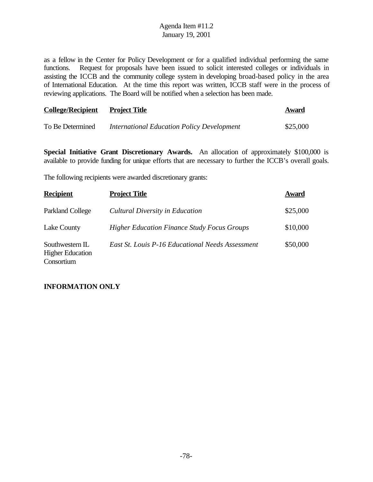as a fellow in the Center for Policy Development or for a qualified individual performing the same functions. Request for proposals have been issued to solicit interested colleges or individuals in assisting the ICCB and the community college system in developing broad-based policy in the area of International Education. At the time this report was written, ICCB staff were in the process of reviewing applications. The Board will be notified when a selection has been made.

| <b>College/Recipient</b> | <b>Project Title</b>                              | Award    |
|--------------------------|---------------------------------------------------|----------|
| To Be Determined         | <b>International Education Policy Development</b> | \$25,000 |

**Special Initiative Grant Discretionary Awards.** An allocation of approximately \$100,000 is available to provide funding for unique efforts that are necessary to further the ICCB's overall goals.

The following recipients were awarded discretionary grants:

| <b>Recipient</b>                                         | <b>Project Title</b>                               | Award    |
|----------------------------------------------------------|----------------------------------------------------|----------|
| Parkland College                                         | Cultural Diversity in Education                    | \$25,000 |
| Lake County                                              | <b>Higher Education Finance Study Focus Groups</b> | \$10,000 |
| Southwestern IL<br><b>Higher Education</b><br>Consortium | East St. Louis P-16 Educational Needs Assessment   | \$50,000 |

## **INFORMATION ONLY**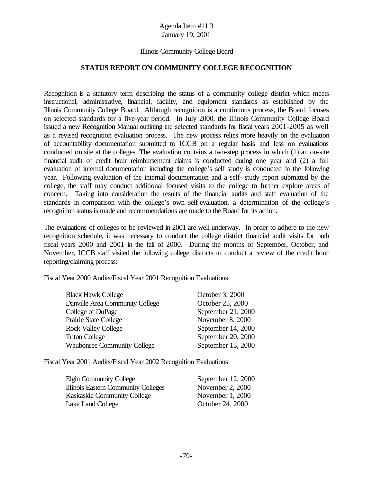## Illinois Community College Board

### **STATUS REPORT ON COMMUNITY COLLEGE RECOGNITION**

Recognition is a statutory term describing the status of a community college district which meets instructional, administrative, financial, facility, and equipment standards as established by the Illinois Community College Board. Although recognition is a continuous process, the Board focuses on selected standards for a five-year period. In July 2000, the Illinois Community College Board issued a new Recognition Manual outlining the selected standards for fiscal years 2001-2005 as well as a revised recognition evaluation process. The new process relies more heavily on the evaluation of accountability documentation submitted to ICCB on a regular basis and less on evaluations conducted on site at the colleges. The evaluation contains a two-step process in which (1) an on-site financial audit of credit hour reimbursement claims is conducted during one year and (2) a full evaluation of internal documentation including the college's self study is conducted in the following year. Following evaluation of the internal documentation and a self- study report submitted by the college, the staff may conduct additional focused visits to the college to further explore areas of concern. Taking into consideration the results of the financial audits and staff evaluation of the standards in comparison with the college's own self-evaluation, a determination of the college's recognition status is made and recommendations are made to the Board for its action.

The evaluations of colleges to be reviewed in 2001 are well underway. In order to adhere to the new recognition schedule, it was necessary to conduct the college district financial audit visits for both fiscal years 2000 and 2001 in the fall of 2000. During the months of September, October, and November, ICCB staff visited the following college districts to conduct a review of the credit hour reporting/claiming process:

### Fiscal Year 2000 Audits/Fiscal Year 2001 Recognition Evaluations

| <b>Black Hawk College</b>          | October 3, 2000    |
|------------------------------------|--------------------|
| Danville Area Community College    | October 25, 2000   |
| College of DuPage                  | September 21, 2000 |
| Prairie State College              | November 8, 2000   |
| <b>Rock Valley College</b>         | September 14, 2000 |
| <b>Triton College</b>              | September 20, 2000 |
| <b>Waubonsee Community College</b> | September 13, 2000 |

### Fiscal Year 2001 Audits/Fiscal Year 2002 Recognition Evaluations

| Elgin Community College             | September 12, 2000 |
|-------------------------------------|--------------------|
| Illinois Eastern Community Colleges | November $2, 2000$ |
| Kaskaskia Community College         | November 1, 2000   |
| Lake Land College                   | October 24, 2000   |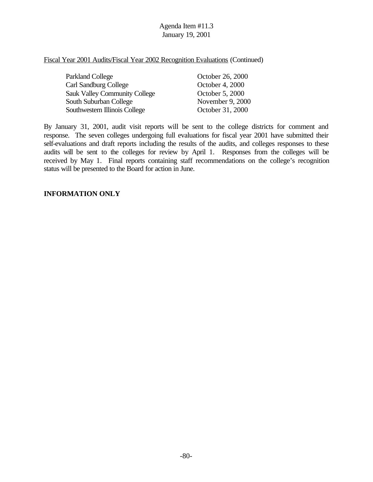Fiscal Year 2001 Audits/Fiscal Year 2002 Recognition Evaluations (Continued)

| Parkland College                     | October 26, 2000 |
|--------------------------------------|------------------|
| <b>Carl Sandburg College</b>         | October 4, 2000  |
| <b>Sauk Valley Community College</b> | October 5, 2000  |
| South Suburban College               | November 9, 2000 |
| Southwestern Illinois College        | October 31, 2000 |

By January 31, 2001, audit visit reports will be sent to the college districts for comment and response. The seven colleges undergoing full evaluations for fiscal year 2001 have submitted their self-evaluations and draft reports including the results of the audits, and colleges responses to these audits will be sent to the colleges for review by April 1. Responses from the colleges will be received by May 1. Final reports containing staff recommendations on the college's recognition status will be presented to the Board for action in June.

### **INFORMATION ONLY**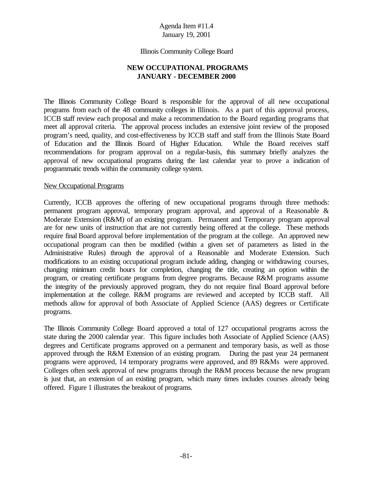### Illinois Community College Board

# **NEW OCCUPATIONAL PROGRAMS JANUARY - DECEMBER 2000**

The Illinois Community College Board is responsible for the approval of all new occupational programs from each of the 48 community colleges in Illinois. As a part of this approval process, ICCB staff review each proposal and make a recommendation to the Board regarding programs that meet all approval criteria. The approval process includes an extensive joint review of the proposed program's need, quality, and cost-effectiveness by ICCB staff and staff from the Illinois State Board of Education and the Illinois Board of Higher Education. While the Board receives staff recommendations for program approval on a regular-basis, this summary briefly analyzes the approval of new occupational programs during the last calendar year to prove a indication of programmatic trends within the community college system.

### New Occupational Programs

Currently, ICCB approves the offering of new occupational programs through three methods: permanent program approval, temporary program approval, and approval of a Reasonable & Moderate Extension (R&M) of an existing program. Permanent and Temporary program approval are for new units of instruction that are not currently being offered at the college. These methods require final Board approval before implementation of the program at the college. An approved new occupational program can then be modified (within a given set of parameters as listed in the Administrative Rules) through the approval of a Reasonable and Moderate Extension. Such modifications to an existing occupational program include adding, changing or withdrawing courses, changing minimum credit hours for completion, changing the title, creating an option within the program, or creating certificate programs from degree programs. Because R&M programs assume the integrity of the previously approved program, they do not require final Board approval before implementation at the college. R&M programs are reviewed and accepted by ICCB staff. All methods allow for approval of both Associate of Applied Science (AAS) degrees or Certificate programs.

The Illinois Community College Board approved a total of 127 occupational programs across the state during the 2000 calendar year. This figure includes both Associate of Applied Science (AAS) degrees and Certificate programs approved on a permanent and temporary basis, as well as those approved through the R&M Extension of an existing program. During the past year 24 permanent programs were approved, 14 temporary programs were approved, and 89 R&Ms were approved. Colleges often seek approval of new programs through the R&M process because the new program is just that, an extension of an existing program, which many times includes courses already being offered. Figure 1 illustrates the breakout of programs.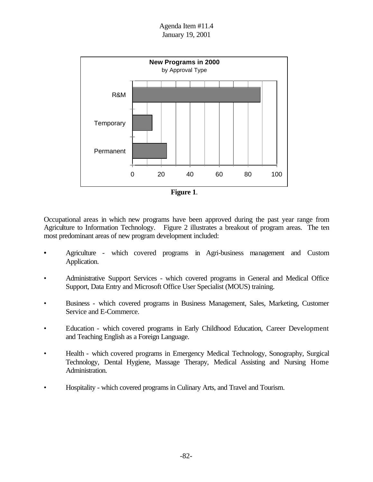



Occupational areas in which new programs have been approved during the past year range from Agriculture to Information Technology. Figure 2 illustrates a breakout of program areas. The ten most predominant areas of new program development included:

- Agriculture which covered programs in Agri-business management and Custom Application.
- Administrative Support Services which covered programs in General and Medical Office Support, Data Entry and Microsoft Office User Specialist (MOUS) training.
- Business which covered programs in Business Management, Sales, Marketing, Customer Service and E-Commerce.
- Education which covered programs in Early Childhood Education, Career Development and Teaching English as a Foreign Language.
- Health which covered programs in Emergency Medical Technology, Sonography, Surgical Technology, Dental Hygiene, Massage Therapy, Medical Assisting and Nursing Home Administration.
- Hospitality which covered programs in Culinary Arts, and Travel and Tourism.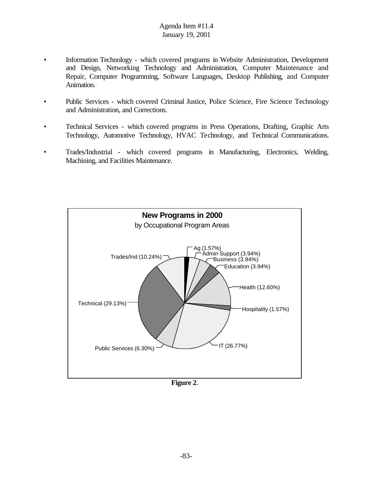- Information Technology which covered programs in Website Administration, Development and Design, Networking Technology and Administration, Computer Maintenance and Repair, Computer Programming, Software Languages, Desktop Publishing, and Computer Animation.
- Public Services which covered Criminal Justice, Police Science, Fire Science Technology and Administration, and Corrections.
- Technical Services which covered programs in Press Operations, Drafting, Graphic Arts Technology, Automotive Technology, HVAC Technology, and Technical Communications.
- Trades/Industrial which covered programs in Manufacturing, Electronics, Welding, Machining, and Facilities Maintenance.



**Figure 2**.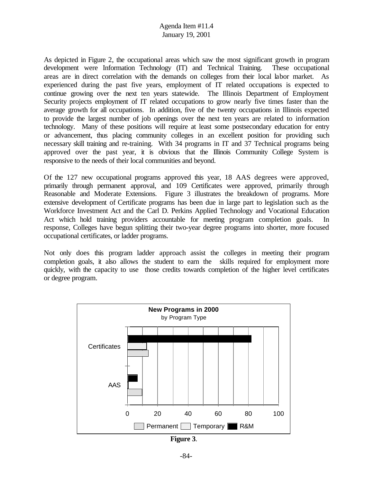As depicted in Figure 2, the occupational areas which saw the most significant growth in program development were Information Technology (IT) and Technical Training. These occupational areas are in direct correlation with the demands on colleges from their local labor market. As experienced during the past five years, employment of IT related occupations is expected to continue growing over the next ten years statewide. The Illinois Department of Employment Security projects employment of IT related occupations to grow nearly five times faster than the average growth for all occupations. In addition, five of the twenty occupations in Illinois expected to provide the largest number of job openings over the next ten years are related to information technology. Many of these positions will require at least some postsecondary education for entry or advancement, thus placing community colleges in an excellent position for providing such necessary skill training and re-training. With 34 programs in IT and 37 Technical programs being approved over the past year, it is obvious that the Illinois Community College System is responsive to the needs of their local communities and beyond.

Of the 127 new occupational programs approved this year, 18 AAS degrees were approved, primarily through permanent approval, and 109 Certificates were approved, primarily through Reasonable and Moderate Extensions. Figure 3 illustrates the breakdown of programs. More extensive development of Certificate programs has been due in large part to legislation such as the Workforce Investment Act and the Carl D. Perkins Applied Technology and Vocational Education Act which hold training providers accountable for meeting program completion goals. In response, Colleges have begun splitting their two-year degree programs into shorter, more focused occupational certificates, or ladder programs.

Not only does this program ladder approach assist the colleges in meeting their program completion goals, it also allows the student to earn the skills required for employment more quickly, with the capacity to use those credits towards completion of the higher level certificates or degree program.



**Figure 3**.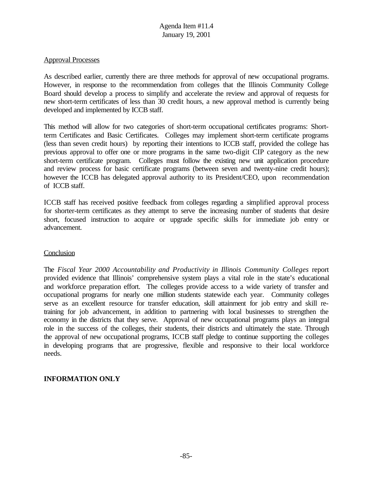### Approval Processes

As described earlier, currently there are three methods for approval of new occupational programs. However, in response to the recommendation from colleges that the Illinois Community College Board should develop a process to simplify and accelerate the review and approval of requests for new short-term certificates of less than 30 credit hours, a new approval method is currently being developed and implemented by ICCB staff.

This method will allow for two categories of short-term occupational certificates programs: Shortterm Certificates and Basic Certificates. Colleges may implement short-term certificate programs (less than seven credit hours) by reporting their intentions to ICCB staff, provided the college has previous approval to offer one or more programs in the same two-digit CIP category as the new short-term certificate program. Colleges must follow the existing new unit application procedure and review process for basic certificate programs (between seven and twenty-nine credit hours); however the ICCB has delegated approval authority to its President/CEO, upon recommendation of ICCB staff.

ICCB staff has received positive feedback from colleges regarding a simplified approval process for shorter-term certificates as they attempt to serve the increasing number of students that desire short, focused instruction to acquire or upgrade specific skills for immediate job entry or advancement.

## **Conclusion**

The *Fiscal Year 2000 Accountability and Productivity in Illinois Community Colleges* report provided evidence that Illinois' comprehensive system plays a vital role in the state's educational and workforce preparation effort. The colleges provide access to a wide variety of transfer and occupational programs for nearly one million students statewide each year. Community colleges serve as an excellent resource for transfer education, skill attainment for job entry and skill retraining for job advancement, in addition to partnering with local businesses to strengthen the economy in the districts that they serve. Approval of new occupational programs plays an integral role in the success of the colleges, their students, their districts and ultimately the state. Through the approval of new occupational programs, ICCB staff pledge to continue supporting the colleges in developing programs that are progressive, flexible and responsive to their local workforce needs.

## **INFORMATION ONLY**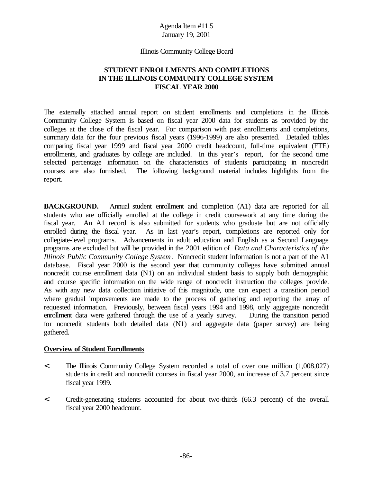### Illinois Community College Board

# **STUDENT ENROLLMENTS AND COMPLETIONS IN THE ILLINOIS COMMUNITY COLLEGE SYSTEM FISCAL YEAR 2000**

The externally attached annual report on student enrollments and completions in the Illinois Community College System is based on fiscal year 2000 data for students as provided by the colleges at the close of the fiscal year. For comparison with past enrollments and completions, summary data for the four previous fiscal years (1996-1999) are also presented. Detailed tables comparing fiscal year 1999 and fiscal year 2000 credit headcount, full-time equivalent (FTE) enrollments, and graduates by college are included. In this year's report, for the second time selected percentage information on the characteristics of students participating in noncredit courses are also furnished. The following background material includes highlights from the report.

**BACKGROUND.** Annual student enrollment and completion (A1) data are reported for all students who are officially enrolled at the college in credit coursework at any time during the fiscal year. An A1 record is also submitted for students who graduate but are not officially enrolled during the fiscal year. As in last year's report, completions are reported only for collegiate-level programs. Advancements in adult education and English as a Second Language programs are excluded but will be provided in the 2001 edition of *Data and Characteristics of the Illinois Public Community College System*. Noncredit student information is not a part of the A1 database. Fiscal year 2000 is the second year that community colleges have submitted annual noncredit course enrollment data (N1) on an individual student basis to supply both demographic and course specific information on the wide range of noncredit instruction the colleges provide. As with any new data collection initiative of this magnitude, one can expect a transition period where gradual improvements are made to the process of gathering and reporting the array of requested information. Previously, between fiscal years 1994 and 1998, only aggregate noncredit enrollment data were gathered through the use of a yearly survey. During the transition period for noncredit students both detailed data (N1) and aggregate data (paper survey) are being gathered.

# **Overview of Student Enrollments**

- < The Illinois Community College System recorded a total of over one million (1,008,027) students in credit and noncredit courses in fiscal year 2000, an increase of 3.7 percent since fiscal year 1999.
- < Credit-generating students accounted for about two-thirds (66.3 percent) of the overall fiscal year 2000 headcount.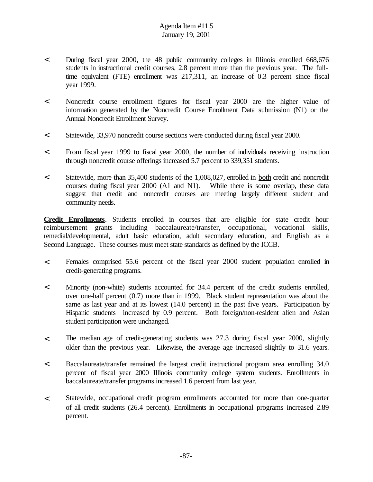- < During fiscal year 2000, the 48 public community colleges in Illinois enrolled 668,676 students in instructional credit courses, 2.8 percent more than the previous year. The fulltime equivalent (FTE) enrollment was 217,311, an increase of 0.3 percent since fiscal year 1999.
- < Noncredit course enrollment figures for fiscal year 2000 are the higher value of information generated by the Noncredit Course Enrollment Data submission (N1) or the Annual Noncredit Enrollment Survey.
- < Statewide, 33,970 noncredit course sections were conducted during fiscal year 2000.
- < From fiscal year 1999 to fiscal year 2000, the number of individuals receiving instruction through noncredit course offerings increased 5.7 percent to 339,351 students.
- < Statewide, more than 35,400 students of the 1,008,027, enrolled in both credit and noncredit courses during fiscal year 2000 (A1 and N1). While there is some overlap, these data suggest that credit and noncredit courses are meeting largely different student and community needs.

**Credit Enrollments**. Students enrolled in courses that are eligible for state credit hour reimbursement grants including baccalaureate/transfer, occupational, vocational skills, remedial/developmental, adult basic education, adult secondary education, and English as a Second Language. These courses must meet state standards as defined by the ICCB.

- < Females comprised 55.6 percent of the fiscal year 2000 student population enrolled in credit-generating programs.
- < Minority (non-white) students accounted for 34.4 percent of the credit students enrolled, over one-half percent (0.7) more than in 1999. Black student representation was about the same as last year and at its lowest (14.0 percent) in the past five years. Participation by Hispanic students increased by 0.9 percent. Both foreign/non-resident alien and Asian student participation were unchanged.
- < The median age of credit-generating students was 27.3 during fiscal year 2000, slightly older than the previous year. Likewise, the average age increased slightly to 31.6 years.
- < Baccalaureate/transfer remained the largest credit instructional program area enrolling 34.0 percent of fiscal year 2000 Illinois community college system students. Enrollments in baccalaureate/transfer programs increased 1.6 percent from last year.
- < Statewide, occupational credit program enrollments accounted for more than one-quarter of all credit students (26.4 percent). Enrollments in occupational programs increased 2.89 percent.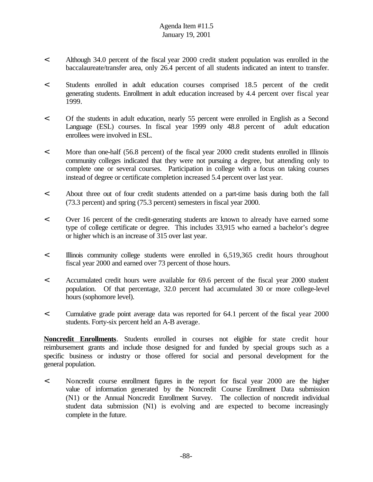- < Although 34.0 percent of the fiscal year 2000 credit student population was enrolled in the baccalaureate/transfer area, only 26.4 percent of all students indicated an intent to transfer.
- < Students enrolled in adult education courses comprised 18.5 percent of the credit generating students. Enrollment in adult education increased by 4.4 percent over fiscal year 1999.
- < Of the students in adult education, nearly 55 percent were enrolled in English as a Second Language (ESL) courses. In fiscal year 1999 only 48.8 percent of adult education enrollees were involved in ESL.
- < More than one-half (56.8 percent) of the fiscal year 2000 credit students enrolled in Illinois community colleges indicated that they were not pursuing a degree, but attending only to complete one or several courses. Participation in college with a focus on taking courses instead of degree or certificate completion increased 5.4 percent over last year.
- < About three out of four credit students attended on a part-time basis during both the fall (73.3 percent) and spring (75.3 percent) semesters in fiscal year 2000.
- < Over 16 percent of the credit-generating students are known to already have earned some type of college certificate or degree. This includes 33,915 who earned a bachelor's degree or higher which is an increase of 315 over last year.
- < Illinois community college students were enrolled in 6,519,365 credit hours throughout fiscal year 2000 and earned over 73 percent of those hours.
- < Accumulated credit hours were available for 69.6 percent of the fiscal year 2000 student population. Of that percentage, 32.0 percent had accumulated 30 or more college-level hours (sophomore level).
- < Cumulative grade point average data was reported for 64.1 percent of the fiscal year 2000 students. Forty-six percent held an A-B average.

**Noncredit Enrollments**. Students enrolled in courses not eligible for state credit hour reimbursement grants and include those designed for and funded by special groups such as a specific business or industry or those offered for social and personal development for the general population.

< Noncredit course enrollment figures in the report for fiscal year 2000 are the higher value of information generated by the Noncredit Course Enrollment Data submission (N1) or the Annual Noncredit Enrollment Survey. The collection of noncredit individual student data submission (N1) is evolving and are expected to become increasingly complete in the future.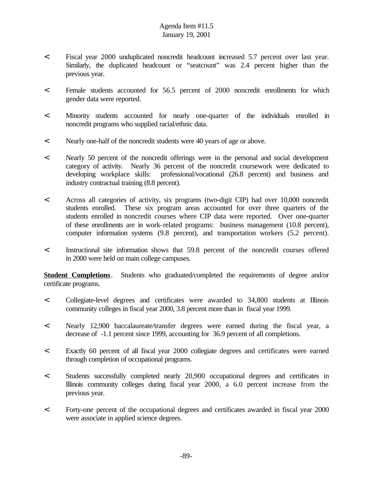- < Fiscal year 2000 unduplicated noncredit headcount increased 5.7 percent over last year. Similarly, the duplicated headcount or "seatcount" was 2.4 percent higher than the previous year.
- < Female students accounted for 56.5 percent of 2000 noncredit enrollments for which gender data were reported.
- < Minority students accounted for nearly one-quarter of the individuals enrolled in noncredit programs who supplied racial/ethnic data.
- < Nearly one-half of the noncredit students were 40 years of age or above.
- < Nearly 50 percent of the noncredit offerings were in the personal and social development category of activity. Nearly 36 percent of the noncredit coursework were dedicated to developing workplace skills: professional/vocational (26.8 percent) and business and industry contractual training (8.8 percent).
- < Across all categories of activity, six programs (two-digit CIP) had over 10,000 noncredit students enrolled. These six program areas accounted for over three quarters of the students enrolled in noncredit courses where CIP data were reported. Over one-quarter of these enrollments are in work-related programs: business management (10.8 percent), computer information systems (9.8 percent), and transportation workers (5.2 percent).
- < Instructional site information shows that 59.8 percent of the noncredit courses offered in 2000 were held on main college campuses.

**Student Completions**. Students who graduated/completed the requirements of degree and/or certificate programs.

- < Collegiate-level degrees and certificates were awarded to 34,800 students at Illinois community colleges in fiscal year 2000, 3.8 percent more than in fiscal year 1999.
- < Nearly 12,900 baccalaureate/transfer degrees were earned during the fiscal year, a decrease of -1.1 percent since 1999, accounting for 36.9 percent of all completions.
- < Exactly 60 percent of all fiscal year 2000 collegiate degrees and certificates were earned through completion of occupational programs.
- < Students successfully completed nearly 20,900 occupational degrees and certificates in Illinois community colleges during fiscal year 2000, a 6.0 percent increase from the previous year.
- < Forty-one percent of the occupational degrees and certificates awarded in fiscal year 2000 were associate in applied science degrees.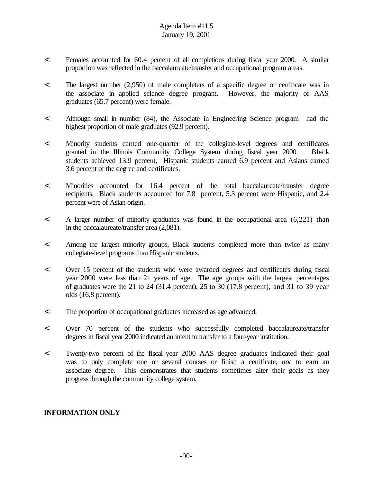- < Females accounted for 60.4 percent of all completions during fiscal year 2000. A similar proportion was reflected in the baccalaureate/transfer and occupational program areas.
- < The largest number (2,950) of male completers of a specific degree or certificate was in the associate in applied science degree program. However, the majority of AAS graduates (65.7 percent) were female.
- < Although small in number (84), the Associate in Engineering Science program had the highest proportion of male graduates (92.9 percent).
- < Minority students earned one-quarter of the collegiate-level degrees and certificates granted in the Illinois Community College System during fiscal year 2000. Black students achieved 13.9 percent, Hispanic students earned 6.9 percent and Asians earned 3.6 percent of the degree and certificates.
- < Minorities accounted for 16.4 percent of the total baccalaureate/transfer degree recipients. Black students accounted for 7.8 percent, 5.3 percent were Hispanic, and 2.4 percent were of Asian origin.
- < A larger number of minority graduates was found in the occupational area (6,221) than in the baccalaureate/transfer area (2,081).
- < Among the largest minority groups, Black students completed more than twice as many collegiate-level programs than Hispanic students.
- < Over 15 percent of the students who were awarded degrees and certificates during fiscal year 2000 were less than 21 years of age. The age groups with the largest percentages of graduates were the 21 to 24 (31.4 percent), 25 to 30 (17.8 percent), and 31 to 39 year olds (16.8 percent).
- < The proportion of occupational graduates increased as age advanced.
- < Over 70 percent of the students who successfully completed baccalaureate/transfer degrees in fiscal year 2000 indicated an intent to transfer to a four-year institution.
- < Twenty-two percent of the fiscal year 2000 AAS degree graduates indicated their goal was to only complete one or several courses or finish a certificate, *not* to earn an associate degree. This demonstrates that students sometimes alter their goals as they progress through the community college system.

# **INFORMATION ONLY**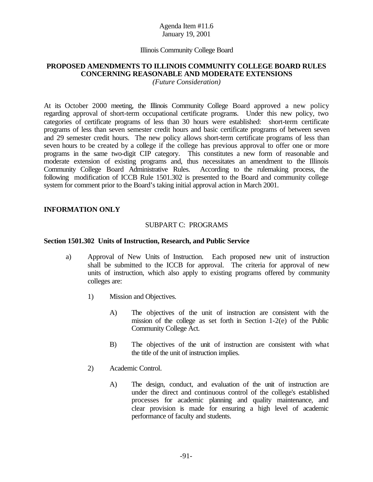### Illinois Community College Board

# **PROPOSED AMENDMENTS TO ILLINOIS COMMUNITY COLLEGE BOARD RULES CONCERNING REASONABLE AND MODERATE EXTENSIONS**

*(Future Consideration)*

At its October 2000 meeting, the Illinois Community College Board approved a new policy regarding approval of short-term occupational certificate programs. Under this new policy, two categories of certificate programs of less than 30 hours were established: short-term certificate programs of less than seven semester credit hours and basic certificate programs of between seven and 29 semester credit hours. The new policy allows short-term certificate programs of less than seven hours to be created by a college if the college has previous approval to offer one or more programs in the same two-digit CIP category. This constitutes a new form of reasonable and moderate extension of existing programs and, thus necessitates an amendment to the Illinois Community College Board Administrative Rules. According to the rulemaking process, the following modification of ICCB Rule 1501.302 is presented to the Board and community college system for comment prior to the Board's taking initial approval action in March 2001.

## **INFORMATION ONLY**

### SUBPART C: PROGRAMS

### **Section 1501.302 Units of Instruction, Research, and Public Service**

- a) Approval of New Units of Instruction. Each proposed new unit of instruction shall be submitted to the ICCB for approval. The criteria for approval of new units of instruction, which also apply to existing programs offered by community colleges are:
	- 1) Mission and Objectives.
		- A) The objectives of the unit of instruction are consistent with the mission of the college as set forth in Section 1-2(e) of the Public Community College Act.
		- B) The objectives of the unit of instruction are consistent with what the title of the unit of instruction implies.
	- 2) Academic Control.
		- A) The design, conduct, and evaluation of the unit of instruction are under the direct and continuous control of the college's established processes for academic planning and quality maintenance, and clear provision is made for ensuring a high level of academic performance of faculty and students.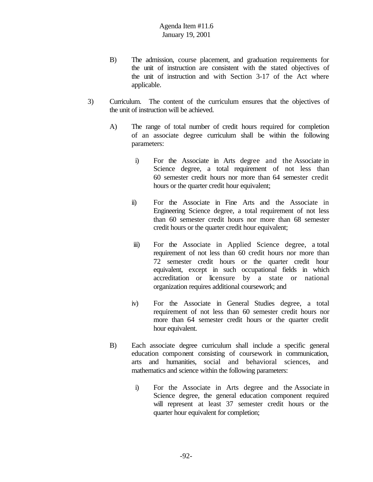- B) The admission, course placement, and graduation requirements for the unit of instruction are consistent with the stated objectives of the unit of instruction and with Section 3-17 of the Act where applicable.
- 3) Curriculum. The content of the curriculum ensures that the objectives of the unit of instruction will be achieved.
	- A) The range of total number of credit hours required for completion of an associate degree curriculum shall be within the following parameters:
		- i) For the Associate in Arts degree and the Associate in Science degree, a total requirement of not less than 60 semester credit hours nor more than 64 semester credit hours or the quarter credit hour equivalent;
		- ii) For the Associate in Fine Arts and the Associate in Engineering Science degree, a total requirement of not less than 60 semester credit hours nor more than 68 semester credit hours or the quarter credit hour equivalent;
		- iii) For the Associate in Applied Science degree, a total requirement of not less than 60 credit hours nor more than 72 semester credit hours or the quarter credit hour equivalent, except in such occupational fields in which accreditation or licensure by a state or national organization requires additional coursework; and
		- iv) For the Associate in General Studies degree, a total requirement of not less than 60 semester credit hours nor more than 64 semester credit hours or the quarter credit hour equivalent.
	- B) Each associate degree curriculum shall include a specific general education component consisting of coursework in communication, arts and humanities, social and behavioral sciences, and mathematics and science within the following parameters:
		- i) For the Associate in Arts degree and the Associate in Science degree, the general education component required will represent at least 37 semester credit hours or the quarter hour equivalent for completion;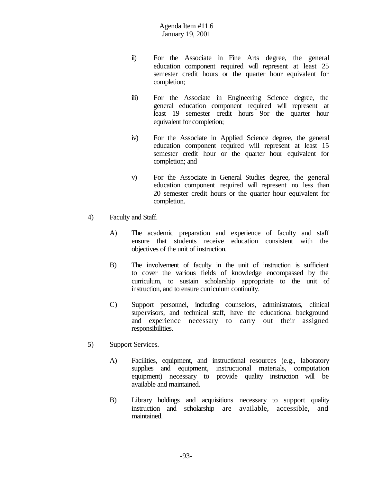- ii) For the Associate in Fine Arts degree, the general education component required will represent at least 25 semester credit hours or the quarter hour equivalent for completion;
- iii) For the Associate in Engineering Science degree, the general education component required will represent at least 19 semester credit hours 9or the quarter hour equivalent for completion;
- iv) For the Associate in Applied Science degree, the general education component required will represent at least 15 semester credit hour or the quarter hour equivalent for completion; and
- v) For the Associate in General Studies degree, the general education component required will represent no less than 20 semester credit hours or the quarter hour equivalent for completion.
- 4) Faculty and Staff.
	- A) The academic preparation and experience of faculty and staff ensure that students receive education consistent with the objectives of the unit of instruction.
	- B) The involvement of faculty in the unit of instruction is sufficient to cover the various fields of knowledge encompassed by the curriculum, to sustain scholarship appropriate to the unit of instruction, and to ensure curriculum continuity.
	- C) Support personnel, including counselors, administrators, clinical supervisors, and technical staff, have the educational background and experience necessary to carry out their assigned responsibilities.
- 5) Support Services.
	- A) Facilities, equipment, and instructional resources (e.g., laboratory supplies and equipment, instructional materials, computation equipment) necessary to provide quality instruction will be available and maintained.
	- B) Library holdings and acquisitions necessary to support quality instruction and scholarship are available, accessible, and maintained.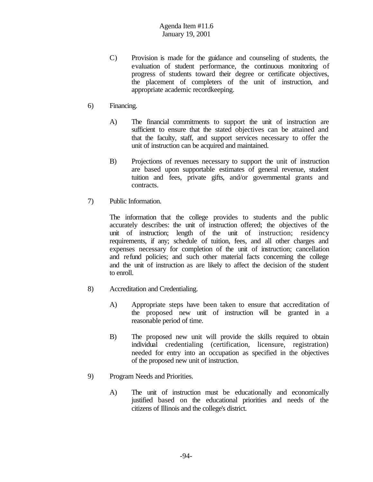- C) Provision is made for the guidance and counseling of students, the evaluation of student performance, the continuous monitoring of progress of students toward their degree or certificate objectives, the placement of completers of the unit of instruction, and appropriate academic recordkeeping.
- 6) Financing.
	- A) The financial commitments to support the unit of instruction are sufficient to ensure that the stated objectives can be attained and that the faculty, staff, and support services necessary to offer the unit of instruction can be acquired and maintained.
	- B) Projections of revenues necessary to support the unit of instruction are based upon supportable estimates of general revenue, student tuition and fees, private gifts, and/or governmental grants and contracts.
- 7) Public Information.

The information that the college provides to students and the public accurately describes: the unit of instruction offered; the objectives of the unit of instruction; length of the unit of instruction; residency requirements, if any; schedule of tuition, fees, and all other charges and expenses necessary for completion of the unit of instruction; cancellation and refund policies; and such other material facts concerning the college and the unit of instruction as are likely to affect the decision of the student to enroll.

- 8) Accreditation and Credentialing.
	- A) Appropriate steps have been taken to ensure that accreditation of the proposed new unit of instruction will be granted in a reasonable period of time.
	- B) The proposed new unit will provide the skills required to obtain individual credentialing (certification, licensure, registration) needed for entry into an occupation as specified in the objectives of the proposed new unit of instruction.
- 9) Program Needs and Priorities.
	- A) The unit of instruction must be educationally and economically justified based on the educational priorities and needs of the citizens of Illinois and the college's district.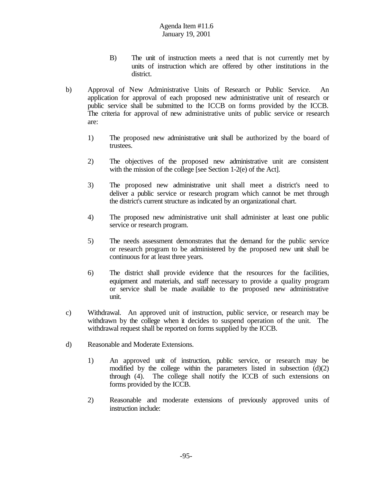- B) The unit of instruction meets a need that is not currently met by units of instruction which are offered by other institutions in the district.
- b) Approval of New Administrative Units of Research or Public Service. An application for approval of each proposed new administrative unit of research or public service shall be submitted to the ICCB on forms provided by the ICCB. The criteria for approval of new administrative units of public service or research are:
	- 1) The proposed new administrative unit shall be authorized by the board of trustees.
	- 2) The objectives of the proposed new administrative unit are consistent with the mission of the college [see Section 1-2(e) of the Act].
	- 3) The proposed new administrative unit shall meet a district's need to deliver a public service or research program which cannot be met through the district's current structure as indicated by an organizational chart.
	- 4) The proposed new administrative unit shall administer at least one public service or research program.
	- 5) The needs assessment demonstrates that the demand for the public service or research program to be administered by the proposed new unit shall be continuous for at least three years.
	- 6) The district shall provide evidence that the resources for the facilities, equipment and materials, and staff necessary to provide a quality program or service shall be made available to the proposed new administrative unit.
- c) Withdrawal. An approved unit of instruction, public service, or research may be withdrawn by the college when it decides to suspend operation of the unit. The withdrawal request shall be reported on forms supplied by the ICCB.
- d) Reasonable and Moderate Extensions.
	- 1) An approved unit of instruction, public service, or research may be modified by the college within the parameters listed in subsection  $(d)(2)$ through (4). The college shall notify the ICCB of such extensions on forms provided by the ICCB.
	- 2) Reasonable and moderate extensions of previously approved units of instruction include: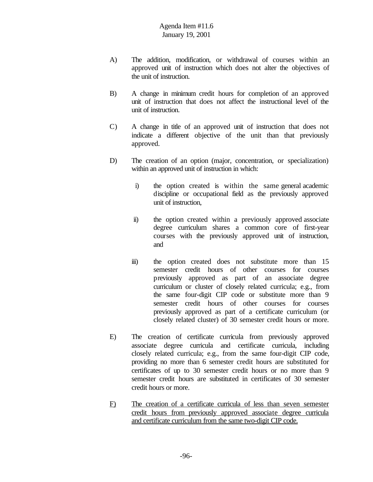- A) The addition, modification, or withdrawal of courses within an approved unit of instruction which does not alter the objectives of the unit of instruction.
- B) A change in minimum credit hours for completion of an approved unit of instruction that does not affect the instructional level of the unit of instruction.
- C) A change in title of an approved unit of instruction that does not indicate a different objective of the unit than that previously approved.
- D) The creation of an option (major, concentration, or specialization) within an approved unit of instruction in which:
	- i) the option created is within the same general academic discipline or occupational field as the previously approved unit of instruction,
	- ii) the option created within a previously approved associate degree curriculum shares a common core of first-year courses with the previously approved unit of instruction, and
	- iii) the option created does not substitute more than 15 semester credit hours of other courses for courses previously approved as part of an associate degree curriculum or cluster of closely related curricula; e.g., from the same four-digit CIP code or substitute more than 9 semester credit hours of other courses for courses previously approved as part of a certificate curriculum (or closely related cluster) of 30 semester credit hours or more.
- E) The creation of certificate curricula from previously approved associate degree curricula and certificate curricula, including closely related curricula; e.g., from the same four-digit CIP code, providing no more than 6 semester credit hours are substituted for certificates of up to 30 semester credit hours or no more than 9 semester credit hours are substituted in certificates of 30 semester credit hours or more.
- F) The creation of a certificate curricula of less than seven semester credit hours from previously approved associate degree curricula and certificate curriculum from the same two-digit CIP code.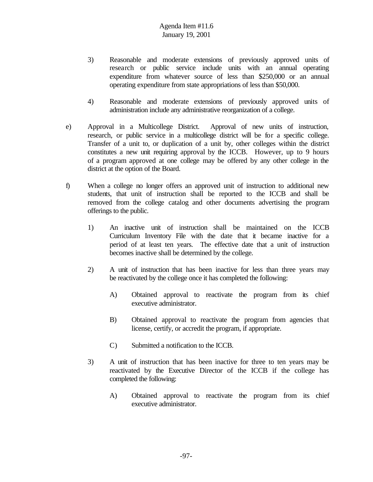- 3) Reasonable and moderate extensions of previously approved units of research or public service include units with an annual operating expenditure from whatever source of less than \$250,000 or an annual operating expenditure from state appropriations of less than \$50,000.
- 4) Reasonable and moderate extensions of previously approved units of administration include any administrative reorganization of a college.
- e) Approval in a Multicollege District. Approval of new units of instruction, research, or public service in a multicollege district will be for a specific college. Transfer of a unit to, or duplication of a unit by, other colleges within the district constitutes a new unit requiring approval by the ICCB. However, up to 9 hours of a program approved at one college may be offered by any other college in the district at the option of the Board.
- f) When a college no longer offers an approved unit of instruction to additional new students, that unit of instruction shall be reported to the ICCB and shall be removed from the college catalog and other documents advertising the program offerings to the public.
	- 1) An inactive unit of instruction shall be maintained on the ICCB Curriculum Inventory File with the date that it became inactive for a period of at least ten years. The effective date that a unit of instruction becomes inactive shall be determined by the college.
	- 2) A unit of instruction that has been inactive for less than three years may be reactivated by the college once it has completed the following:
		- A) Obtained approval to reactivate the program from its chief executive administrator.
		- B) Obtained approval to reactivate the program from agencies that license, certify, or accredit the program, if appropriate.
		- C) Submitted a notification to the ICCB.
	- 3) A unit of instruction that has been inactive for three to ten years may be reactivated by the Executive Director of the ICCB if the college has completed the following:
		- A) Obtained approval to reactivate the program from its chief executive administrator.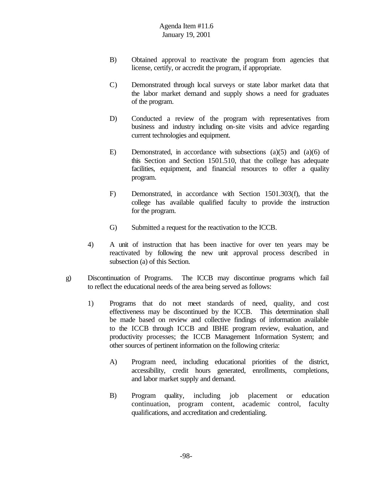- B) Obtained approval to reactivate the program from agencies that license, certify, or accredit the program, if appropriate.
- C) Demonstrated through local surveys or state labor market data that the labor market demand and supply shows a need for graduates of the program.
- D) Conducted a review of the program with representatives from business and industry including on-site visits and advice regarding current technologies and equipment.
- E) Demonstrated, in accordance with subsections (a)(5) and (a)(6) of this Section and Section 1501.510, that the college has adequate facilities, equipment, and financial resources to offer a quality program.
- F) Demonstrated, in accordance with Section 1501.303(f), that the college has available qualified faculty to provide the instruction for the program.
- G) Submitted a request for the reactivation to the ICCB.
- 4) A unit of instruction that has been inactive for over ten years may be reactivated by following the new unit approval process described in subsection (a) of this Section.
- g) Discontinuation of Programs. The ICCB may discontinue programs which fail to reflect the educational needs of the area being served as follows:
	- 1) Programs that do not meet standards of need, quality, and cost effectiveness may be discontinued by the ICCB. This determination shall be made based on review and collective findings of information available to the ICCB through ICCB and IBHE program review, evaluation, and productivity processes; the ICCB Management Information System; and other sources of pertinent information on the following criteria:
		- A) Program need, including educational priorities of the district, accessibility, credit hours generated, enrollments, completions, and labor market supply and demand.
		- B) Program quality, including job placement or education continuation, program content, academic control, faculty qualifications, and accreditation and credentialing.